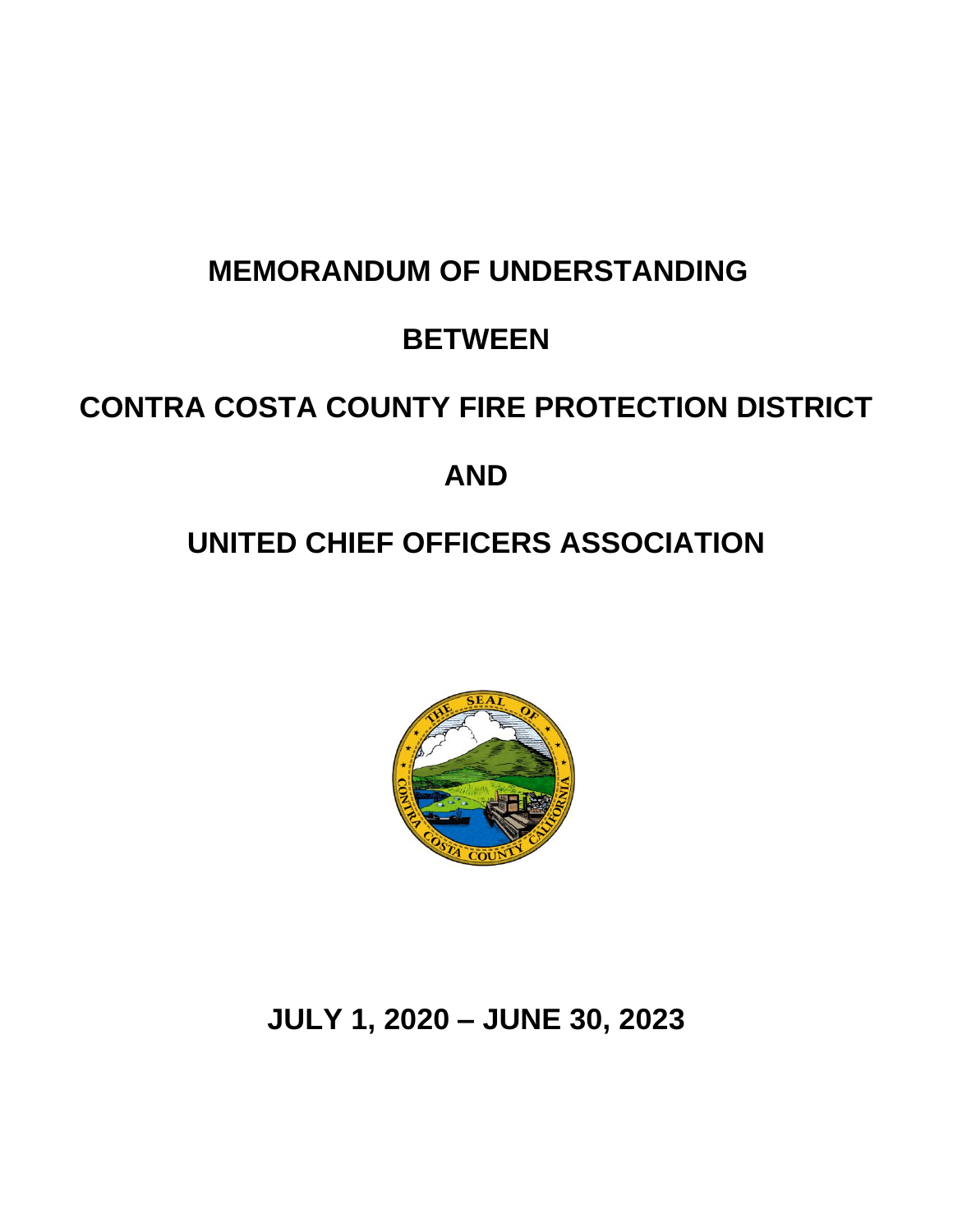# **MEMORANDUM OF UNDERSTANDING**

# **BETWEEN**

# **CONTRA COSTA COUNTY FIRE PROTECTION DISTRICT**

# **AND**

# **UNITED CHIEF OFFICERS ASSOCIATION**



# **JULY 1, 2020 – JUNE 30, 2023**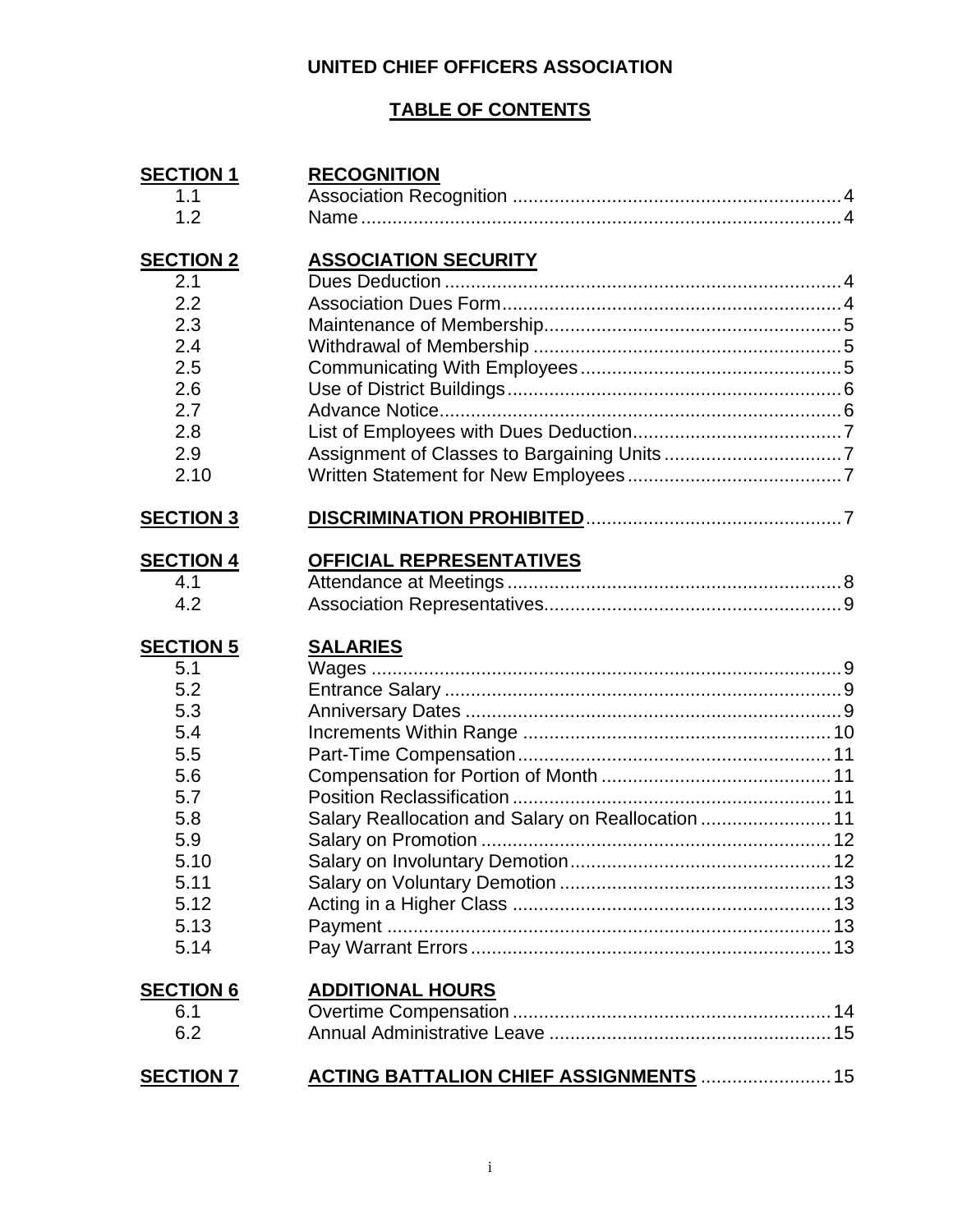# **UNITED CHIEF OFFICERS ASSOCIATION**

## **TABLE OF CONTENTS**

| <b>SECTION 1</b> | <b>RECOGNITION</b>                                 |
|------------------|----------------------------------------------------|
| 1.1              |                                                    |
| 1.2              |                                                    |
| <b>SECTION 2</b> | <b>ASSOCIATION SECURITY</b>                        |
| 2.1              |                                                    |
| 2.2              |                                                    |
| 2.3              |                                                    |
| 2.4              |                                                    |
| 2.5              |                                                    |
| 2.6              |                                                    |
| 2.7              |                                                    |
| 2.8              |                                                    |
| 2.9              |                                                    |
| 2.10             |                                                    |
| <b>SECTION 3</b> |                                                    |
| <b>SECTION 4</b> | OFFICIAL REPRESENTATIVES                           |
| 4.1              |                                                    |
| 4.2              |                                                    |
| <b>SECTION 5</b> | <b>SALARIES</b>                                    |
| 5.1              |                                                    |
| 5.2              |                                                    |
| 5.3              |                                                    |
| 5.4              |                                                    |
| 5.5              |                                                    |
| 5.6              |                                                    |
| 5.7              |                                                    |
| 5.8              | Salary Reallocation and Salary on Reallocation  11 |
| 5.9              |                                                    |
| 5.10             |                                                    |
|                  |                                                    |
| 5.11             |                                                    |
| 5.12             |                                                    |
| 5.13             |                                                    |
| 5.14             |                                                    |
| <b>SECTION 6</b> | <b>ADDITIONAL HOURS</b>                            |
| 6.1              |                                                    |
| 6.2              |                                                    |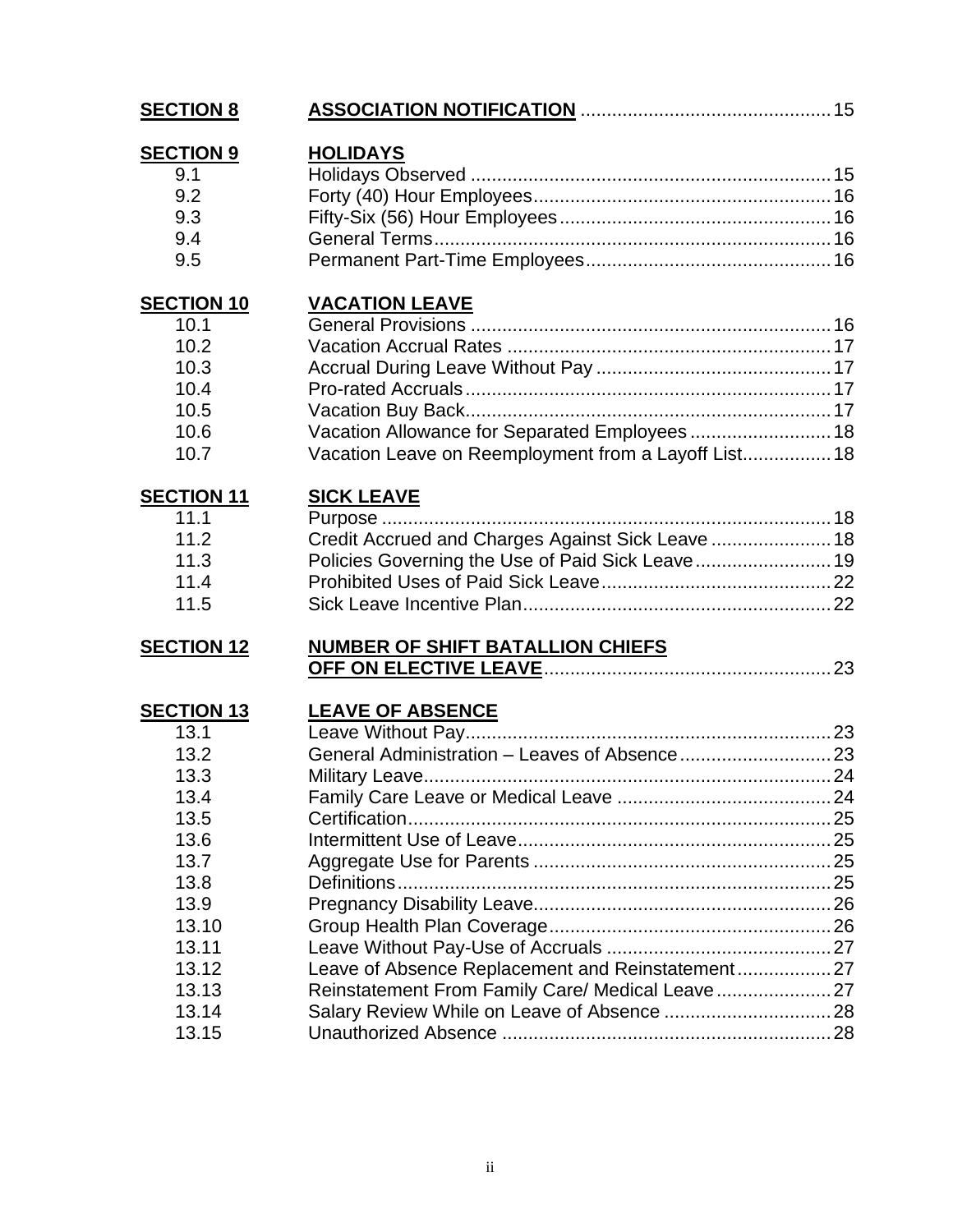| <b>SECTION 8</b>                                                          |                                                                                                                                |  |
|---------------------------------------------------------------------------|--------------------------------------------------------------------------------------------------------------------------------|--|
| <b>SECTION 9</b><br>9.1<br>9.2<br>9.3<br>9.4<br>9.5                       | <b>HOLIDAYS</b>                                                                                                                |  |
| <b>SECTION 10</b><br>10.1<br>10.2<br>10.3<br>10.4<br>10.5<br>10.6<br>10.7 | <b>VACATION LEAVE</b><br>Vacation Allowance for Separated Employees 18<br>Vacation Leave on Reemployment from a Layoff List 18 |  |
| <b>SECTION 11</b><br>11.1<br>11.2<br>11.3<br>11.4<br>11.5                 | <b>SICK LEAVE</b><br>Credit Accrued and Charges Against Sick Leave  18<br>Policies Governing the Use of Paid Sick Leave 19     |  |
| <b>SECTION 12</b>                                                         | NUMBER OF SHIFT BATALLION CHIEFS                                                                                               |  |
| <b>SECTION 13</b><br>13.1<br>13.2                                         | <b>LEAVE OF ABSENCE</b>                                                                                                        |  |
| 13.3<br>13.4<br>13.5<br>13.6                                              |                                                                                                                                |  |
| 13.7<br>13.8<br>13.9<br>13.10                                             |                                                                                                                                |  |
| 13.11<br>13.12<br>13.13<br>13.14<br>13.15                                 | Leave of Absence Replacement and Reinstatement27<br>Reinstatement From Family Care/ Medical Leave 27                           |  |
|                                                                           |                                                                                                                                |  |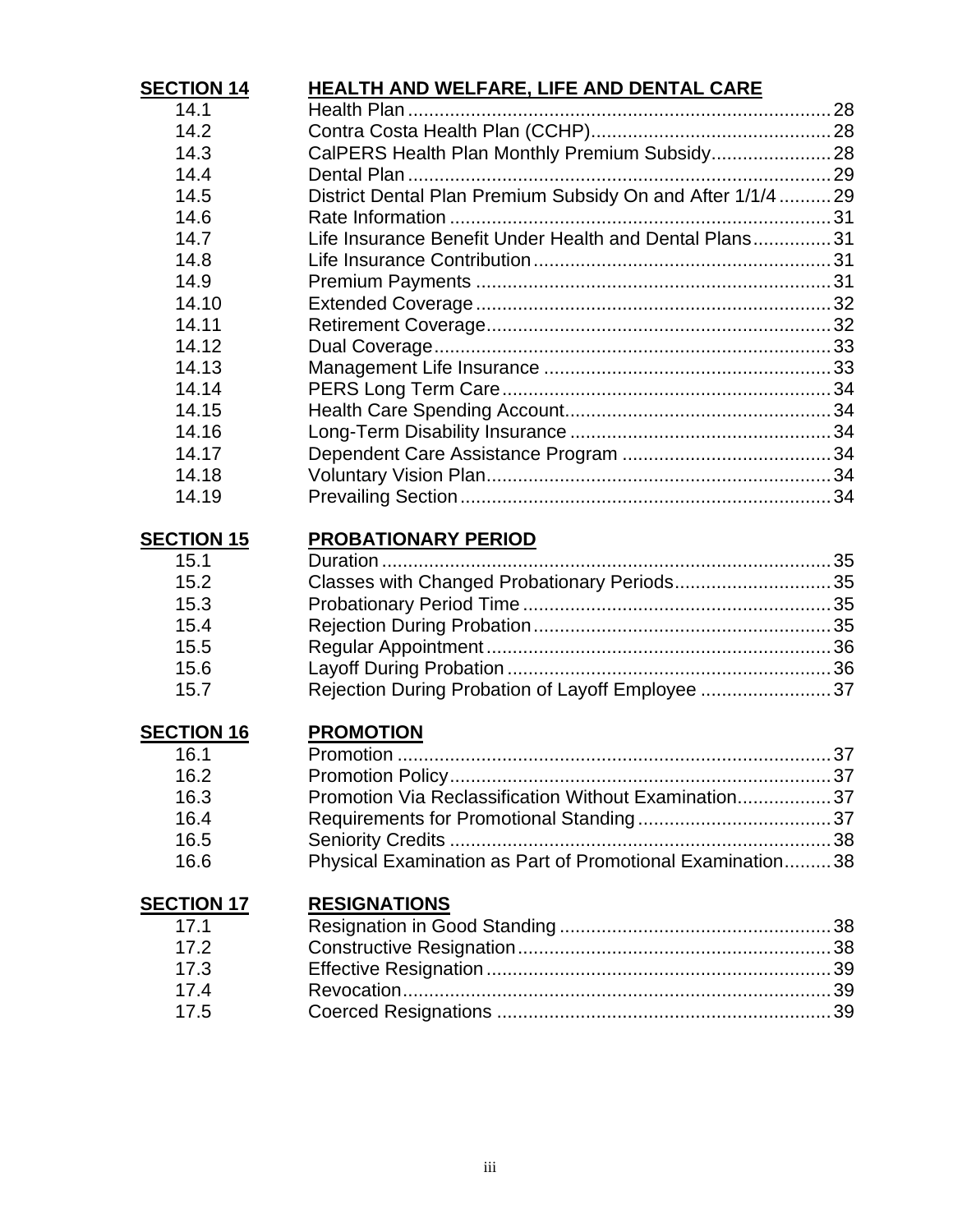| <b>SECTION 14</b> | <b>HEALTH AND WELFARE, LIFE AND DENTAL CARE</b>             |  |
|-------------------|-------------------------------------------------------------|--|
| 14.1              |                                                             |  |
| 14.2              |                                                             |  |
| 14.3              | CalPERS Health Plan Monthly Premium Subsidy 28              |  |
| 14.4              |                                                             |  |
| 14.5              | District Dental Plan Premium Subsidy On and After 1/1/4  29 |  |
| 14.6              |                                                             |  |
| 14.7              | Life Insurance Benefit Under Health and Dental Plans31      |  |
| 14.8              |                                                             |  |
| 14.9              |                                                             |  |
| 14.10             |                                                             |  |
| 14.11             |                                                             |  |
| 14.12             |                                                             |  |
| 14.13             |                                                             |  |
| 14.14             |                                                             |  |
| 14.15             |                                                             |  |
| 14.16             |                                                             |  |
| 14.17             |                                                             |  |
| 14.18             |                                                             |  |
| 14.19             |                                                             |  |
| <b>SECTION 15</b> | <b>PROBATIONARY PERIOD</b>                                  |  |
| 15.1              |                                                             |  |
| 15.2              | Classes with Changed Probationary Periods 35                |  |
| 15.3              |                                                             |  |
| 15.4              |                                                             |  |
| 15.5              |                                                             |  |
| 15.6              |                                                             |  |
| 15.7              | Rejection During Probation of Layoff Employee 37            |  |
| <b>SECTION 16</b> | <b>PROMOTION</b>                                            |  |
| 16.1              |                                                             |  |
| 16.2              |                                                             |  |
| 16.3              | Promotion Via Reclassification Without Examination37        |  |
| 16.4              |                                                             |  |
| 16.5              |                                                             |  |
| 16.6              | Physical Examination as Part of Promotional Examination38   |  |
| <b>SECTION 17</b> | <b>RESIGNATIONS</b>                                         |  |
| 17.1              |                                                             |  |
| 17.2              |                                                             |  |
| 17.3              |                                                             |  |
| 17.4              |                                                             |  |
| 17.5              |                                                             |  |
|                   |                                                             |  |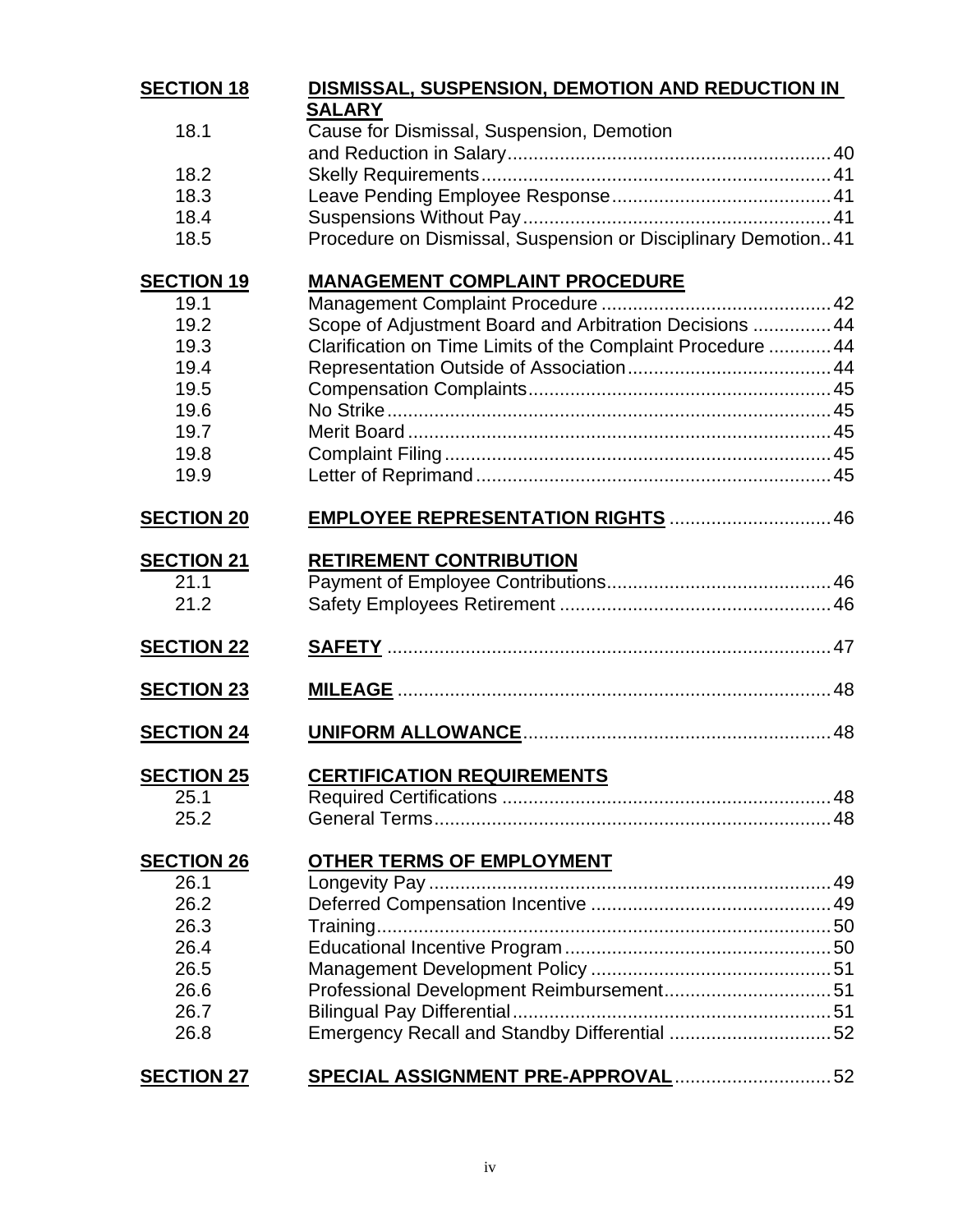| <b>SECTION 18</b> | DISMISSAL, SUSPENSION, DEMOTION AND REDUCTION IN               |  |
|-------------------|----------------------------------------------------------------|--|
| 18.1              | <b>SALARY</b><br>Cause for Dismissal, Suspension, Demotion     |  |
|                   |                                                                |  |
| 18.2              |                                                                |  |
| 18.3              |                                                                |  |
| 18.4              |                                                                |  |
| 18.5              | Procedure on Dismissal, Suspension or Disciplinary Demotion 41 |  |
| <b>SECTION 19</b> | <b>MANAGEMENT COMPLAINT PROCEDURE</b>                          |  |
| 19.1              |                                                                |  |
| 19.2              | Scope of Adjustment Board and Arbitration Decisions  44        |  |
| 19.3              | Clarification on Time Limits of the Complaint Procedure  44    |  |
| 19.4              |                                                                |  |
| 19.5              |                                                                |  |
| 19.6              |                                                                |  |
| 19.7              |                                                                |  |
| 19.8              |                                                                |  |
| 19.9              |                                                                |  |
| <b>SECTION 20</b> | EMPLOYEE REPRESENTATION RIGHTS  46                             |  |
| <b>SECTION 21</b> | <b>RETIREMENT CONTRIBUTION</b>                                 |  |
| 21.1              |                                                                |  |
| 21.2              |                                                                |  |
| <b>SECTION 22</b> |                                                                |  |
| <b>SECTION 23</b> |                                                                |  |
| <b>SECTION 24</b> |                                                                |  |
| <b>SECTION 25</b> | <b>CERTIFICATION REQUIREMENTS</b>                              |  |
| 25.1              |                                                                |  |
| 25.2              |                                                                |  |
| <b>SECTION 26</b> | <b>OTHER TERMS OF EMPLOYMENT</b>                               |  |
| 26.1              |                                                                |  |
| 26.2              |                                                                |  |
| 26.3              |                                                                |  |
| 26.4              |                                                                |  |
| 26.5              |                                                                |  |
| 26.6              |                                                                |  |
| 26.7              |                                                                |  |
| 26.8              | Emergency Recall and Standby Differential 52                   |  |
| <b>SECTION 27</b> |                                                                |  |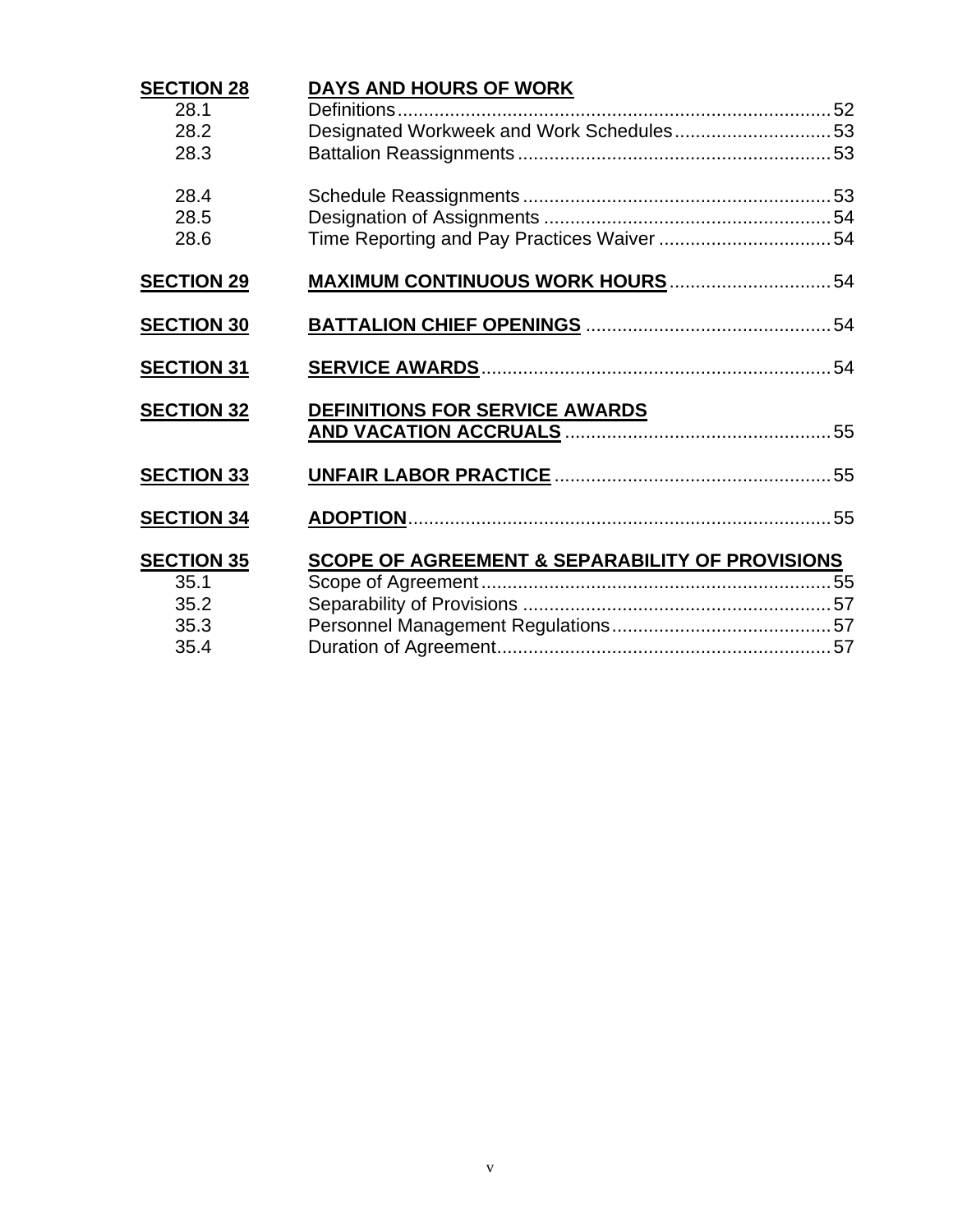| <b>SECTION 28</b><br>28.1<br>28.2<br>28.3         | DAYS AND HOURS OF WORK<br>Designated Workweek and Work Schedules53 |  |
|---------------------------------------------------|--------------------------------------------------------------------|--|
| 28.4<br>28.5<br>28.6                              | Time Reporting and Pay Practices Waiver 54                         |  |
| <b>SECTION 29</b>                                 |                                                                    |  |
| <b>SECTION 30</b>                                 |                                                                    |  |
| <b>SECTION 31</b>                                 |                                                                    |  |
| <b>SECTION 32</b>                                 | DEFINITIONS FOR SERVICE AWARDS                                     |  |
| <b>SECTION 33</b>                                 |                                                                    |  |
| <b>SECTION 34</b>                                 |                                                                    |  |
| <b>SECTION 35</b><br>35.1<br>35.2<br>35.3<br>35.4 | <b>SCOPE OF AGREEMENT &amp; SEPARABILITY OF PROVISIONS</b>         |  |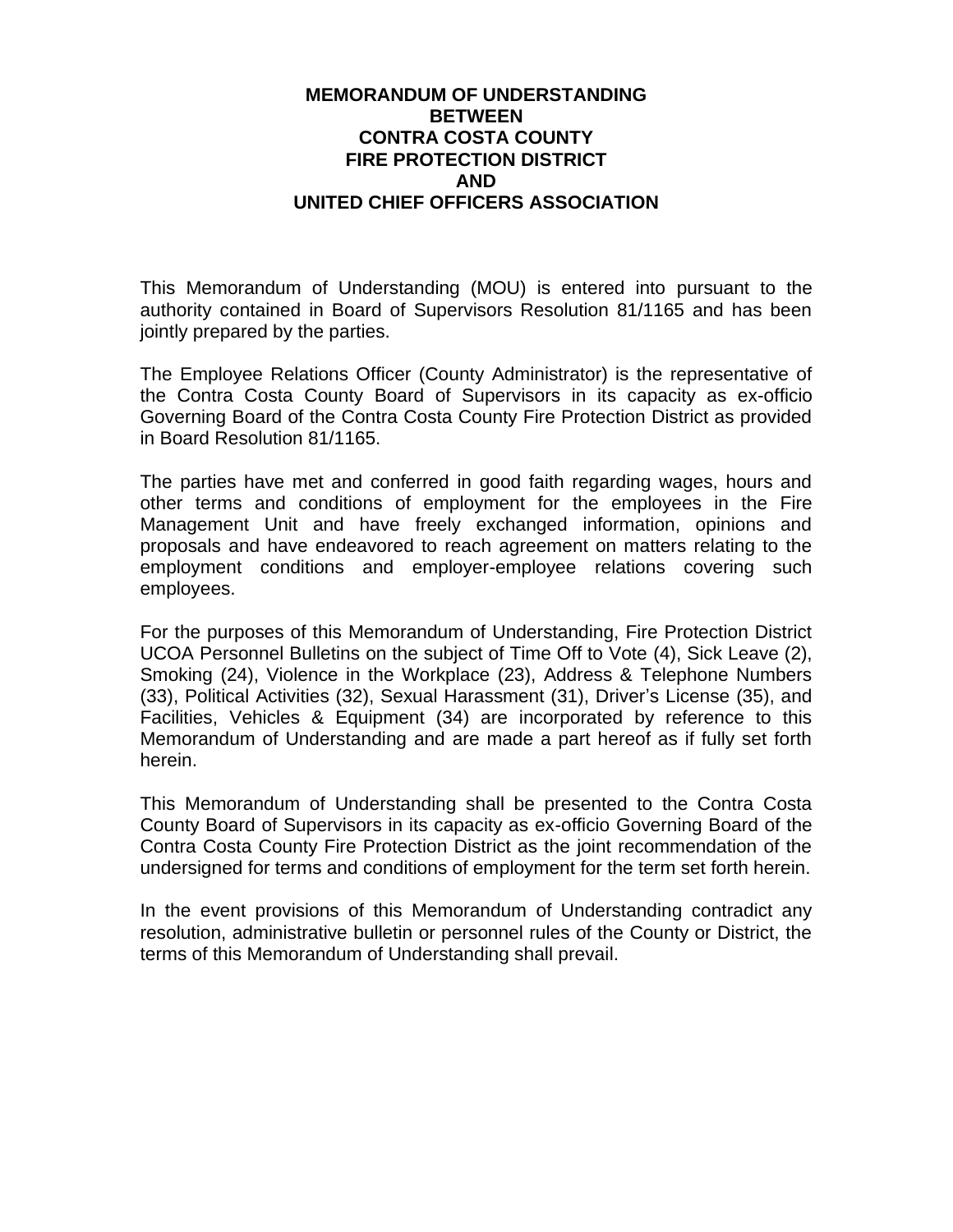#### **MEMORANDUM OF UNDERSTANDING BETWEEN CONTRA COSTA COUNTY FIRE PROTECTION DISTRICT AND UNITED CHIEF OFFICERS ASSOCIATION**

This Memorandum of Understanding (MOU) is entered into pursuant to the authority contained in Board of Supervisors Resolution 81/1165 and has been jointly prepared by the parties.

The Employee Relations Officer (County Administrator) is the representative of the Contra Costa County Board of Supervisors in its capacity as ex-officio Governing Board of the Contra Costa County Fire Protection District as provided in Board Resolution 81/1165.

The parties have met and conferred in good faith regarding wages, hours and other terms and conditions of employment for the employees in the Fire Management Unit and have freely exchanged information, opinions and proposals and have endeavored to reach agreement on matters relating to the employment conditions and employer-employee relations covering such employees.

For the purposes of this Memorandum of Understanding, Fire Protection District UCOA Personnel Bulletins on the subject of Time Off to Vote (4), Sick Leave (2), Smoking (24), Violence in the Workplace (23), Address & Telephone Numbers (33), Political Activities (32), Sexual Harassment (31), Driver's License (35), and Facilities, Vehicles & Equipment (34) are incorporated by reference to this Memorandum of Understanding and are made a part hereof as if fully set forth herein.

This Memorandum of Understanding shall be presented to the Contra Costa County Board of Supervisors in its capacity as ex-officio Governing Board of the Contra Costa County Fire Protection District as the joint recommendation of the undersigned for terms and conditions of employment for the term set forth herein.

In the event provisions of this Memorandum of Understanding contradict any resolution, administrative bulletin or personnel rules of the County or District, the terms of this Memorandum of Understanding shall prevail.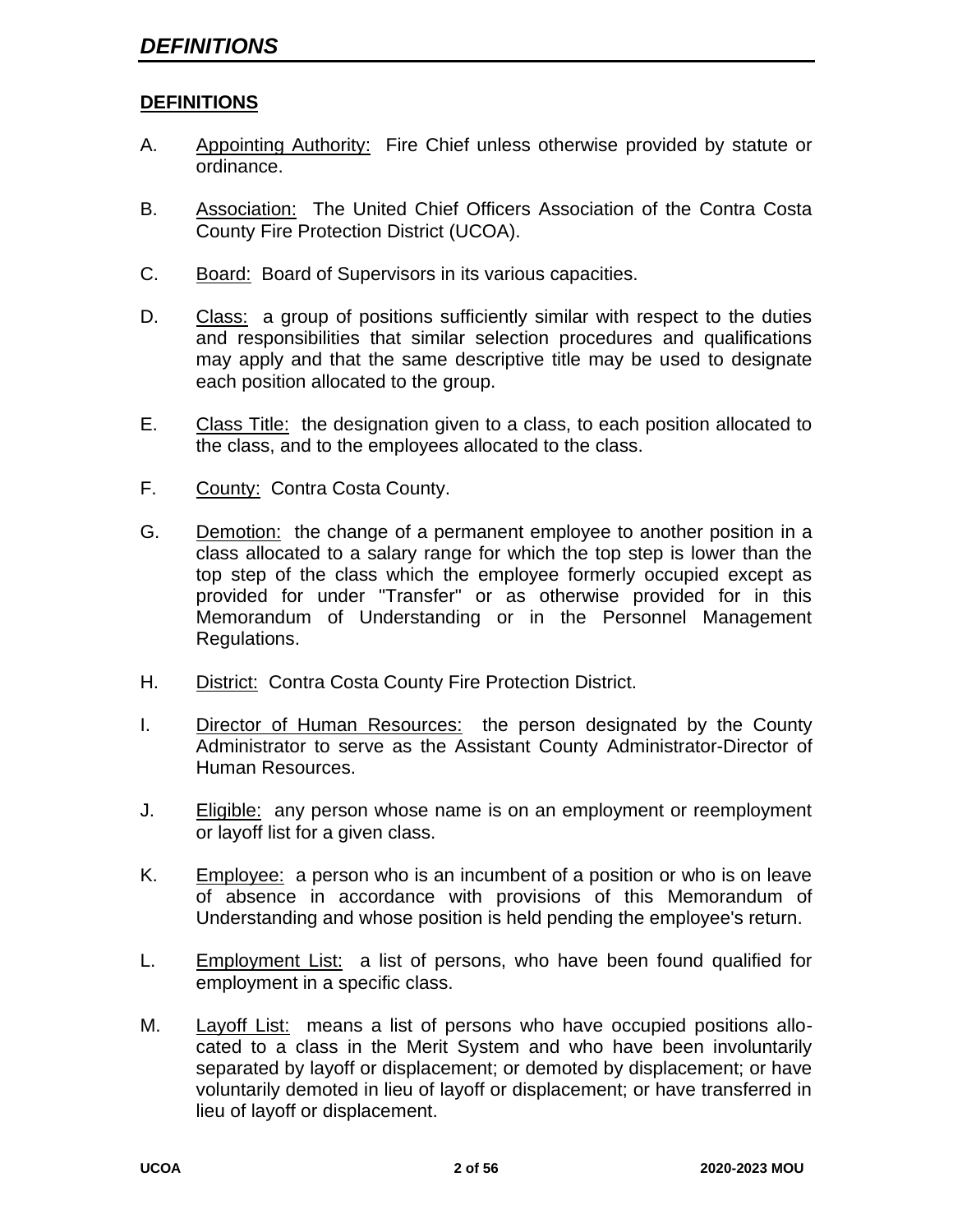#### **DEFINITIONS**

- A. Appointing Authority: Fire Chief unless otherwise provided by statute or ordinance.
- B. Association: The United Chief Officers Association of the Contra Costa County Fire Protection District (UCOA).
- C. Board: Board of Supervisors in its various capacities.
- D. Class: a group of positions sufficiently similar with respect to the duties and responsibilities that similar selection procedures and qualifications may apply and that the same descriptive title may be used to designate each position allocated to the group.
- E. Class Title: the designation given to a class, to each position allocated to the class, and to the employees allocated to the class.
- F. County: Contra Costa County.
- G. Demotion: the change of a permanent employee to another position in a class allocated to a salary range for which the top step is lower than the top step of the class which the employee formerly occupied except as provided for under "Transfer" or as otherwise provided for in this Memorandum of Understanding or in the Personnel Management Regulations.
- H. District: Contra Costa County Fire Protection District.
- I. Director of Human Resources: the person designated by the County Administrator to serve as the Assistant County Administrator-Director of Human Resources.
- J. Eligible: any person whose name is on an employment or reemployment or layoff list for a given class.
- K. Employee: a person who is an incumbent of a position or who is on leave of absence in accordance with provisions of this Memorandum of Understanding and whose position is held pending the employee's return.
- L. Employment List: a list of persons, who have been found qualified for employment in a specific class.
- M. Layoff List: means a list of persons who have occupied positions allocated to a class in the Merit System and who have been involuntarily separated by layoff or displacement; or demoted by displacement; or have voluntarily demoted in lieu of layoff or displacement; or have transferred in lieu of layoff or displacement.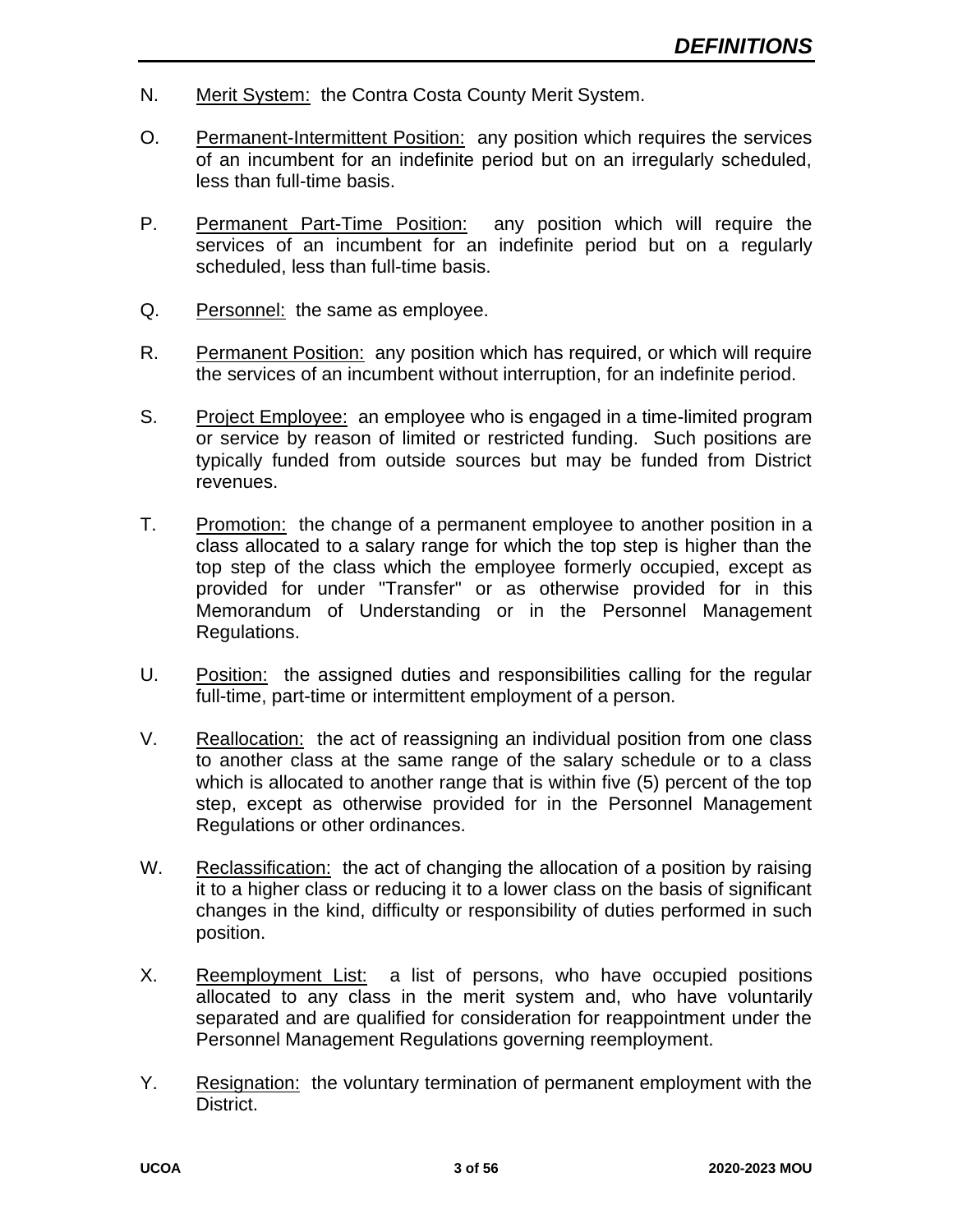- N. Merit System: the Contra Costa County Merit System.
- O. Permanent-Intermittent Position: any position which requires the services of an incumbent for an indefinite period but on an irregularly scheduled, less than full-time basis.
- P. Permanent Part-Time Position: any position which will require the services of an incumbent for an indefinite period but on a regularly scheduled, less than full-time basis.
- Q. Personnel: the same as employee.
- R. Permanent Position: any position which has required, or which will require the services of an incumbent without interruption, for an indefinite period.
- S. Project Employee: an employee who is engaged in a time-limited program or service by reason of limited or restricted funding. Such positions are typically funded from outside sources but may be funded from District revenues.
- T. Promotion: the change of a permanent employee to another position in a class allocated to a salary range for which the top step is higher than the top step of the class which the employee formerly occupied, except as provided for under "Transfer" or as otherwise provided for in this Memorandum of Understanding or in the Personnel Management Regulations.
- U. Position: the assigned duties and responsibilities calling for the regular full-time, part-time or intermittent employment of a person.
- V. Reallocation: the act of reassigning an individual position from one class to another class at the same range of the salary schedule or to a class which is allocated to another range that is within five (5) percent of the top step, except as otherwise provided for in the Personnel Management Regulations or other ordinances.
- W. Reclassification: the act of changing the allocation of a position by raising it to a higher class or reducing it to a lower class on the basis of significant changes in the kind, difficulty or responsibility of duties performed in such position.
- X. Reemployment List: a list of persons, who have occupied positions allocated to any class in the merit system and, who have voluntarily separated and are qualified for consideration for reappointment under the Personnel Management Regulations governing reemployment.
- Y. Resignation: the voluntary termination of permanent employment with the District.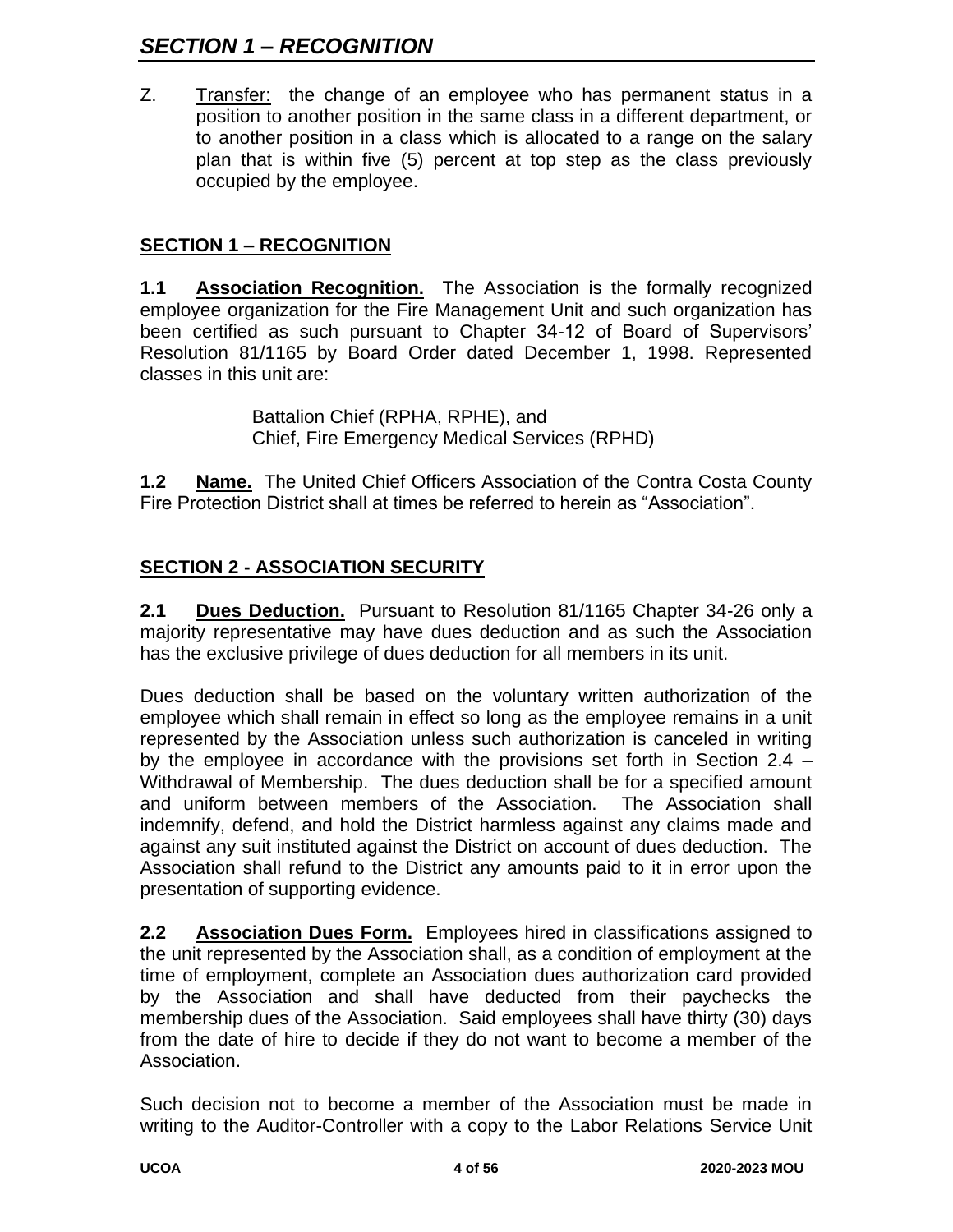# *SECTION 1 – RECOGNITION*

Z. Transfer: the change of an employee who has permanent status in a position to another position in the same class in a different department, or to another position in a class which is allocated to a range on the salary plan that is within five (5) percent at top step as the class previously occupied by the employee.

## **SECTION 1 – RECOGNITION**

**1.1 Association Recognition.** The Association is the formally recognized employee organization for the Fire Management Unit and such organization has been certified as such pursuant to Chapter 34-12 of Board of Supervisors' Resolution 81/1165 by Board Order dated December 1, 1998. Represented classes in this unit are:

> Battalion Chief (RPHA, RPHE), and Chief, Fire Emergency Medical Services (RPHD)

**1.2 Name.** The United Chief Officers Association of the Contra Costa County Fire Protection District shall at times be referred to herein as "Association".

## **SECTION 2 - ASSOCIATION SECURITY**

**2.1 Dues Deduction.** Pursuant to Resolution 81/1165 Chapter 34-26 only a majority representative may have dues deduction and as such the Association has the exclusive privilege of dues deduction for all members in its unit.

Dues deduction shall be based on the voluntary written authorization of the employee which shall remain in effect so long as the employee remains in a unit represented by the Association unless such authorization is canceled in writing by the employee in accordance with the provisions set forth in Section 2.4 – Withdrawal of Membership. The dues deduction shall be for a specified amount and uniform between members of the Association. The Association shall indemnify, defend, and hold the District harmless against any claims made and against any suit instituted against the District on account of dues deduction. The Association shall refund to the District any amounts paid to it in error upon the presentation of supporting evidence.

**2.2 Association Dues Form.** Employees hired in classifications assigned to the unit represented by the Association shall, as a condition of employment at the time of employment, complete an Association dues authorization card provided by the Association and shall have deducted from their paychecks the membership dues of the Association. Said employees shall have thirty (30) days from the date of hire to decide if they do not want to become a member of the Association.

Such decision not to become a member of the Association must be made in writing to the Auditor-Controller with a copy to the Labor Relations Service Unit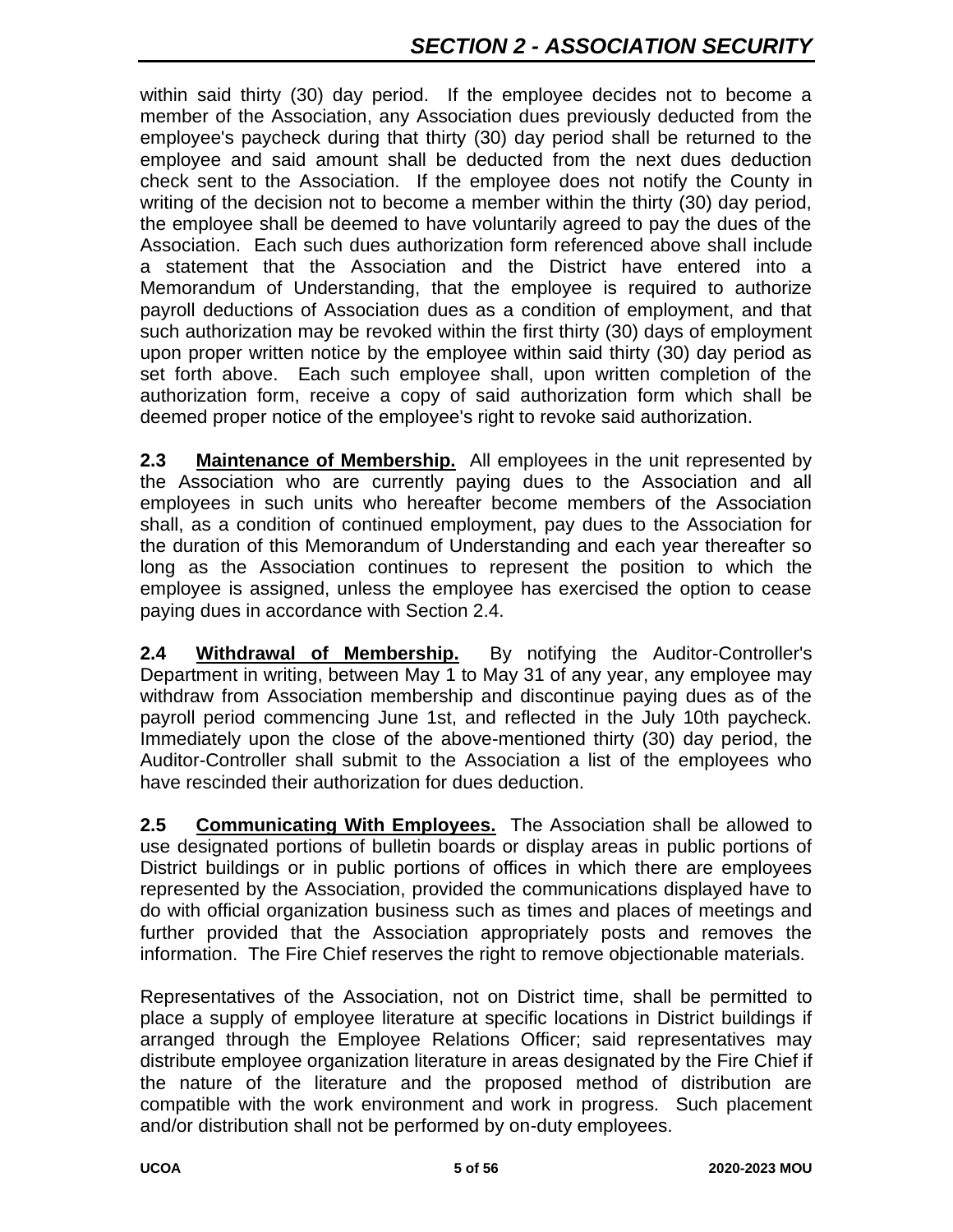within said thirty (30) day period. If the employee decides not to become a member of the Association, any Association dues previously deducted from the employee's paycheck during that thirty (30) day period shall be returned to the employee and said amount shall be deducted from the next dues deduction check sent to the Association. If the employee does not notify the County in writing of the decision not to become a member within the thirty (30) day period, the employee shall be deemed to have voluntarily agreed to pay the dues of the Association. Each such dues authorization form referenced above shall include a statement that the Association and the District have entered into a Memorandum of Understanding, that the employee is required to authorize payroll deductions of Association dues as a condition of employment, and that such authorization may be revoked within the first thirty (30) days of employment upon proper written notice by the employee within said thirty (30) day period as set forth above. Each such employee shall, upon written completion of the authorization form, receive a copy of said authorization form which shall be deemed proper notice of the employee's right to revoke said authorization.

**2.3** Maintenance of Membership. All employees in the unit represented by the Association who are currently paying dues to the Association and all employees in such units who hereafter become members of the Association shall, as a condition of continued employment, pay dues to the Association for the duration of this Memorandum of Understanding and each year thereafter so long as the Association continues to represent the position to which the employee is assigned, unless the employee has exercised the option to cease paying dues in accordance with Section 2.4.

**2.4 Withdrawal of Membership.** By notifying the Auditor-Controller's Department in writing, between May 1 to May 31 of any year, any employee may withdraw from Association membership and discontinue paying dues as of the payroll period commencing June 1st, and reflected in the July 10th paycheck. Immediately upon the close of the above-mentioned thirty (30) day period, the Auditor-Controller shall submit to the Association a list of the employees who have rescinded their authorization for dues deduction.

**2.5 Communicating With Employees.** The Association shall be allowed to use designated portions of bulletin boards or display areas in public portions of District buildings or in public portions of offices in which there are employees represented by the Association, provided the communications displayed have to do with official organization business such as times and places of meetings and further provided that the Association appropriately posts and removes the information. The Fire Chief reserves the right to remove objectionable materials.

Representatives of the Association, not on District time, shall be permitted to place a supply of employee literature at specific locations in District buildings if arranged through the Employee Relations Officer; said representatives may distribute employee organization literature in areas designated by the Fire Chief if the nature of the literature and the proposed method of distribution are compatible with the work environment and work in progress. Such placement and/or distribution shall not be performed by on-duty employees.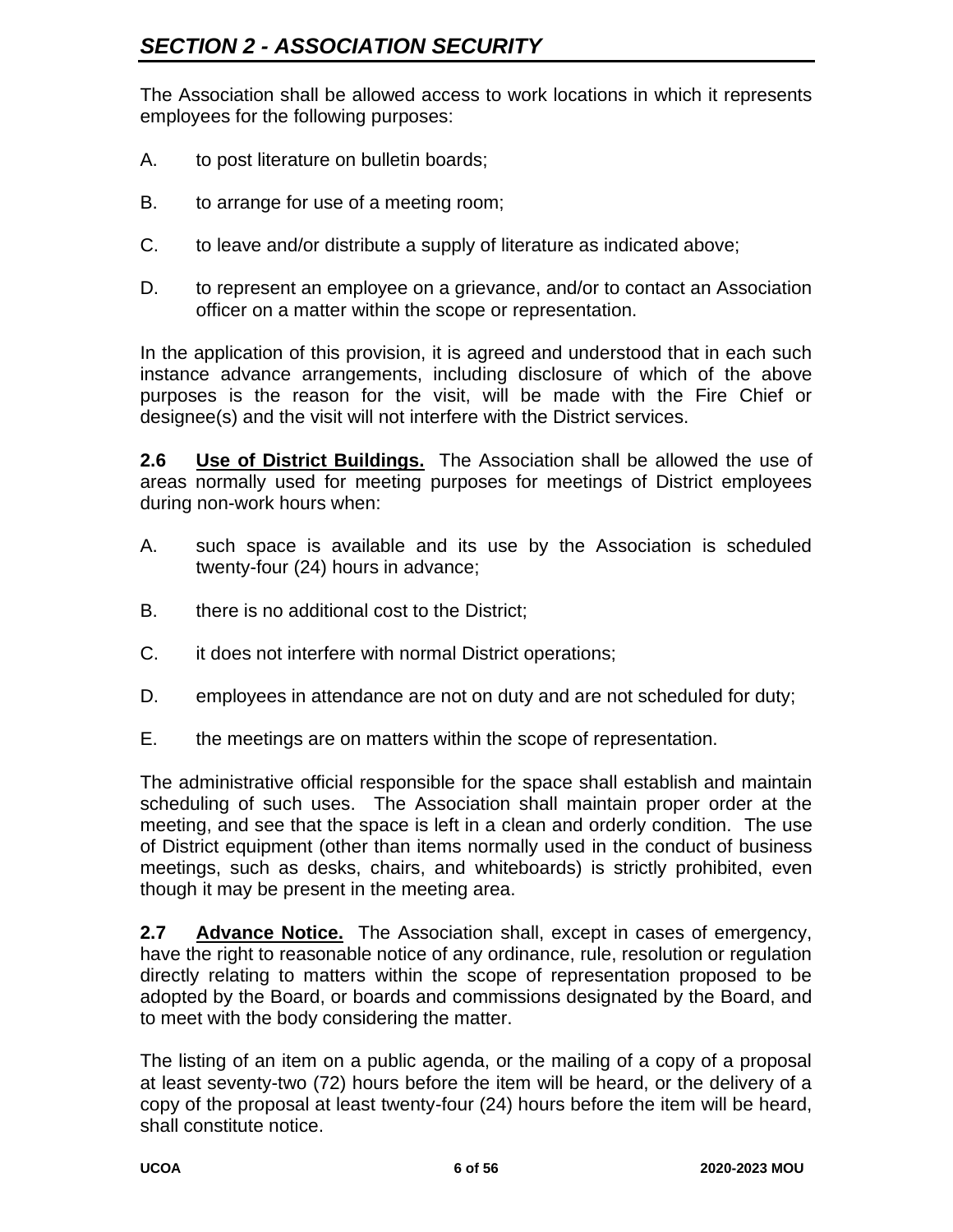The Association shall be allowed access to work locations in which it represents employees for the following purposes:

- A. to post literature on bulletin boards;
- B. to arrange for use of a meeting room;
- C. to leave and/or distribute a supply of literature as indicated above;
- D. to represent an employee on a grievance, and/or to contact an Association officer on a matter within the scope or representation.

In the application of this provision, it is agreed and understood that in each such instance advance arrangements, including disclosure of which of the above purposes is the reason for the visit, will be made with the Fire Chief or designee(s) and the visit will not interfere with the District services.

**2.6 Use of District Buildings.** The Association shall be allowed the use of areas normally used for meeting purposes for meetings of District employees during non-work hours when:

- A. such space is available and its use by the Association is scheduled twenty-four (24) hours in advance;
- B. there is no additional cost to the District;
- C. it does not interfere with normal District operations;
- D. employees in attendance are not on duty and are not scheduled for duty;
- E. the meetings are on matters within the scope of representation.

The administrative official responsible for the space shall establish and maintain scheduling of such uses. The Association shall maintain proper order at the meeting, and see that the space is left in a clean and orderly condition. The use of District equipment (other than items normally used in the conduct of business meetings, such as desks, chairs, and whiteboards) is strictly prohibited, even though it may be present in the meeting area.

**2.7 Advance Notice.** The Association shall, except in cases of emergency, have the right to reasonable notice of any ordinance, rule, resolution or regulation directly relating to matters within the scope of representation proposed to be adopted by the Board, or boards and commissions designated by the Board, and to meet with the body considering the matter.

The listing of an item on a public agenda, or the mailing of a copy of a proposal at least seventy-two (72) hours before the item will be heard, or the delivery of a copy of the proposal at least twenty-four (24) hours before the item will be heard, shall constitute notice.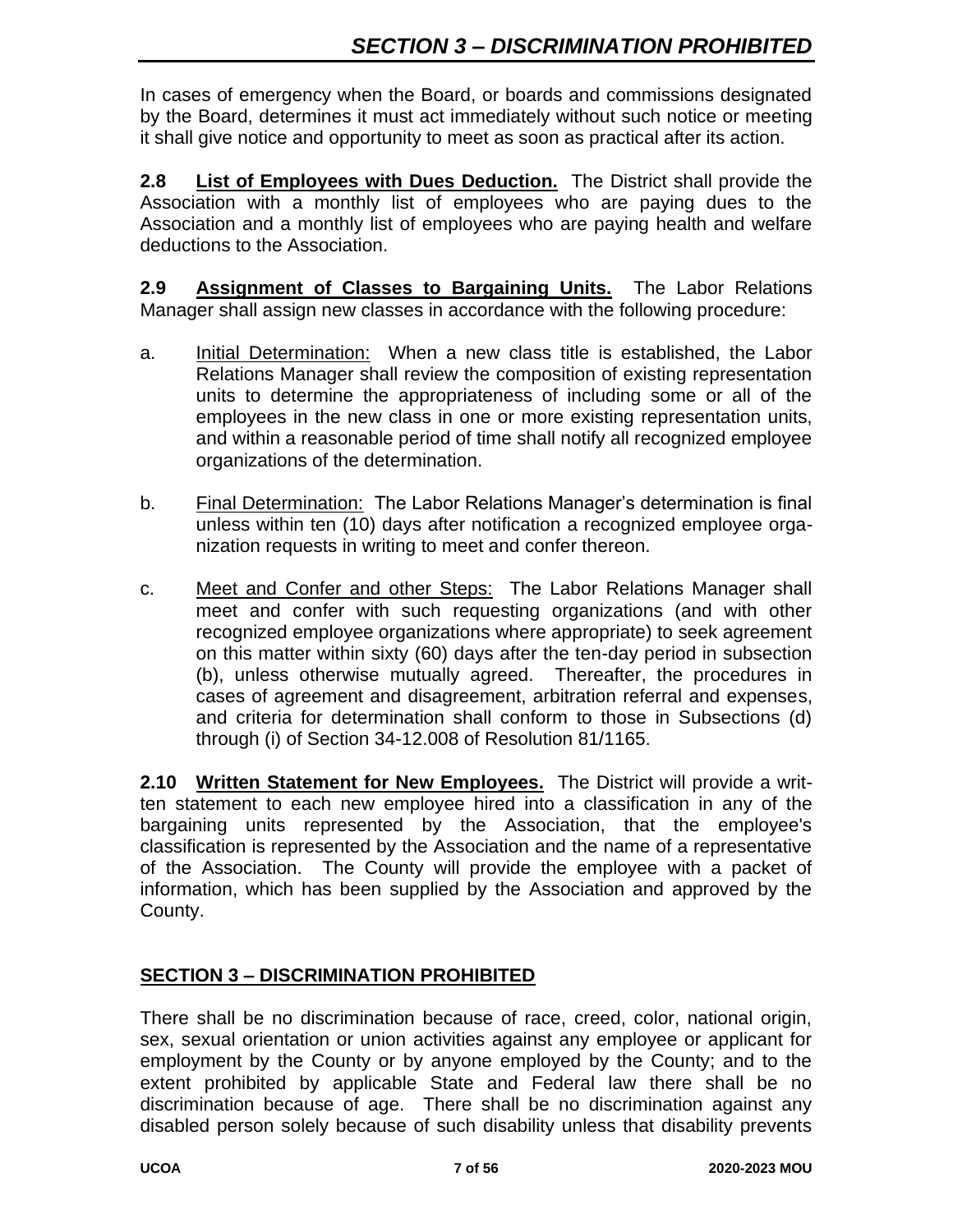In cases of emergency when the Board, or boards and commissions designated by the Board, determines it must act immediately without such notice or meeting it shall give notice and opportunity to meet as soon as practical after its action.

**2.8 List of Employees with Dues Deduction.** The District shall provide the Association with a monthly list of employees who are paying dues to the Association and a monthly list of employees who are paying health and welfare deductions to the Association.

**2.9 Assignment of Classes to Bargaining Units.** The Labor Relations Manager shall assign new classes in accordance with the following procedure:

- a. Initial Determination: When a new class title is established, the Labor Relations Manager shall review the composition of existing representation units to determine the appropriateness of including some or all of the employees in the new class in one or more existing representation units, and within a reasonable period of time shall notify all recognized employee organizations of the determination.
- b. Final Determination: The Labor Relations Manager's determination is final unless within ten (10) days after notification a recognized employee organization requests in writing to meet and confer thereon.
- c. Meet and Confer and other Steps: The Labor Relations Manager shall meet and confer with such requesting organizations (and with other recognized employee organizations where appropriate) to seek agreement on this matter within sixty (60) days after the ten-day period in subsection (b), unless otherwise mutually agreed. Thereafter, the procedures in cases of agreement and disagreement, arbitration referral and expenses, and criteria for determination shall conform to those in Subsections (d) through (i) of Section 34-12.008 of Resolution 81/1165.

**2.10 Written Statement for New Employees.** The District will provide a written statement to each new employee hired into a classification in any of the bargaining units represented by the Association, that the employee's classification is represented by the Association and the name of a representative of the Association. The County will provide the employee with a packet of information, which has been supplied by the Association and approved by the County.

#### **SECTION 3 – DISCRIMINATION PROHIBITED**

There shall be no discrimination because of race, creed, color, national origin, sex, sexual orientation or union activities against any employee or applicant for employment by the County or by anyone employed by the County; and to the extent prohibited by applicable State and Federal law there shall be no discrimination because of age. There shall be no discrimination against any disabled person solely because of such disability unless that disability prevents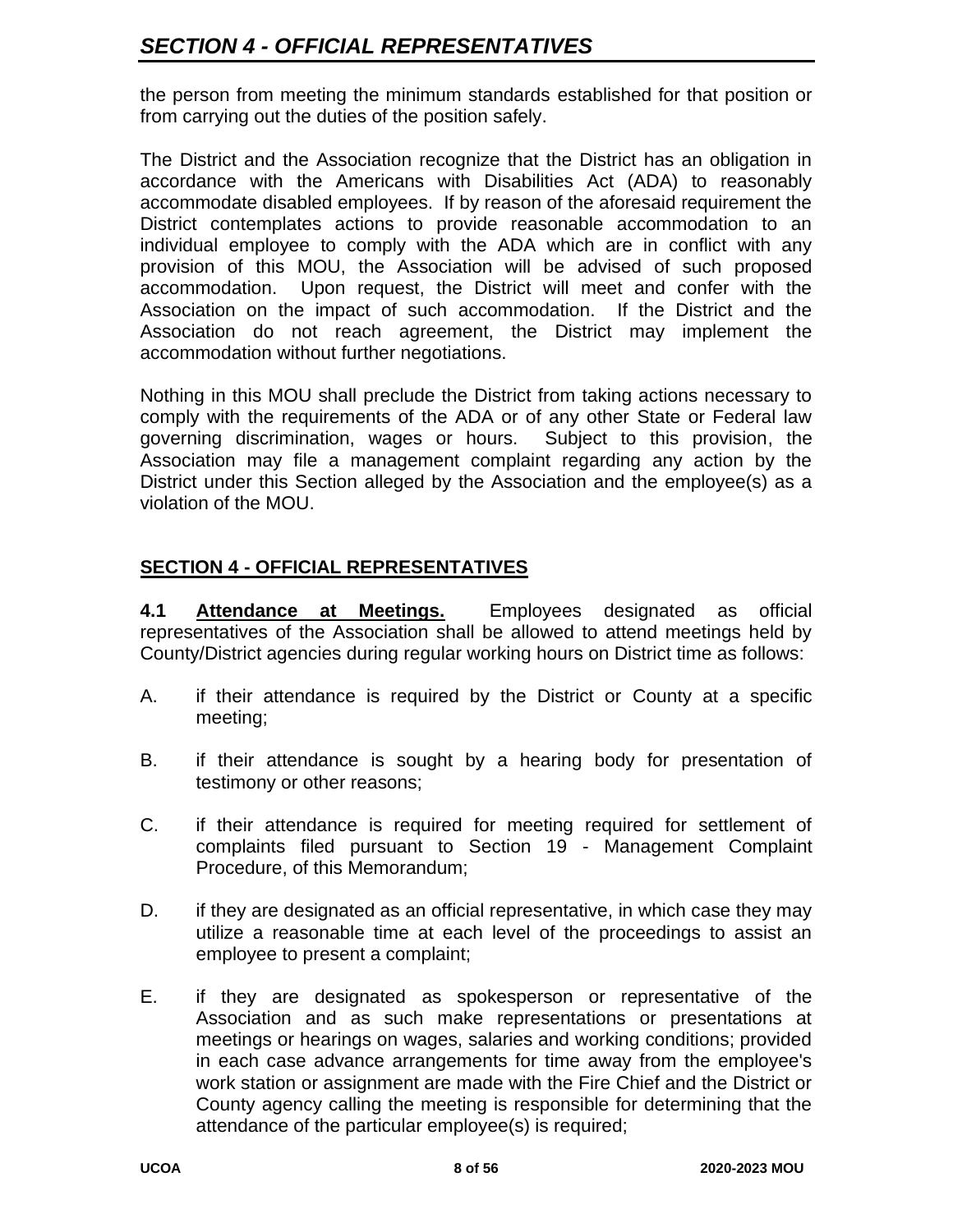the person from meeting the minimum standards established for that position or from carrying out the duties of the position safely.

The District and the Association recognize that the District has an obligation in accordance with the Americans with Disabilities Act (ADA) to reasonably accommodate disabled employees. If by reason of the aforesaid requirement the District contemplates actions to provide reasonable accommodation to an individual employee to comply with the ADA which are in conflict with any provision of this MOU, the Association will be advised of such proposed accommodation. Upon request, the District will meet and confer with the Association on the impact of such accommodation. If the District and the Association do not reach agreement, the District may implement the accommodation without further negotiations.

Nothing in this MOU shall preclude the District from taking actions necessary to comply with the requirements of the ADA or of any other State or Federal law governing discrimination, wages or hours. Subject to this provision, the Association may file a management complaint regarding any action by the District under this Section alleged by the Association and the employee(s) as a violation of the MOU.

# **SECTION 4 - OFFICIAL REPRESENTATIVES**

**4.1 Attendance at Meetings.** Employees designated as official representatives of the Association shall be allowed to attend meetings held by County/District agencies during regular working hours on District time as follows:

- A. if their attendance is required by the District or County at a specific meeting;
- B. if their attendance is sought by a hearing body for presentation of testimony or other reasons;
- C. if their attendance is required for meeting required for settlement of complaints filed pursuant to Section 19 - Management Complaint Procedure, of this Memorandum;
- D. if they are designated as an official representative, in which case they may utilize a reasonable time at each level of the proceedings to assist an employee to present a complaint;
- E. if they are designated as spokesperson or representative of the Association and as such make representations or presentations at meetings or hearings on wages, salaries and working conditions; provided in each case advance arrangements for time away from the employee's work station or assignment are made with the Fire Chief and the District or County agency calling the meeting is responsible for determining that the attendance of the particular employee(s) is required;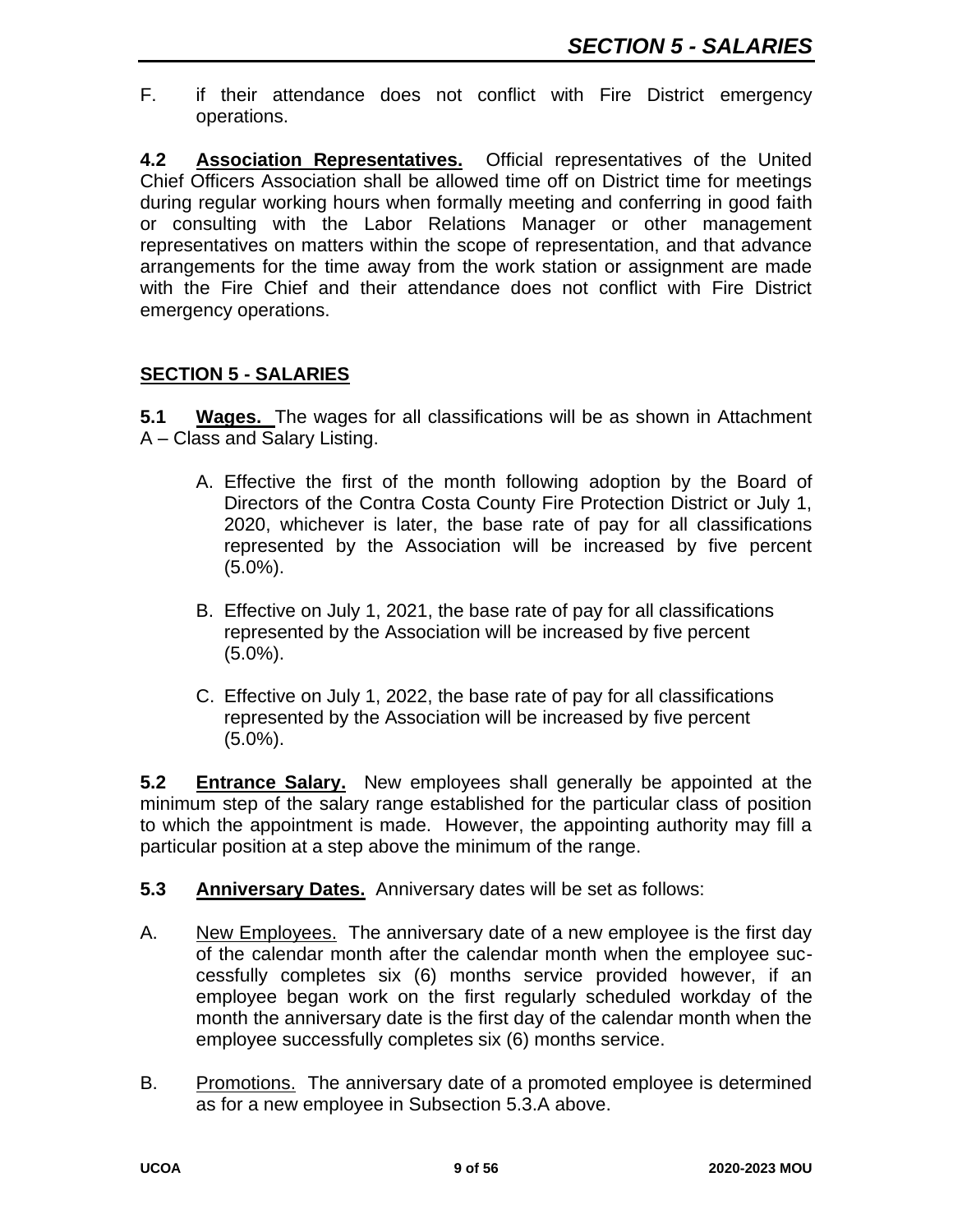F. if their attendance does not conflict with Fire District emergency operations.

**4.2 Association Representatives.** Official representatives of the United Chief Officers Association shall be allowed time off on District time for meetings during regular working hours when formally meeting and conferring in good faith or consulting with the Labor Relations Manager or other management representatives on matters within the scope of representation, and that advance arrangements for the time away from the work station or assignment are made with the Fire Chief and their attendance does not conflict with Fire District emergency operations.

## **SECTION 5 - SALARIES**

**5.1 Wages.** The wages for all classifications will be as shown in Attachment A – Class and Salary Listing.

- A. Effective the first of the month following adoption by the Board of Directors of the Contra Costa County Fire Protection District or July 1, 2020, whichever is later, the base rate of pay for all classifications represented by the Association will be increased by five percent  $(5.0\%)$ .
- B. Effective on July 1, 2021, the base rate of pay for all classifications represented by the Association will be increased by five percent (5.0%).
- C. Effective on July 1, 2022, the base rate of pay for all classifications represented by the Association will be increased by five percent (5.0%).

**5.2 Entrance Salary.** New employees shall generally be appointed at the minimum step of the salary range established for the particular class of position to which the appointment is made. However, the appointing authority may fill a particular position at a step above the minimum of the range.

- **5.3 Anniversary Dates.** Anniversary dates will be set as follows:
- A. New Employees. The anniversary date of a new employee is the first day of the calendar month after the calendar month when the employee successfully completes six (6) months service provided however, if an employee began work on the first regularly scheduled workday of the month the anniversary date is the first day of the calendar month when the employee successfully completes six (6) months service.
- B. Promotions. The anniversary date of a promoted employee is determined as for a new employee in Subsection 5.3.A above.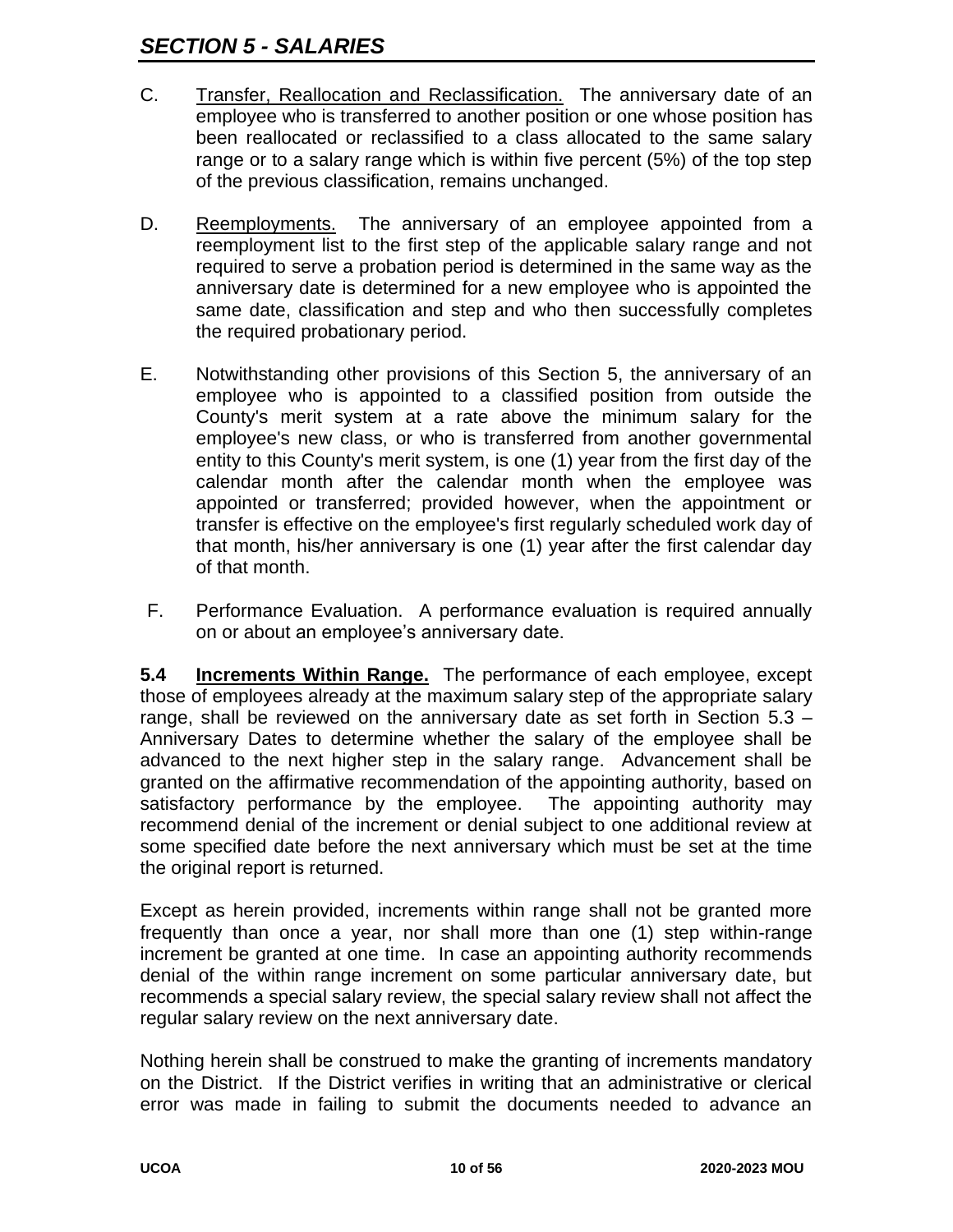- C. Transfer, Reallocation and Reclassification. The anniversary date of an employee who is transferred to another position or one whose position has been reallocated or reclassified to a class allocated to the same salary range or to a salary range which is within five percent (5%) of the top step of the previous classification, remains unchanged.
- D. Reemployments. The anniversary of an employee appointed from a reemployment list to the first step of the applicable salary range and not required to serve a probation period is determined in the same way as the anniversary date is determined for a new employee who is appointed the same date, classification and step and who then successfully completes the required probationary period.
- E. Notwithstanding other provisions of this Section 5, the anniversary of an employee who is appointed to a classified position from outside the County's merit system at a rate above the minimum salary for the employee's new class, or who is transferred from another governmental entity to this County's merit system, is one (1) year from the first day of the calendar month after the calendar month when the employee was appointed or transferred; provided however, when the appointment or transfer is effective on the employee's first regularly scheduled work day of that month, his/her anniversary is one (1) year after the first calendar day of that month.
- F. Performance Evaluation. A performance evaluation is required annually on or about an employee's anniversary date.

**5.4 Increments Within Range.** The performance of each employee, except those of employees already at the maximum salary step of the appropriate salary range, shall be reviewed on the anniversary date as set forth in Section 5.3 – Anniversary Dates to determine whether the salary of the employee shall be advanced to the next higher step in the salary range. Advancement shall be granted on the affirmative recommendation of the appointing authority, based on satisfactory performance by the employee. The appointing authority may recommend denial of the increment or denial subject to one additional review at some specified date before the next anniversary which must be set at the time the original report is returned.

Except as herein provided, increments within range shall not be granted more frequently than once a year, nor shall more than one (1) step within-range increment be granted at one time. In case an appointing authority recommends denial of the within range increment on some particular anniversary date, but recommends a special salary review, the special salary review shall not affect the regular salary review on the next anniversary date.

Nothing herein shall be construed to make the granting of increments mandatory on the District. If the District verifies in writing that an administrative or clerical error was made in failing to submit the documents needed to advance an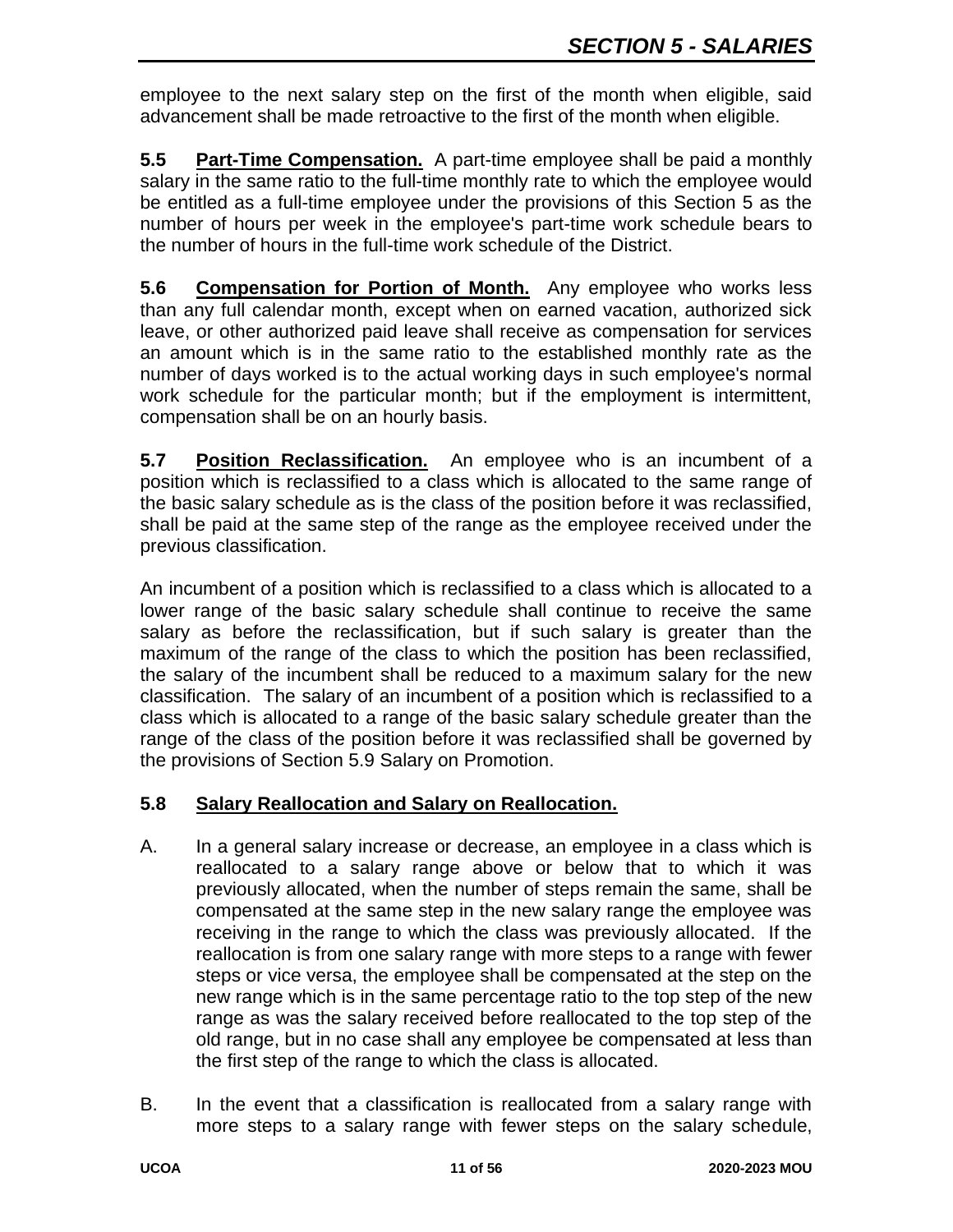employee to the next salary step on the first of the month when eligible, said advancement shall be made retroactive to the first of the month when eligible.

**5.5 Part-Time Compensation.** A part-time employee shall be paid a monthly salary in the same ratio to the full-time monthly rate to which the employee would be entitled as a full-time employee under the provisions of this Section 5 as the number of hours per week in the employee's part-time work schedule bears to the number of hours in the full-time work schedule of the District.

**5.6 Compensation for Portion of Month.** Any employee who works less than any full calendar month, except when on earned vacation, authorized sick leave, or other authorized paid leave shall receive as compensation for services an amount which is in the same ratio to the established monthly rate as the number of days worked is to the actual working days in such employee's normal work schedule for the particular month; but if the employment is intermittent, compensation shall be on an hourly basis.

**5.7 Position Reclassification.** An employee who is an incumbent of a position which is reclassified to a class which is allocated to the same range of the basic salary schedule as is the class of the position before it was reclassified, shall be paid at the same step of the range as the employee received under the previous classification.

An incumbent of a position which is reclassified to a class which is allocated to a lower range of the basic salary schedule shall continue to receive the same salary as before the reclassification, but if such salary is greater than the maximum of the range of the class to which the position has been reclassified, the salary of the incumbent shall be reduced to a maximum salary for the new classification. The salary of an incumbent of a position which is reclassified to a class which is allocated to a range of the basic salary schedule greater than the range of the class of the position before it was reclassified shall be governed by the provisions of Section 5.9 Salary on Promotion.

# **5.8 Salary Reallocation and Salary on Reallocation.**

- A. In a general salary increase or decrease, an employee in a class which is reallocated to a salary range above or below that to which it was previously allocated, when the number of steps remain the same, shall be compensated at the same step in the new salary range the employee was receiving in the range to which the class was previously allocated. If the reallocation is from one salary range with more steps to a range with fewer steps or vice versa, the employee shall be compensated at the step on the new range which is in the same percentage ratio to the top step of the new range as was the salary received before reallocated to the top step of the old range, but in no case shall any employee be compensated at less than the first step of the range to which the class is allocated.
- B. In the event that a classification is reallocated from a salary range with more steps to a salary range with fewer steps on the salary schedule,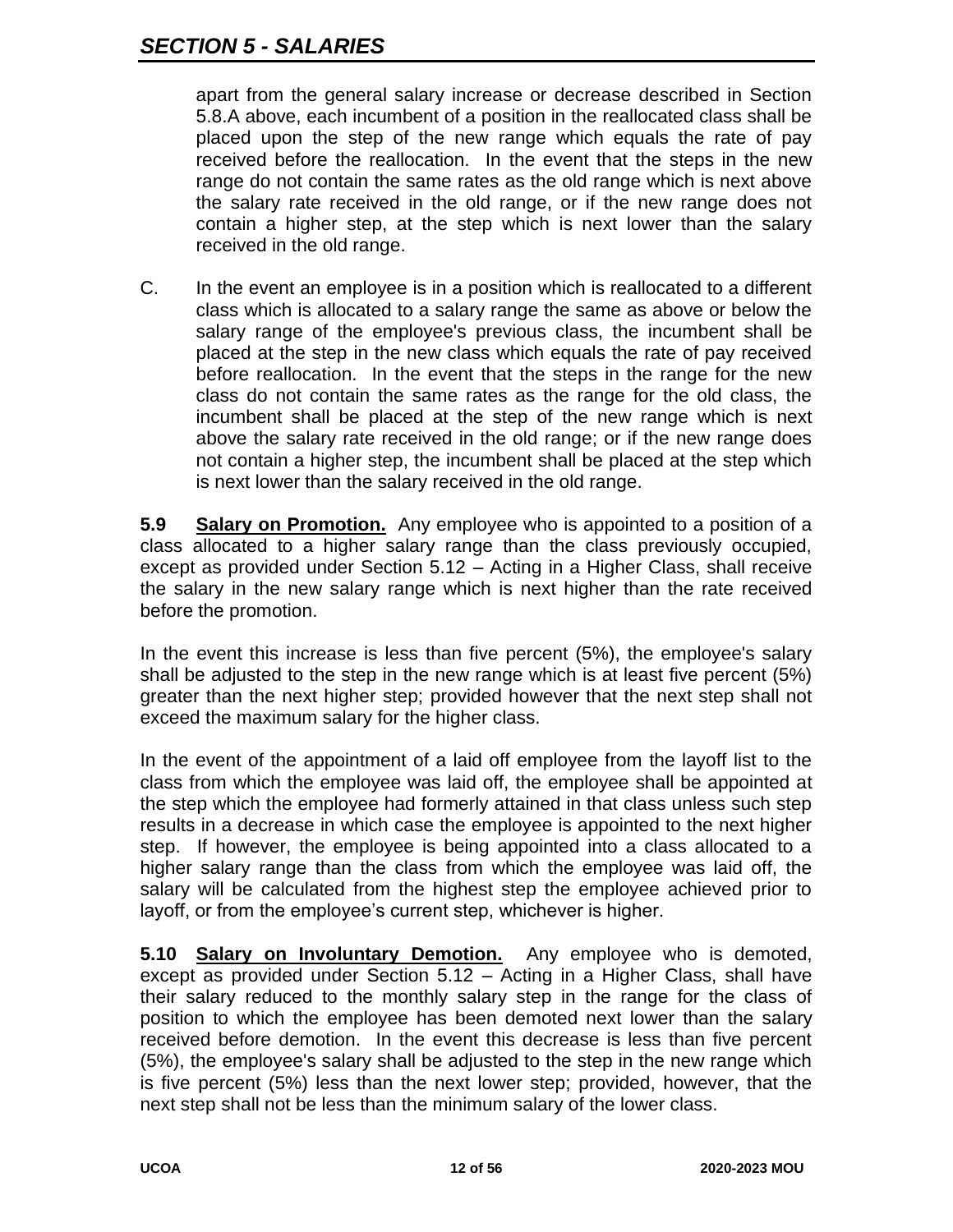apart from the general salary increase or decrease described in Section 5.8.A above, each incumbent of a position in the reallocated class shall be placed upon the step of the new range which equals the rate of pay received before the reallocation. In the event that the steps in the new range do not contain the same rates as the old range which is next above the salary rate received in the old range, or if the new range does not contain a higher step, at the step which is next lower than the salary received in the old range.

C. In the event an employee is in a position which is reallocated to a different class which is allocated to a salary range the same as above or below the salary range of the employee's previous class, the incumbent shall be placed at the step in the new class which equals the rate of pay received before reallocation. In the event that the steps in the range for the new class do not contain the same rates as the range for the old class, the incumbent shall be placed at the step of the new range which is next above the salary rate received in the old range; or if the new range does not contain a higher step, the incumbent shall be placed at the step which is next lower than the salary received in the old range.

**5.9 Salary on Promotion.** Any employee who is appointed to a position of a class allocated to a higher salary range than the class previously occupied, except as provided under Section 5.12 – Acting in a Higher Class, shall receive the salary in the new salary range which is next higher than the rate received before the promotion.

In the event this increase is less than five percent (5%), the employee's salary shall be adjusted to the step in the new range which is at least five percent (5%) greater than the next higher step; provided however that the next step shall not exceed the maximum salary for the higher class.

In the event of the appointment of a laid off employee from the layoff list to the class from which the employee was laid off, the employee shall be appointed at the step which the employee had formerly attained in that class unless such step results in a decrease in which case the employee is appointed to the next higher step. If however, the employee is being appointed into a class allocated to a higher salary range than the class from which the employee was laid off, the salary will be calculated from the highest step the employee achieved prior to layoff, or from the employee's current step, whichever is higher.

**5.10 Salary on Involuntary Demotion.** Any employee who is demoted, except as provided under Section 5.12 – Acting in a Higher Class, shall have their salary reduced to the monthly salary step in the range for the class of position to which the employee has been demoted next lower than the salary received before demotion. In the event this decrease is less than five percent (5%), the employee's salary shall be adjusted to the step in the new range which is five percent (5%) less than the next lower step; provided, however, that the next step shall not be less than the minimum salary of the lower class.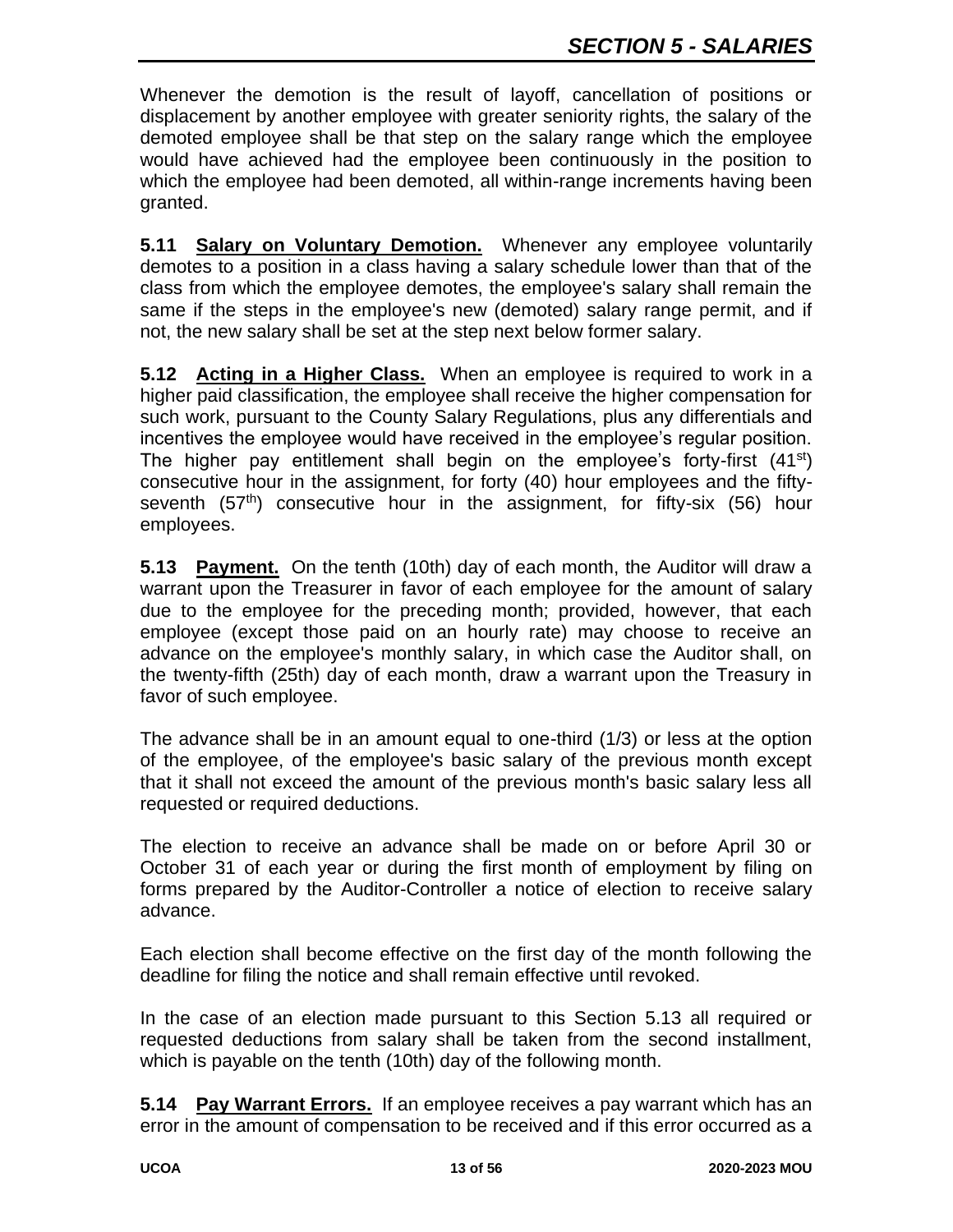Whenever the demotion is the result of layoff, cancellation of positions or displacement by another employee with greater seniority rights, the salary of the demoted employee shall be that step on the salary range which the employee would have achieved had the employee been continuously in the position to which the employee had been demoted, all within-range increments having been granted.

**5.11 Salary on Voluntary Demotion.** Whenever any employee voluntarily demotes to a position in a class having a salary schedule lower than that of the class from which the employee demotes, the employee's salary shall remain the same if the steps in the employee's new (demoted) salary range permit, and if not, the new salary shall be set at the step next below former salary.

**5.12 Acting in a Higher Class.** When an employee is required to work in a higher paid classification, the employee shall receive the higher compensation for such work, pursuant to the County Salary Regulations, plus any differentials and incentives the employee would have received in the employee's regular position. The higher pay entitlement shall begin on the employee's forty-first  $(41^{st})$ consecutive hour in the assignment, for forty (40) hour employees and the fiftyseventh (57<sup>th</sup>) consecutive hour in the assignment, for fifty-six (56) hour employees.

**5.13 Payment.** On the tenth (10th) day of each month, the Auditor will draw a warrant upon the Treasurer in favor of each employee for the amount of salary due to the employee for the preceding month; provided, however, that each employee (except those paid on an hourly rate) may choose to receive an advance on the employee's monthly salary, in which case the Auditor shall, on the twenty-fifth (25th) day of each month, draw a warrant upon the Treasury in favor of such employee.

The advance shall be in an amount equal to one-third (1/3) or less at the option of the employee, of the employee's basic salary of the previous month except that it shall not exceed the amount of the previous month's basic salary less all requested or required deductions.

The election to receive an advance shall be made on or before April 30 or October 31 of each year or during the first month of employment by filing on forms prepared by the Auditor-Controller a notice of election to receive salary advance.

Each election shall become effective on the first day of the month following the deadline for filing the notice and shall remain effective until revoked.

In the case of an election made pursuant to this Section 5.13 all required or requested deductions from salary shall be taken from the second installment, which is payable on the tenth (10th) day of the following month.

**5.14 Pay Warrant Errors.** If an employee receives a pay warrant which has an error in the amount of compensation to be received and if this error occurred as a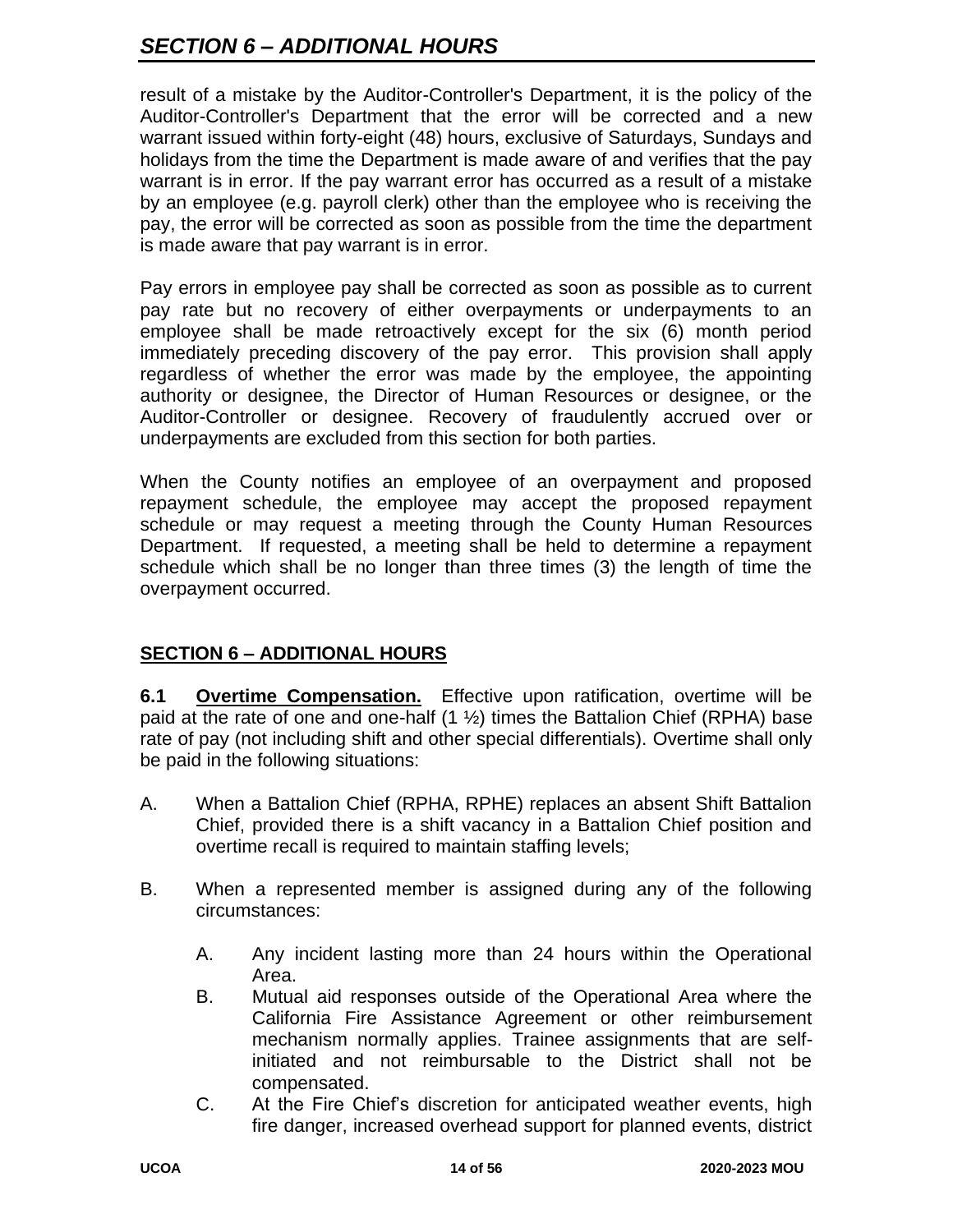# *SECTION 6 – ADDITIONAL HOURS*

result of a mistake by the Auditor-Controller's Department, it is the policy of the Auditor-Controller's Department that the error will be corrected and a new warrant issued within forty-eight (48) hours, exclusive of Saturdays, Sundays and holidays from the time the Department is made aware of and verifies that the pay warrant is in error. If the pay warrant error has occurred as a result of a mistake by an employee (e.g. payroll clerk) other than the employee who is receiving the pay, the error will be corrected as soon as possible from the time the department is made aware that pay warrant is in error.

Pay errors in employee pay shall be corrected as soon as possible as to current pay rate but no recovery of either overpayments or underpayments to an employee shall be made retroactively except for the six (6) month period immediately preceding discovery of the pay error. This provision shall apply regardless of whether the error was made by the employee, the appointing authority or designee, the Director of Human Resources or designee, or the Auditor-Controller or designee. Recovery of fraudulently accrued over or underpayments are excluded from this section for both parties.

When the County notifies an employee of an overpayment and proposed repayment schedule, the employee may accept the proposed repayment schedule or may request a meeting through the County Human Resources Department. If requested, a meeting shall be held to determine a repayment schedule which shall be no longer than three times (3) the length of time the overpayment occurred.

# **SECTION 6 – ADDITIONAL HOURS**

**6.1 Overtime Compensation.** Effective upon ratification, overtime will be paid at the rate of one and one-half  $(1 \frac{1}{2})$  times the Battalion Chief (RPHA) base rate of pay (not including shift and other special differentials). Overtime shall only be paid in the following situations:

- A. When a Battalion Chief (RPHA, RPHE) replaces an absent Shift Battalion Chief, provided there is a shift vacancy in a Battalion Chief position and overtime recall is required to maintain staffing levels;
- B. When a represented member is assigned during any of the following circumstances:
	- A. Any incident lasting more than 24 hours within the Operational Area.
	- B. Mutual aid responses outside of the Operational Area where the California Fire Assistance Agreement or other reimbursement mechanism normally applies. Trainee assignments that are selfinitiated and not reimbursable to the District shall not be compensated.
	- C. At the Fire Chief's discretion for anticipated weather events, high fire danger, increased overhead support for planned events, district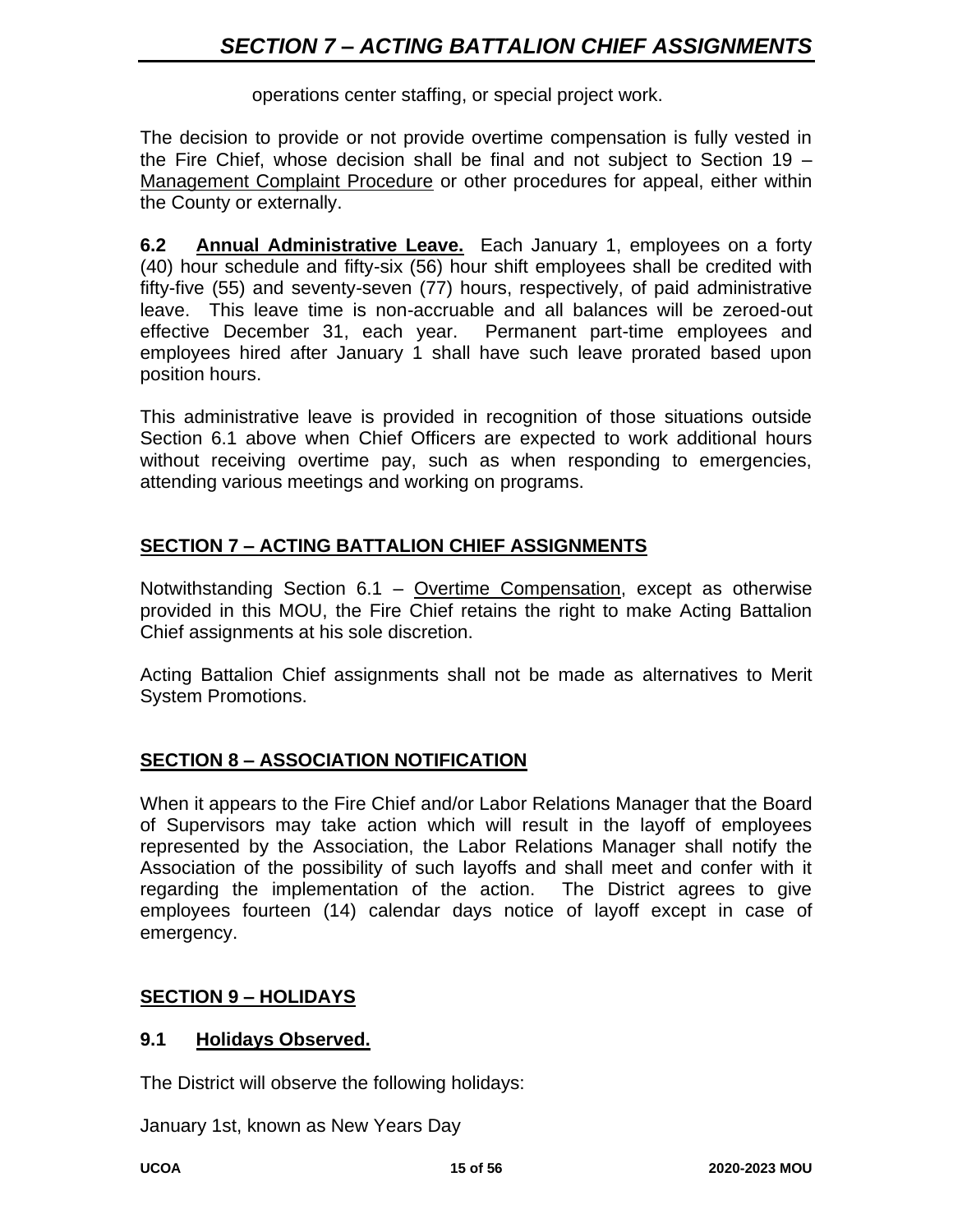operations center staffing, or special project work.

The decision to provide or not provide overtime compensation is fully vested in the Fire Chief, whose decision shall be final and not subject to Section 19 – Management Complaint Procedure or other procedures for appeal, either within the County or externally.

**6.2 Annual Administrative Leave.** Each January 1, employees on a forty (40) hour schedule and fifty-six (56) hour shift employees shall be credited with fifty-five (55) and seventy-seven (77) hours, respectively, of paid administrative leave. This leave time is non-accruable and all balances will be zeroed-out effective December 31, each year. Permanent part-time employees and employees hired after January 1 shall have such leave prorated based upon position hours.

This administrative leave is provided in recognition of those situations outside Section 6.1 above when Chief Officers are expected to work additional hours without receiving overtime pay, such as when responding to emergencies, attending various meetings and working on programs.

# **SECTION 7 – ACTING BATTALION CHIEF ASSIGNMENTS**

Notwithstanding Section 6.1 – Overtime Compensation, except as otherwise provided in this MOU, the Fire Chief retains the right to make Acting Battalion Chief assignments at his sole discretion.

Acting Battalion Chief assignments shall not be made as alternatives to Merit System Promotions.

#### **SECTION 8 – ASSOCIATION NOTIFICATION**

When it appears to the Fire Chief and/or Labor Relations Manager that the Board of Supervisors may take action which will result in the layoff of employees represented by the Association, the Labor Relations Manager shall notify the Association of the possibility of such layoffs and shall meet and confer with it regarding the implementation of the action. The District agrees to give employees fourteen (14) calendar days notice of layoff except in case of emergency.

#### **SECTION 9 – HOLIDAYS**

#### **9.1 Holidays Observed.**

The District will observe the following holidays:

January 1st, known as New Years Day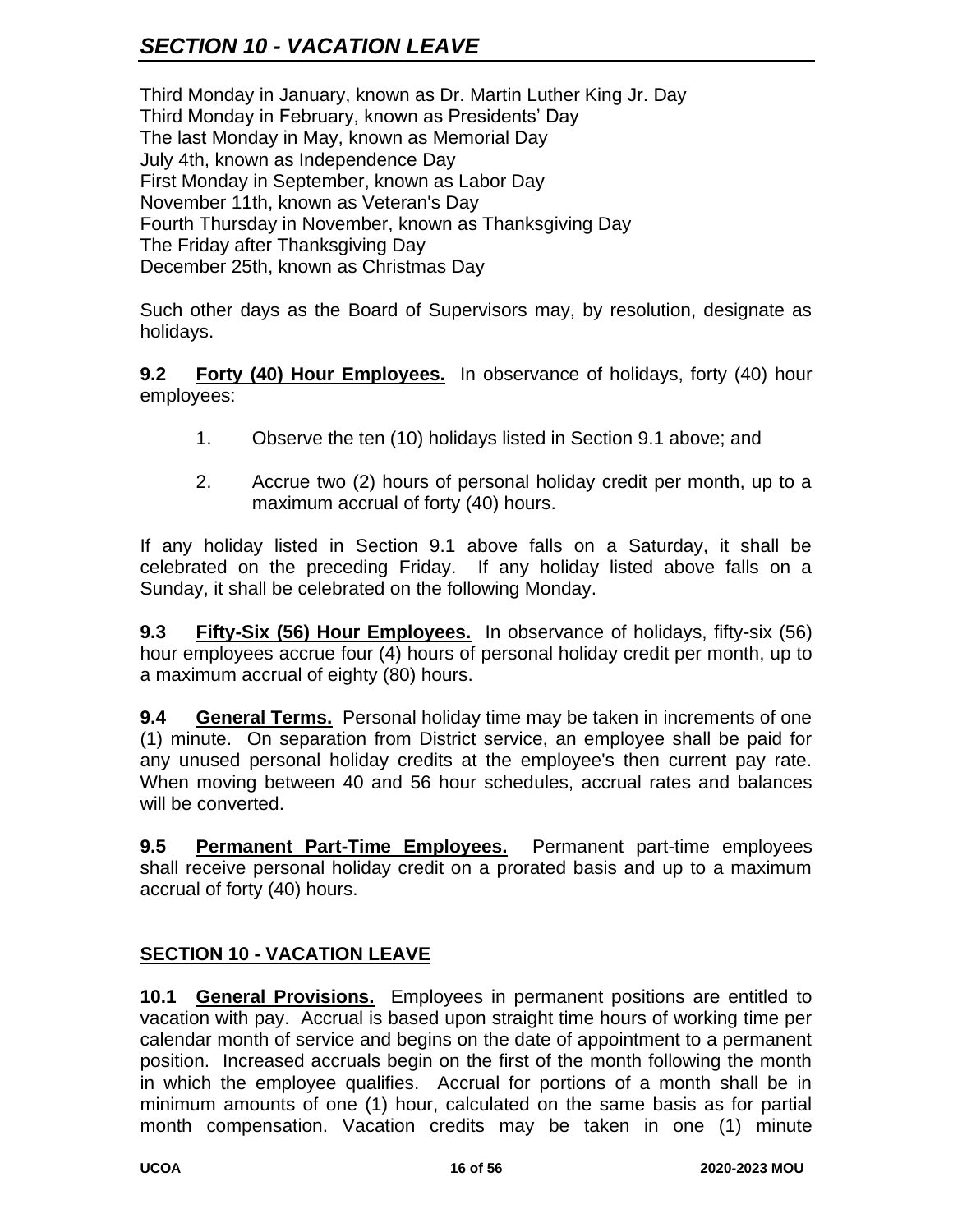Third Monday in January, known as Dr. Martin Luther King Jr. Day Third Monday in February, known as Presidents' Day The last Monday in May, known as Memorial Day July 4th, known as Independence Day First Monday in September, known as Labor Day November 11th, known as Veteran's Day Fourth Thursday in November, known as Thanksgiving Day The Friday after Thanksgiving Day December 25th, known as Christmas Day

Such other days as the Board of Supervisors may, by resolution, designate as holidays.

**9.2 Forty (40) Hour Employees.** In observance of holidays, forty (40) hour employees:

- 1. Observe the ten (10) holidays listed in Section 9.1 above; and
- 2. Accrue two (2) hours of personal holiday credit per month, up to a maximum accrual of forty (40) hours.

If any holiday listed in Section 9.1 above falls on a Saturday, it shall be celebrated on the preceding Friday. If any holiday listed above falls on a Sunday, it shall be celebrated on the following Monday.

**9.3 Fifty-Six (56) Hour Employees.** In observance of holidays, fifty-six (56) hour employees accrue four (4) hours of personal holiday credit per month, up to a maximum accrual of eighty (80) hours.

**9.4 General Terms.** Personal holiday time may be taken in increments of one (1) minute. On separation from District service, an employee shall be paid for any unused personal holiday credits at the employee's then current pay rate. When moving between 40 and 56 hour schedules, accrual rates and balances will be converted.

**9.5 Permanent Part-Time Employees.** Permanent part-time employees shall receive personal holiday credit on a prorated basis and up to a maximum accrual of forty (40) hours.

# **SECTION 10 - VACATION LEAVE**

**10.1 General Provisions.** Employees in permanent positions are entitled to vacation with pay. Accrual is based upon straight time hours of working time per calendar month of service and begins on the date of appointment to a permanent position. Increased accruals begin on the first of the month following the month in which the employee qualifies. Accrual for portions of a month shall be in minimum amounts of one (1) hour, calculated on the same basis as for partial month compensation. Vacation credits may be taken in one (1) minute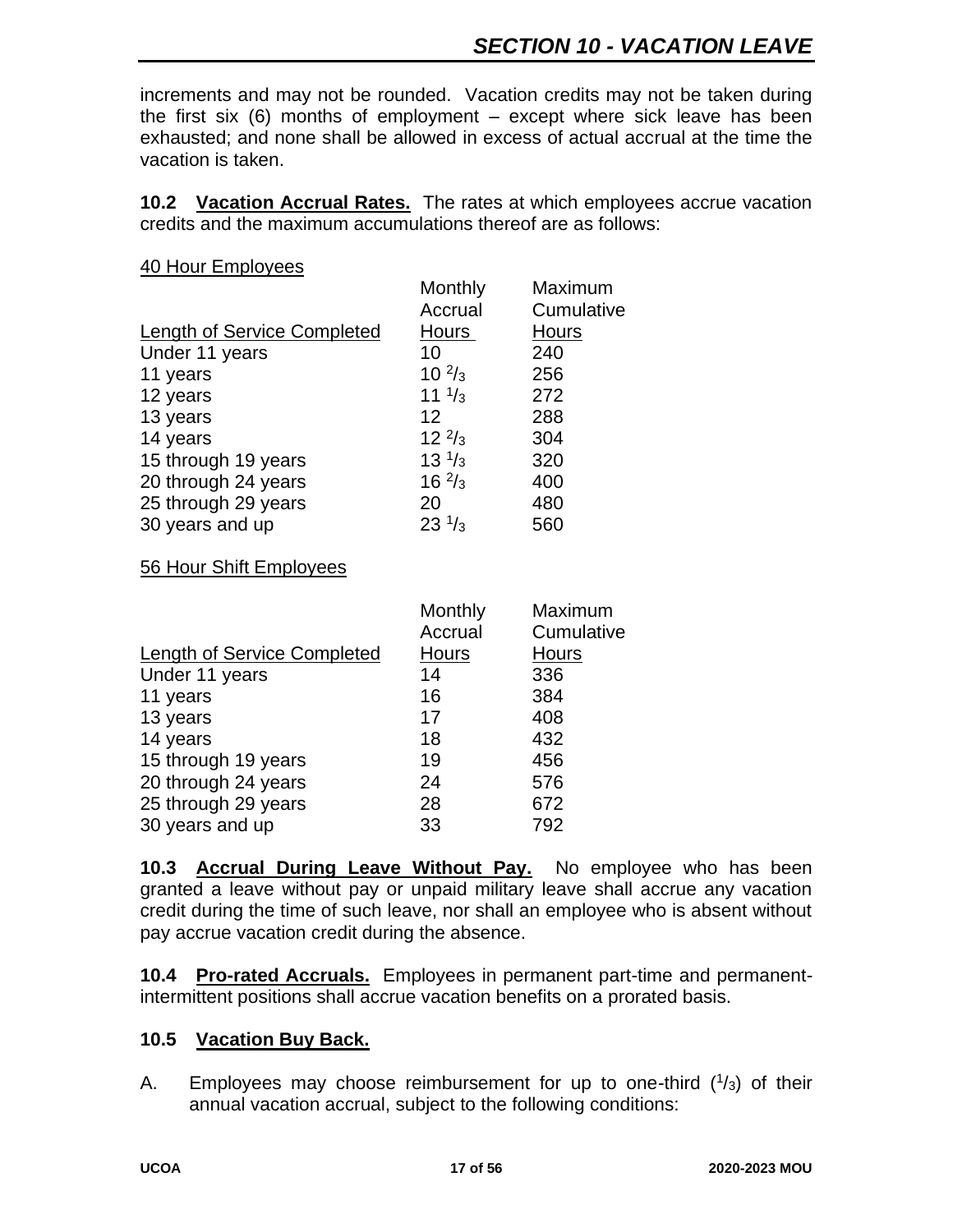increments and may not be rounded. Vacation credits may not be taken during the first six  $(6)$  months of employment – except where sick leave has been exhausted; and none shall be allowed in excess of actual accrual at the time the vacation is taken.

**10.2 Vacation Accrual Rates.** The rates at which employees accrue vacation credits and the maximum accumulations thereof are as follows:

#### 40 Hour Employees

|                             | Monthly          | Maximum      |
|-----------------------------|------------------|--------------|
|                             | Accrual          | Cumulative   |
| Length of Service Completed | Hours            | <b>Hours</b> |
| Under 11 years              | 10               | 240          |
| 11 years                    | $10^{2}/_3$      | 256          |
| 12 years                    | 11 $\frac{1}{3}$ | 272          |
| 13 years                    | 12               | 288          |
| 14 years                    | $12^{2}/_3$      | 304          |
| 15 through 19 years         | $13^{1/3}$       | 320          |
| 20 through 24 years         | $16 \frac{2}{3}$ | 400          |
| 25 through 29 years         | 20               | 480          |
| 30 years and up             | $23 \frac{1}{3}$ | 560          |
|                             |                  |              |

#### 56 Hour Shift Employees

| Monthly | Maximum    |
|---------|------------|
| Accrual | Cumulative |
| Hours   | Hours      |
| 14      | 336        |
| 16      | 384        |
| 17      | 408        |
| 18      | 432        |
| 19      | 456        |
| 24      | 576        |
| 28      | 672        |
| 33      | 792        |
|         |            |

**10.3 Accrual During Leave Without Pay.** No employee who has been granted a leave without pay or unpaid military leave shall accrue any vacation credit during the time of such leave, nor shall an employee who is absent without pay accrue vacation credit during the absence.

**10.4 Pro-rated Accruals.** Employees in permanent part-time and permanentintermittent positions shall accrue vacation benefits on a prorated basis.

#### **10.5 Vacation Buy Back.**

A. Employees may choose reimbursement for up to one-third  $(1/3)$  of their annual vacation accrual, subject to the following conditions: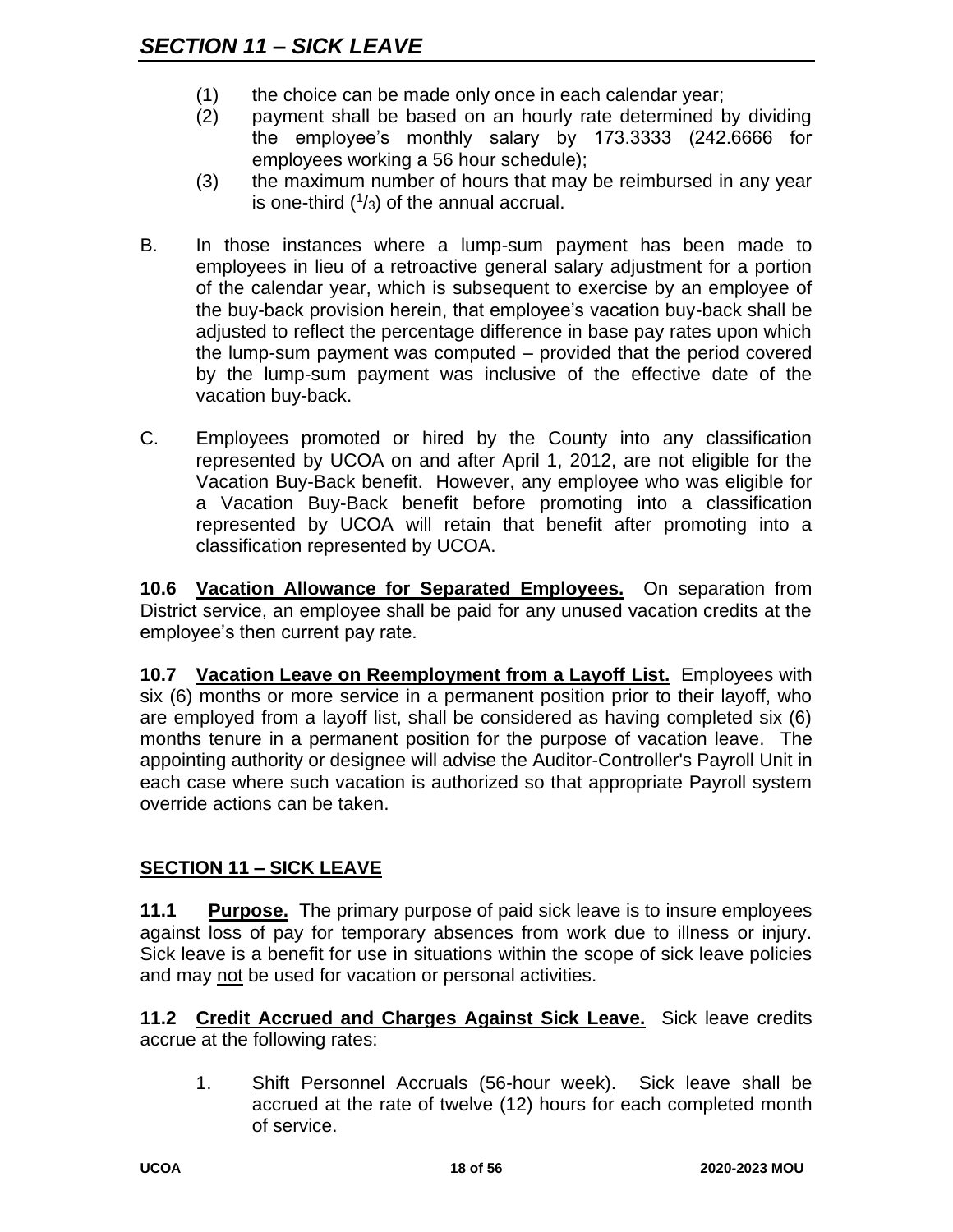- (1) the choice can be made only once in each calendar year;
- (2) payment shall be based on an hourly rate determined by dividing the employee's monthly salary by 173.3333 (242.6666 for employees working a 56 hour schedule);
- (3) the maximum number of hours that may be reimbursed in any year is one-third  $(1/3)$  of the annual accrual.
- B. In those instances where a lump-sum payment has been made to employees in lieu of a retroactive general salary adjustment for a portion of the calendar year, which is subsequent to exercise by an employee of the buy-back provision herein, that employee's vacation buy-back shall be adjusted to reflect the percentage difference in base pay rates upon which the lump-sum payment was computed – provided that the period covered by the lump-sum payment was inclusive of the effective date of the vacation buy-back.
- C. Employees promoted or hired by the County into any classification represented by UCOA on and after April 1, 2012, are not eligible for the Vacation Buy-Back benefit. However, any employee who was eligible for a Vacation Buy-Back benefit before promoting into a classification represented by UCOA will retain that benefit after promoting into a classification represented by UCOA.

**10.6 Vacation Allowance for Separated Employees.** On separation from District service, an employee shall be paid for any unused vacation credits at the employee's then current pay rate.

**10.7 Vacation Leave on Reemployment from a Layoff List.** Employees with six (6) months or more service in a permanent position prior to their layoff, who are employed from a layoff list, shall be considered as having completed six (6) months tenure in a permanent position for the purpose of vacation leave. The appointing authority or designee will advise the Auditor-Controller's Payroll Unit in each case where such vacation is authorized so that appropriate Payroll system override actions can be taken.

# **SECTION 11 – SICK LEAVE**

**11.1 Purpose.** The primary purpose of paid sick leave is to insure employees against loss of pay for temporary absences from work due to illness or injury. Sick leave is a benefit for use in situations within the scope of sick leave policies and may not be used for vacation or personal activities.

**11.2 Credit Accrued and Charges Against Sick Leave.** Sick leave credits accrue at the following rates:

1. Shift Personnel Accruals (56-hour week). Sick leave shall be accrued at the rate of twelve (12) hours for each completed month of service.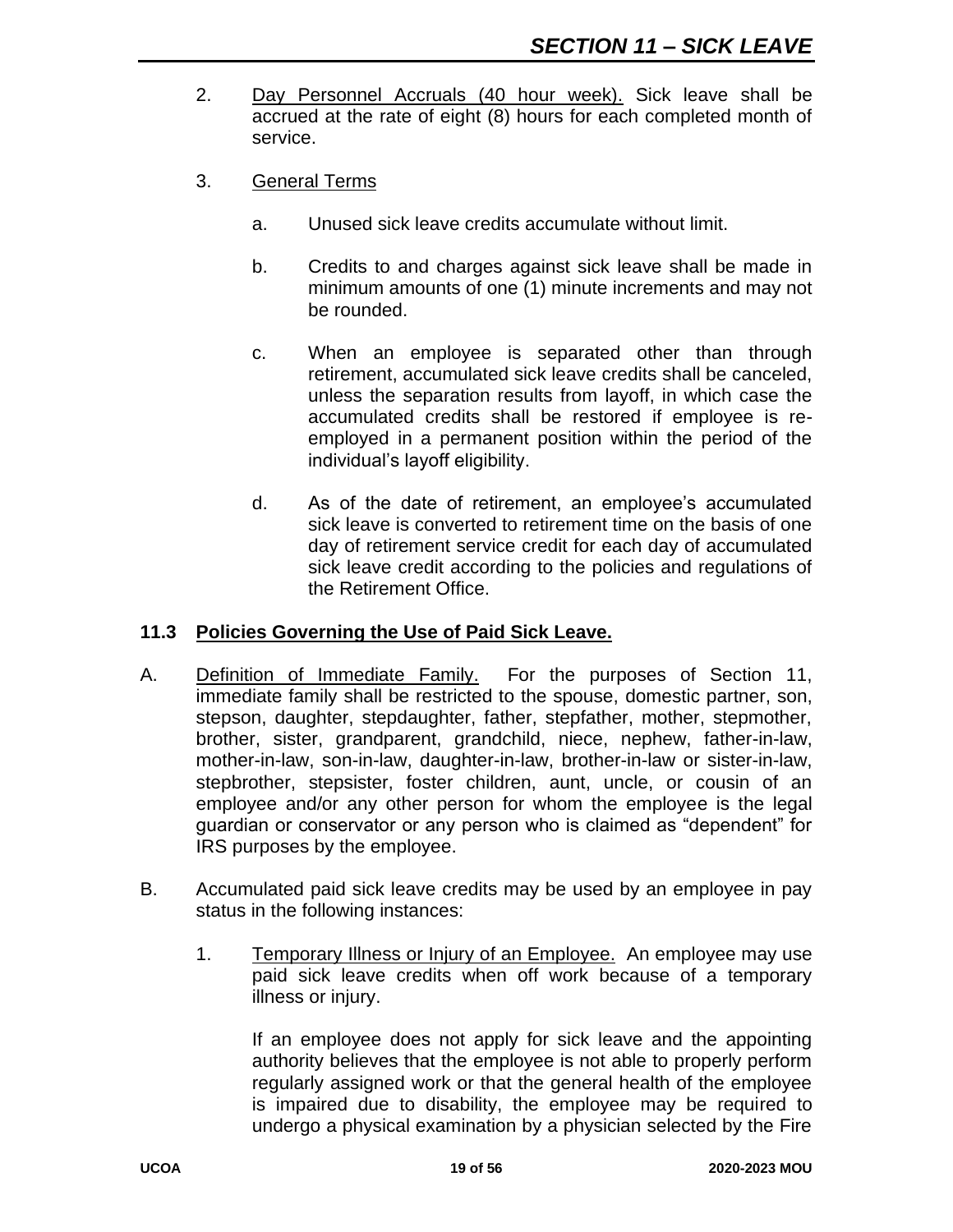- 2. Day Personnel Accruals (40 hour week). Sick leave shall be accrued at the rate of eight (8) hours for each completed month of service.
- 3. General Terms
	- a. Unused sick leave credits accumulate without limit.
	- b. Credits to and charges against sick leave shall be made in minimum amounts of one (1) minute increments and may not be rounded.
	- c. When an employee is separated other than through retirement, accumulated sick leave credits shall be canceled, unless the separation results from layoff, in which case the accumulated credits shall be restored if employee is reemployed in a permanent position within the period of the individual's layoff eligibility.
	- d. As of the date of retirement, an employee's accumulated sick leave is converted to retirement time on the basis of one day of retirement service credit for each day of accumulated sick leave credit according to the policies and regulations of the Retirement Office.

#### **11.3 Policies Governing the Use of Paid Sick Leave.**

- A. Definition of Immediate Family. For the purposes of Section 11, immediate family shall be restricted to the spouse, domestic partner, son, stepson, daughter, stepdaughter, father, stepfather, mother, stepmother, brother, sister, grandparent, grandchild, niece, nephew, father-in-law, mother-in-law, son-in-law, daughter-in-law, brother-in-law or sister-in-law, stepbrother, stepsister, foster children, aunt, uncle, or cousin of an employee and/or any other person for whom the employee is the legal guardian or conservator or any person who is claimed as "dependent" for IRS purposes by the employee.
- B. Accumulated paid sick leave credits may be used by an employee in pay status in the following instances:
	- 1. Temporary Illness or Injury of an Employee. An employee may use paid sick leave credits when off work because of a temporary illness or injury.

If an employee does not apply for sick leave and the appointing authority believes that the employee is not able to properly perform regularly assigned work or that the general health of the employee is impaired due to disability, the employee may be required to undergo a physical examination by a physician selected by the Fire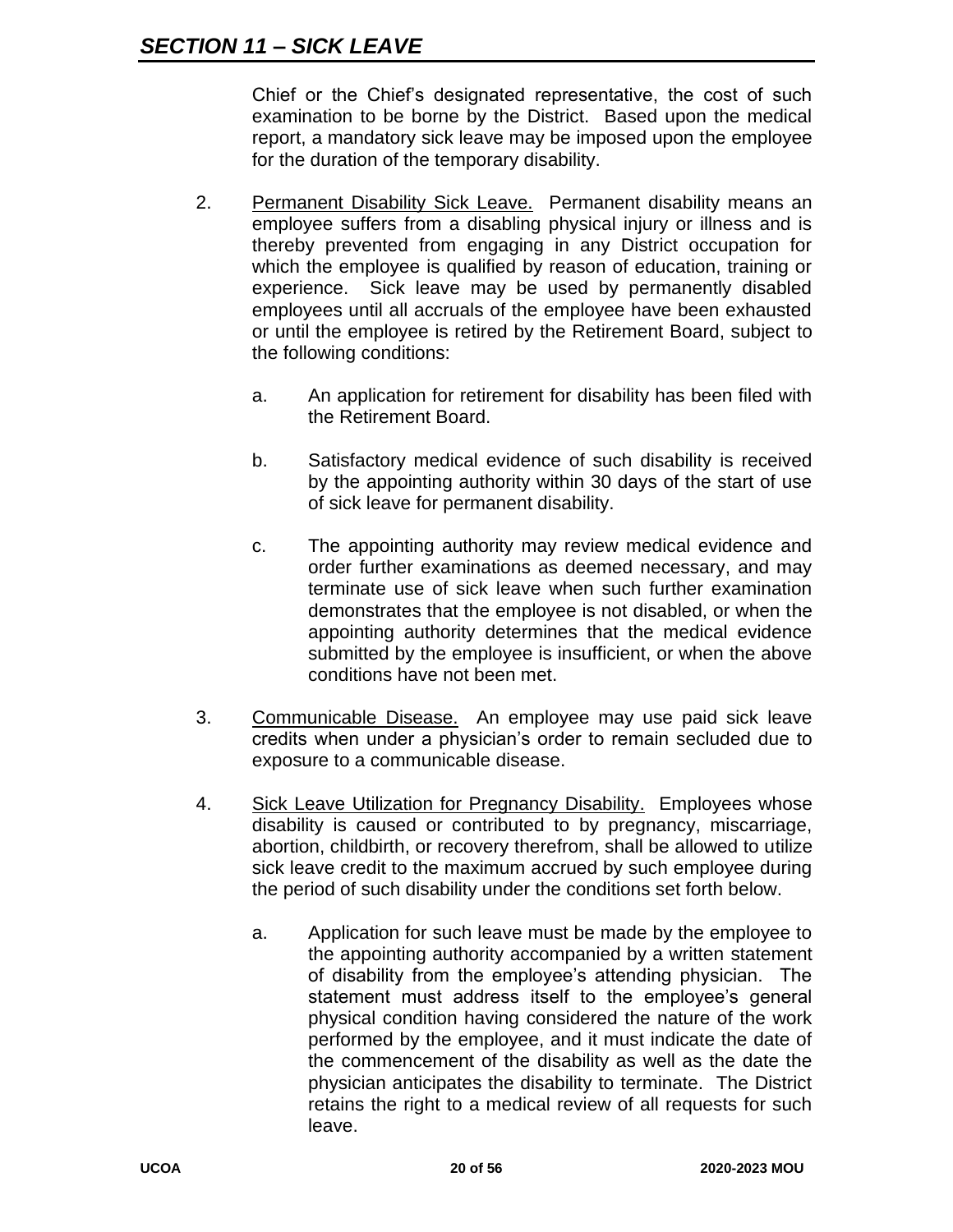Chief or the Chief's designated representative, the cost of such examination to be borne by the District. Based upon the medical report, a mandatory sick leave may be imposed upon the employee for the duration of the temporary disability.

- 2. Permanent Disability Sick Leave. Permanent disability means an employee suffers from a disabling physical injury or illness and is thereby prevented from engaging in any District occupation for which the employee is qualified by reason of education, training or experience. Sick leave may be used by permanently disabled employees until all accruals of the employee have been exhausted or until the employee is retired by the Retirement Board, subject to the following conditions:
	- a. An application for retirement for disability has been filed with the Retirement Board.
	- b. Satisfactory medical evidence of such disability is received by the appointing authority within 30 days of the start of use of sick leave for permanent disability.
	- c. The appointing authority may review medical evidence and order further examinations as deemed necessary, and may terminate use of sick leave when such further examination demonstrates that the employee is not disabled, or when the appointing authority determines that the medical evidence submitted by the employee is insufficient, or when the above conditions have not been met.
- 3. Communicable Disease. An employee may use paid sick leave credits when under a physician's order to remain secluded due to exposure to a communicable disease.
- 4. Sick Leave Utilization for Pregnancy Disability. Employees whose disability is caused or contributed to by pregnancy, miscarriage, abortion, childbirth, or recovery therefrom, shall be allowed to utilize sick leave credit to the maximum accrued by such employee during the period of such disability under the conditions set forth below.
	- a. Application for such leave must be made by the employee to the appointing authority accompanied by a written statement of disability from the employee's attending physician. The statement must address itself to the employee's general physical condition having considered the nature of the work performed by the employee, and it must indicate the date of the commencement of the disability as well as the date the physician anticipates the disability to terminate. The District retains the right to a medical review of all requests for such leave.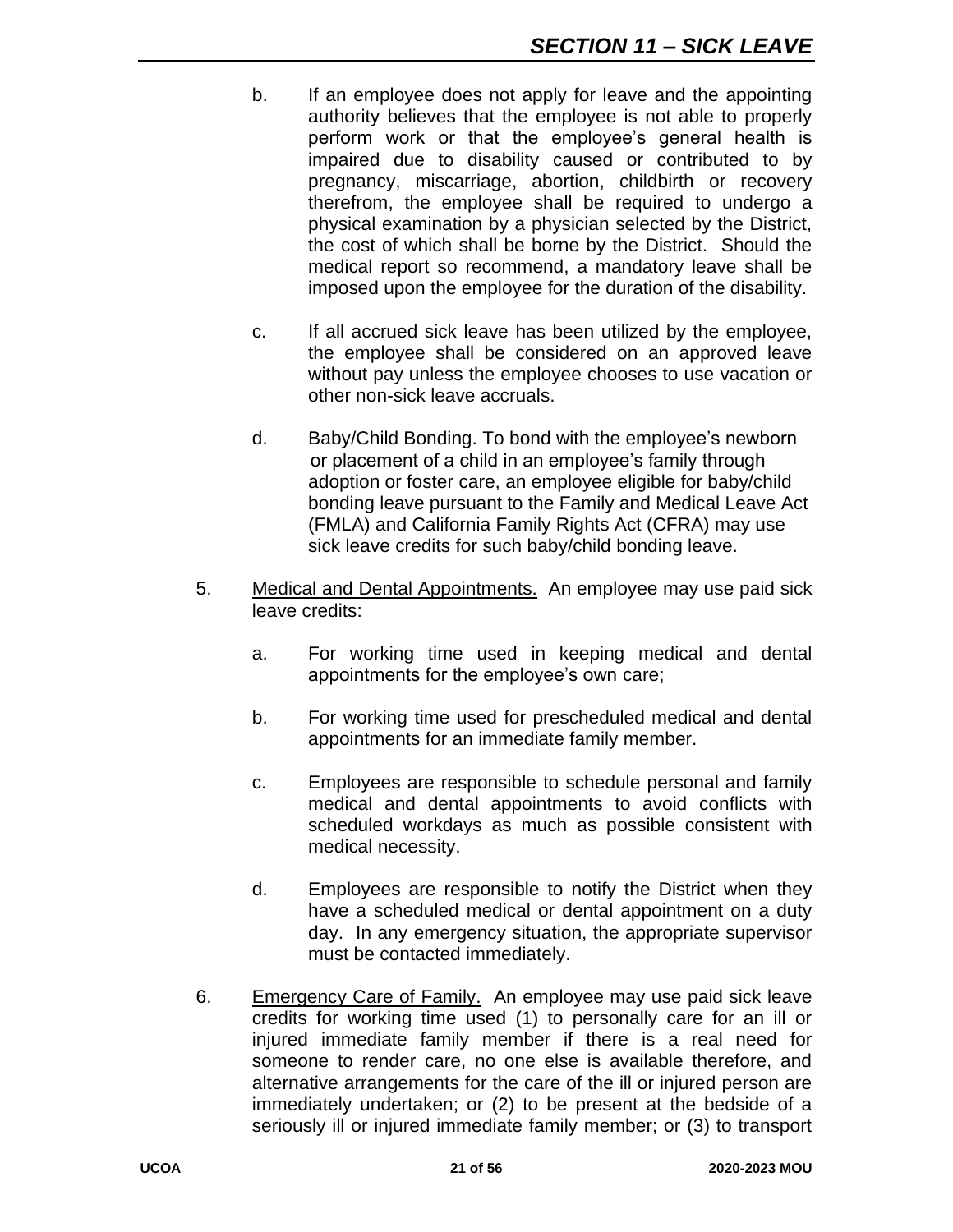- b. If an employee does not apply for leave and the appointing authority believes that the employee is not able to properly perform work or that the employee's general health is impaired due to disability caused or contributed to by pregnancy, miscarriage, abortion, childbirth or recovery therefrom, the employee shall be required to undergo a physical examination by a physician selected by the District, the cost of which shall be borne by the District. Should the medical report so recommend, a mandatory leave shall be imposed upon the employee for the duration of the disability.
- c. If all accrued sick leave has been utilized by the employee, the employee shall be considered on an approved leave without pay unless the employee chooses to use vacation or other non-sick leave accruals.
- d. Baby/Child Bonding. To bond with the employee's newborn or placement of a child in an employee's family through adoption or foster care, an employee eligible for baby/child bonding leave pursuant to the Family and Medical Leave Act (FMLA) and California Family Rights Act (CFRA) may use sick leave credits for such baby/child bonding leave.
- 5. Medical and Dental Appointments. An employee may use paid sick leave credits:
	- a. For working time used in keeping medical and dental appointments for the employee's own care;
	- b. For working time used for prescheduled medical and dental appointments for an immediate family member.
	- c. Employees are responsible to schedule personal and family medical and dental appointments to avoid conflicts with scheduled workdays as much as possible consistent with medical necessity.
	- d. Employees are responsible to notify the District when they have a scheduled medical or dental appointment on a duty day. In any emergency situation, the appropriate supervisor must be contacted immediately.
- 6. Emergency Care of Family. An employee may use paid sick leave credits for working time used (1) to personally care for an ill or injured immediate family member if there is a real need for someone to render care, no one else is available therefore, and alternative arrangements for the care of the ill or injured person are immediately undertaken; or (2) to be present at the bedside of a seriously ill or injured immediate family member; or (3) to transport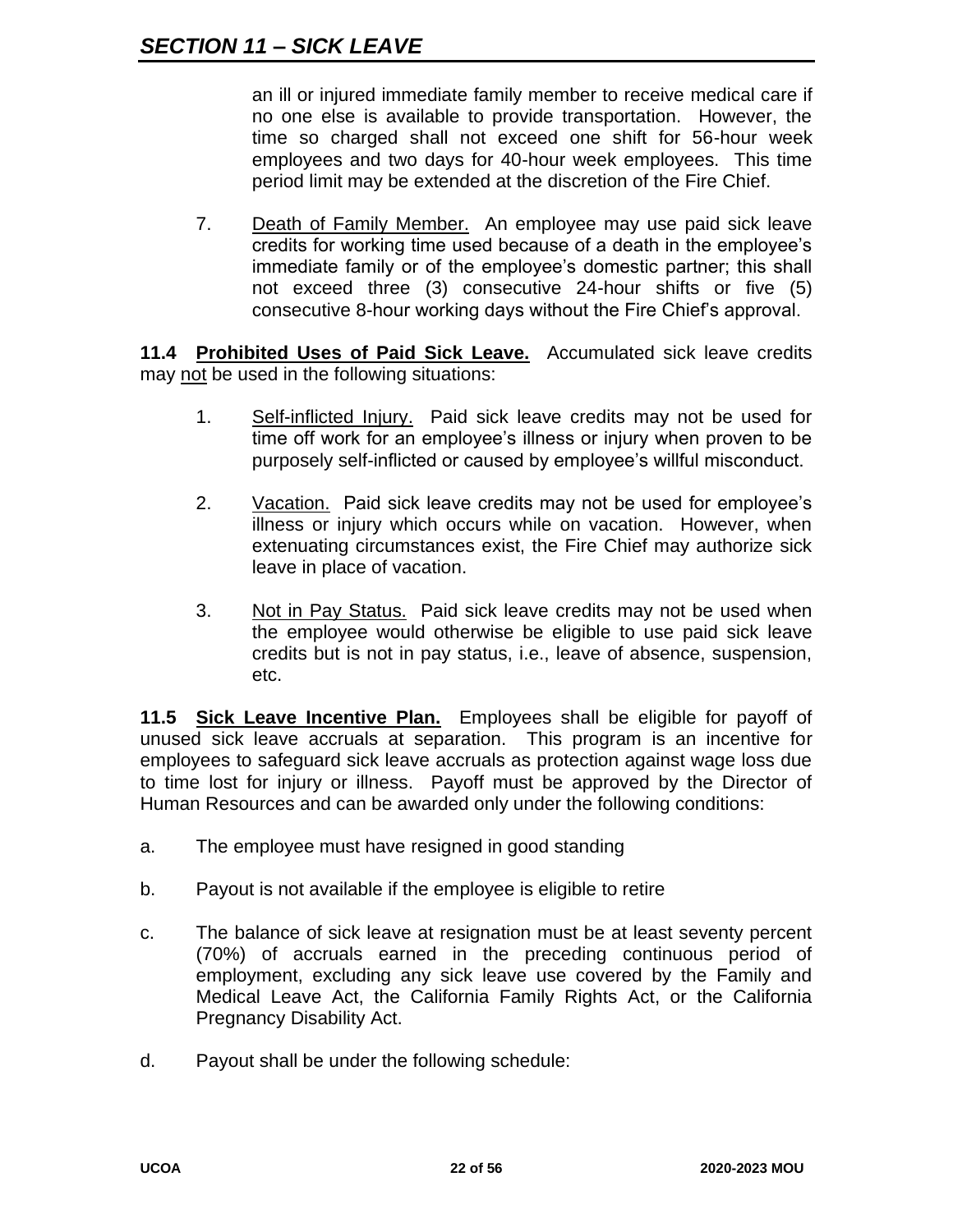an ill or injured immediate family member to receive medical care if no one else is available to provide transportation. However, the time so charged shall not exceed one shift for 56-hour week employees and two days for 40-hour week employees. This time period limit may be extended at the discretion of the Fire Chief.

7. Death of Family Member. An employee may use paid sick leave credits for working time used because of a death in the employee's immediate family or of the employee's domestic partner; this shall not exceed three (3) consecutive 24-hour shifts or five (5) consecutive 8-hour working days without the Fire Chief's approval.

**11.4 Prohibited Uses of Paid Sick Leave.** Accumulated sick leave credits may not be used in the following situations:

- 1. Self-inflicted Injury. Paid sick leave credits may not be used for time off work for an employee's illness or injury when proven to be purposely self-inflicted or caused by employee's willful misconduct.
- 2. Vacation. Paid sick leave credits may not be used for employee's illness or injury which occurs while on vacation. However, when extenuating circumstances exist, the Fire Chief may authorize sick leave in place of vacation.
- 3. Not in Pay Status. Paid sick leave credits may not be used when the employee would otherwise be eligible to use paid sick leave credits but is not in pay status, i.e., leave of absence, suspension, etc.

**11.5 Sick Leave Incentive Plan.** Employees shall be eligible for payoff of unused sick leave accruals at separation. This program is an incentive for employees to safeguard sick leave accruals as protection against wage loss due to time lost for injury or illness. Payoff must be approved by the Director of Human Resources and can be awarded only under the following conditions:

- a. The employee must have resigned in good standing
- b. Payout is not available if the employee is eligible to retire
- c. The balance of sick leave at resignation must be at least seventy percent (70%) of accruals earned in the preceding continuous period of employment, excluding any sick leave use covered by the Family and Medical Leave Act, the California Family Rights Act, or the California Pregnancy Disability Act.
- d. Payout shall be under the following schedule: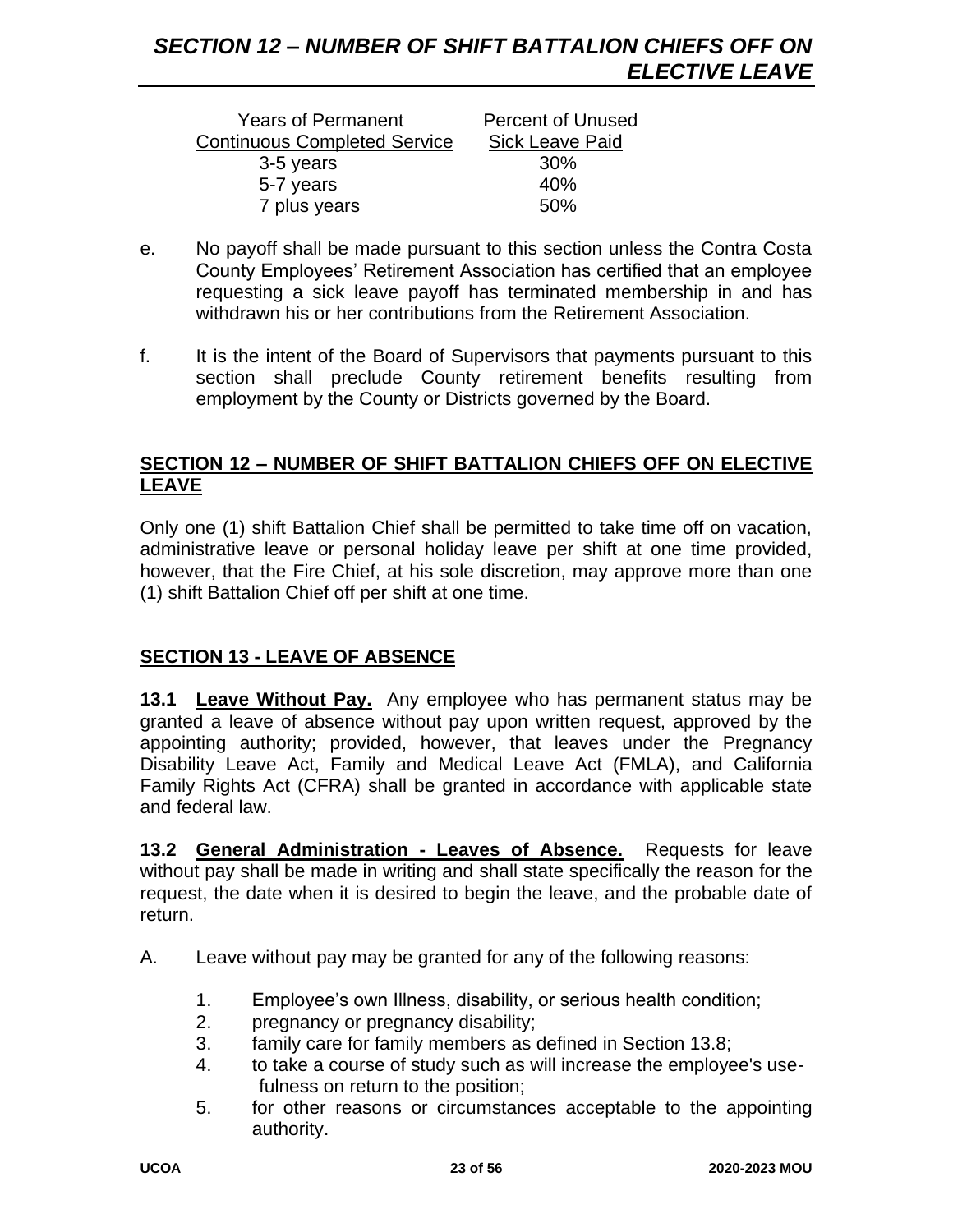| <b>Years of Permanent</b>           | <b>Percent of Unused</b> |
|-------------------------------------|--------------------------|
| <b>Continuous Completed Service</b> | <b>Sick Leave Paid</b>   |
| 3-5 years                           | <b>30%</b>               |
| 5-7 years                           | 40%                      |
| 7 plus years                        | 50%                      |

- e. No payoff shall be made pursuant to this section unless the Contra Costa County Employees' Retirement Association has certified that an employee requesting a sick leave payoff has terminated membership in and has withdrawn his or her contributions from the Retirement Association.
- f. It is the intent of the Board of Supervisors that payments pursuant to this section shall preclude County retirement benefits resulting from employment by the County or Districts governed by the Board.

#### **SECTION 12 – NUMBER OF SHIFT BATTALION CHIEFS OFF ON ELECTIVE LEAVE**

Only one (1) shift Battalion Chief shall be permitted to take time off on vacation, administrative leave or personal holiday leave per shift at one time provided, however, that the Fire Chief, at his sole discretion, may approve more than one (1) shift Battalion Chief off per shift at one time.

# **SECTION 13 - LEAVE OF ABSENCE**

**13.1 Leave Without Pay.** Any employee who has permanent status may be granted a leave of absence without pay upon written request, approved by the appointing authority; provided, however, that leaves under the Pregnancy Disability Leave Act, Family and Medical Leave Act (FMLA), and California Family Rights Act (CFRA) shall be granted in accordance with applicable state and federal law.

**13.2 General Administration - Leaves of Absence.** Requests for leave without pay shall be made in writing and shall state specifically the reason for the request, the date when it is desired to begin the leave, and the probable date of return.

- A. Leave without pay may be granted for any of the following reasons:
	- 1. Employee's own Illness, disability, or serious health condition;
	- 2. pregnancy or pregnancy disability;
	- 3. family care for family members as defined in Section 13.8;
	- 4. to take a course of study such as will increase the employee's usefulness on return to the position;
	- 5. for other reasons or circumstances acceptable to the appointing authority.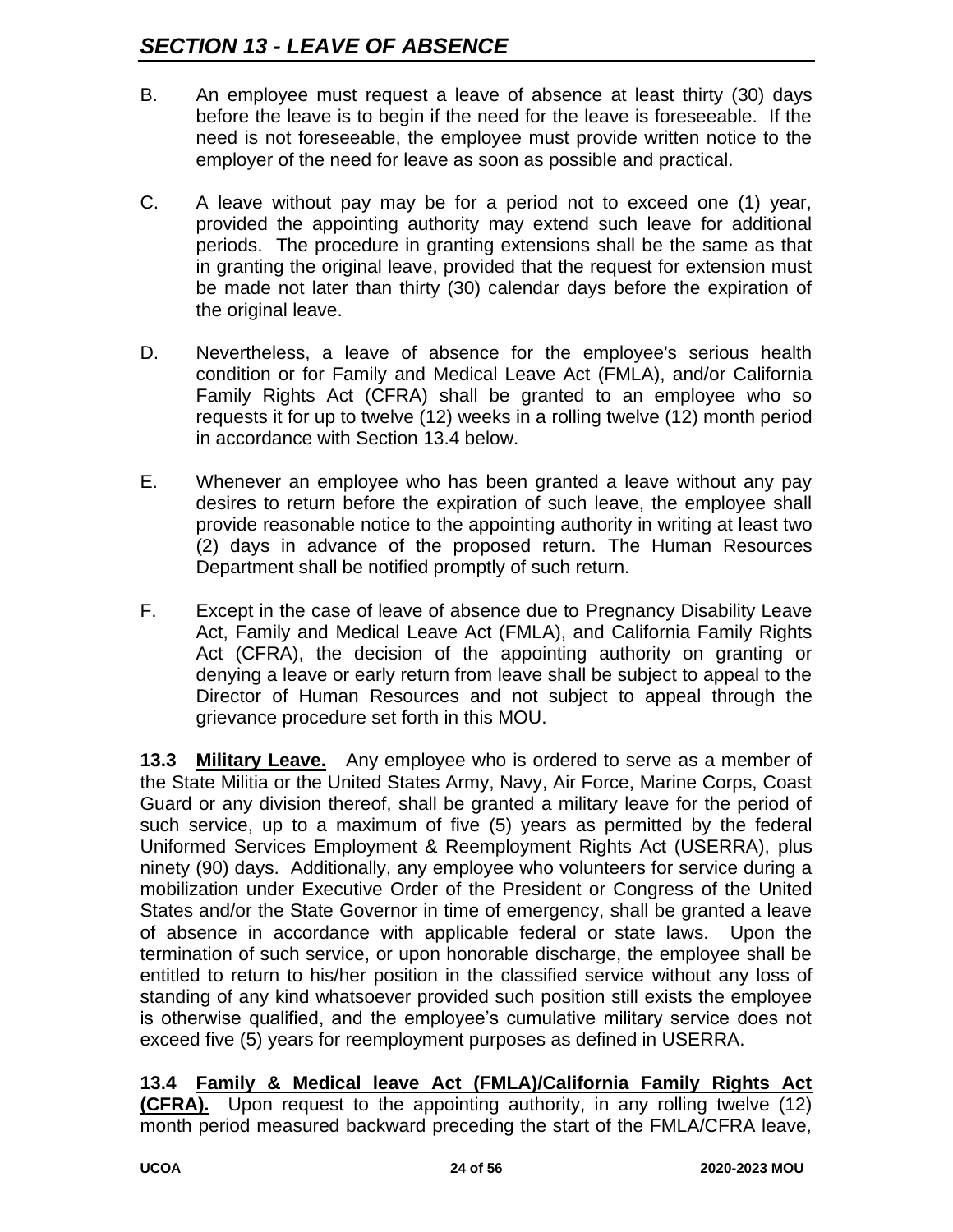- B. An employee must request a leave of absence at least thirty (30) days before the leave is to begin if the need for the leave is foreseeable. If the need is not foreseeable, the employee must provide written notice to the employer of the need for leave as soon as possible and practical.
- C. A leave without pay may be for a period not to exceed one (1) year, provided the appointing authority may extend such leave for additional periods. The procedure in granting extensions shall be the same as that in granting the original leave, provided that the request for extension must be made not later than thirty (30) calendar days before the expiration of the original leave.
- D. Nevertheless, a leave of absence for the employee's serious health condition or for Family and Medical Leave Act (FMLA), and/or California Family Rights Act (CFRA) shall be granted to an employee who so requests it for up to twelve (12) weeks in a rolling twelve (12) month period in accordance with Section 13.4 below.
- E. Whenever an employee who has been granted a leave without any pay desires to return before the expiration of such leave, the employee shall provide reasonable notice to the appointing authority in writing at least two (2) days in advance of the proposed return. The Human Resources Department shall be notified promptly of such return.
- F. Except in the case of leave of absence due to Pregnancy Disability Leave Act, Family and Medical Leave Act (FMLA), and California Family Rights Act (CFRA), the decision of the appointing authority on granting or denying a leave or early return from leave shall be subject to appeal to the Director of Human Resources and not subject to appeal through the grievance procedure set forth in this MOU.

**13.3 Military Leave.** Any employee who is ordered to serve as a member of the State Militia or the United States Army, Navy, Air Force, Marine Corps, Coast Guard or any division thereof, shall be granted a military leave for the period of such service, up to a maximum of five (5) years as permitted by the federal Uniformed Services Employment & Reemployment Rights Act (USERRA), plus ninety (90) days. Additionally, any employee who volunteers for service during a mobilization under Executive Order of the President or Congress of the United States and/or the State Governor in time of emergency, shall be granted a leave of absence in accordance with applicable federal or state laws. Upon the termination of such service, or upon honorable discharge, the employee shall be entitled to return to his/her position in the classified service without any loss of standing of any kind whatsoever provided such position still exists the employee is otherwise qualified, and the employee's cumulative military service does not exceed five (5) years for reemployment purposes as defined in USERRA.

**13.4 Family & Medical leave Act (FMLA)/California Family Rights Act (CFRA).** Upon request to the appointing authority, in any rolling twelve (12) month period measured backward preceding the start of the FMLA/CFRA leave,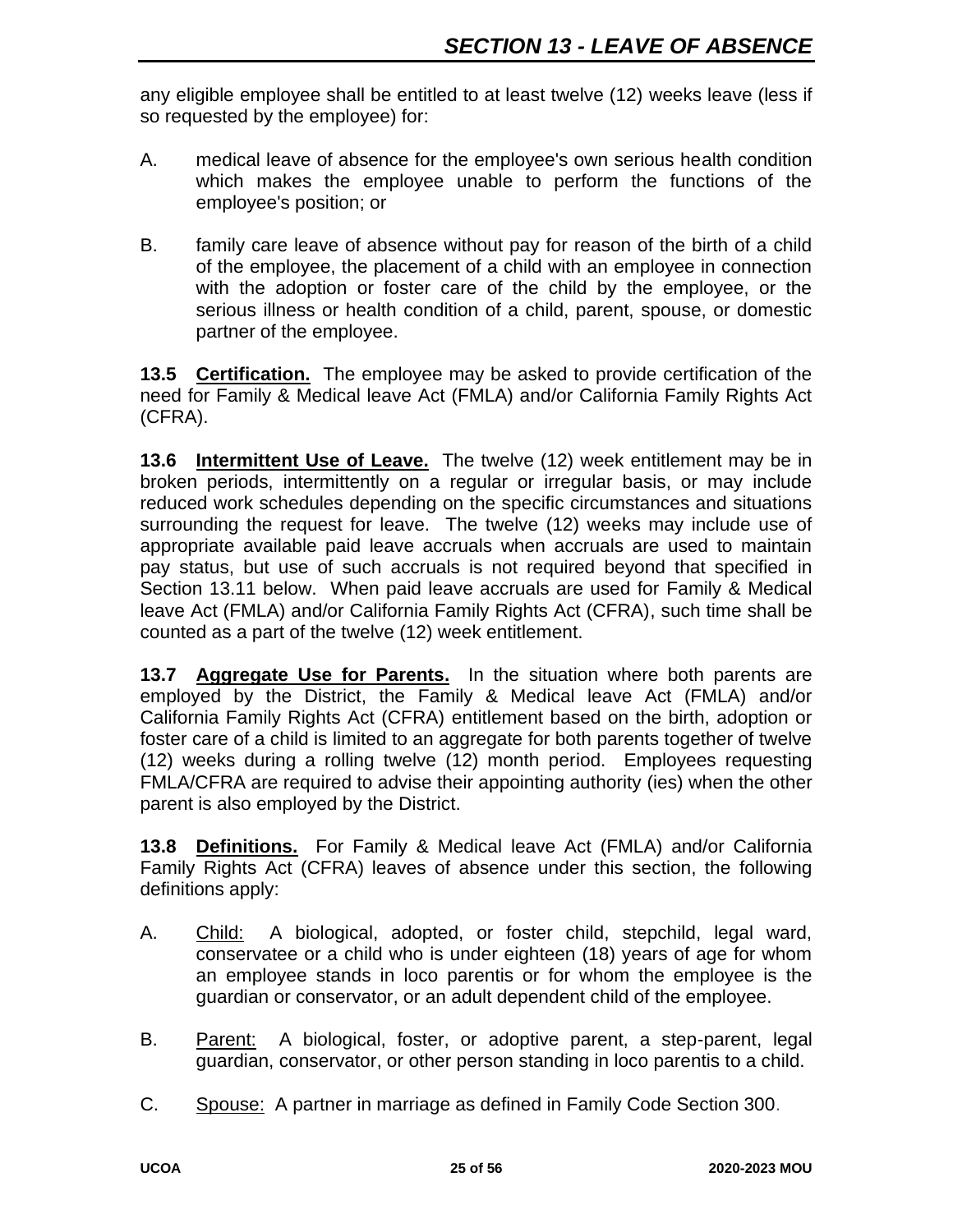any eligible employee shall be entitled to at least twelve (12) weeks leave (less if so requested by the employee) for:

- A. medical leave of absence for the employee's own serious health condition which makes the employee unable to perform the functions of the employee's position; or
- B. family care leave of absence without pay for reason of the birth of a child of the employee, the placement of a child with an employee in connection with the adoption or foster care of the child by the employee, or the serious illness or health condition of a child, parent, spouse, or domestic partner of the employee.

**13.5 Certification.** The employee may be asked to provide certification of the need for Family & Medical leave Act (FMLA) and/or California Family Rights Act (CFRA).

**13.6 Intermittent Use of Leave.** The twelve (12) week entitlement may be in broken periods, intermittently on a regular or irregular basis, or may include reduced work schedules depending on the specific circumstances and situations surrounding the request for leave. The twelve (12) weeks may include use of appropriate available paid leave accruals when accruals are used to maintain pay status, but use of such accruals is not required beyond that specified in Section 13.11 below. When paid leave accruals are used for Family & Medical leave Act (FMLA) and/or California Family Rights Act (CFRA), such time shall be counted as a part of the twelve (12) week entitlement.

**13.7 Aggregate Use for Parents.** In the situation where both parents are employed by the District, the Family & Medical leave Act (FMLA) and/or California Family Rights Act (CFRA) entitlement based on the birth, adoption or foster care of a child is limited to an aggregate for both parents together of twelve (12) weeks during a rolling twelve (12) month period. Employees requesting FMLA/CFRA are required to advise their appointing authority (ies) when the other parent is also employed by the District.

**13.8 Definitions.** For Family & Medical leave Act (FMLA) and/or California Family Rights Act (CFRA) leaves of absence under this section, the following definitions apply:

- A. Child: A biological, adopted, or foster child, stepchild, legal ward, conservatee or a child who is under eighteen (18) years of age for whom an employee stands in loco parentis or for whom the employee is the guardian or conservator, or an adult dependent child of the employee.
- B. Parent: A biological, foster, or adoptive parent, a step-parent, legal guardian, conservator, or other person standing in loco parentis to a child.
- C. Spouse: A partner in marriage as defined in Family Code Section 300.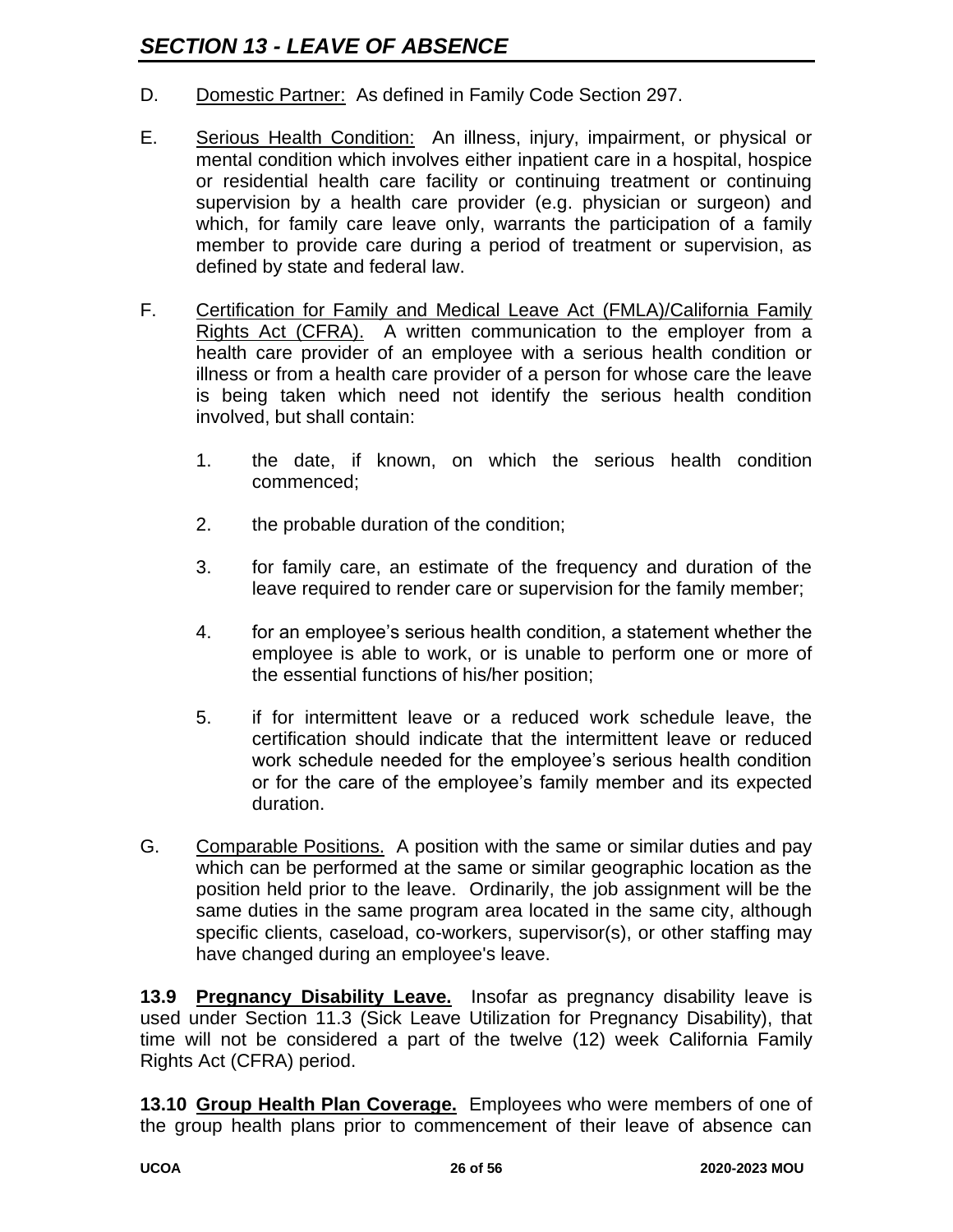- D. Domestic Partner: As defined in Family Code Section 297.
- E. Serious Health Condition: An illness, injury, impairment, or physical or mental condition which involves either inpatient care in a hospital, hospice or residential health care facility or continuing treatment or continuing supervision by a health care provider (e.g. physician or surgeon) and which, for family care leave only, warrants the participation of a family member to provide care during a period of treatment or supervision, as defined by state and federal law.
- F. Certification for Family and Medical Leave Act (FMLA)/California Family Rights Act (CFRA). A written communication to the employer from a health care provider of an employee with a serious health condition or illness or from a health care provider of a person for whose care the leave is being taken which need not identify the serious health condition involved, but shall contain:
	- 1. the date, if known, on which the serious health condition commenced;
	- 2. the probable duration of the condition;
	- 3. for family care, an estimate of the frequency and duration of the leave required to render care or supervision for the family member;
	- 4. for an employee's serious health condition, a statement whether the employee is able to work, or is unable to perform one or more of the essential functions of his/her position;
	- 5. if for intermittent leave or a reduced work schedule leave, the certification should indicate that the intermittent leave or reduced work schedule needed for the employee's serious health condition or for the care of the employee's family member and its expected duration.
- G. Comparable Positions. A position with the same or similar duties and pay which can be performed at the same or similar geographic location as the position held prior to the leave. Ordinarily, the job assignment will be the same duties in the same program area located in the same city, although specific clients, caseload, co-workers, supervisor(s), or other staffing may have changed during an employee's leave.

**13.9 Pregnancy Disability Leave.** Insofar as pregnancy disability leave is used under Section 11.3 (Sick Leave Utilization for Pregnancy Disability), that time will not be considered a part of the twelve (12) week California Family Rights Act (CFRA) period.

**13.10 Group Health Plan Coverage.** Employees who were members of one of the group health plans prior to commencement of their leave of absence can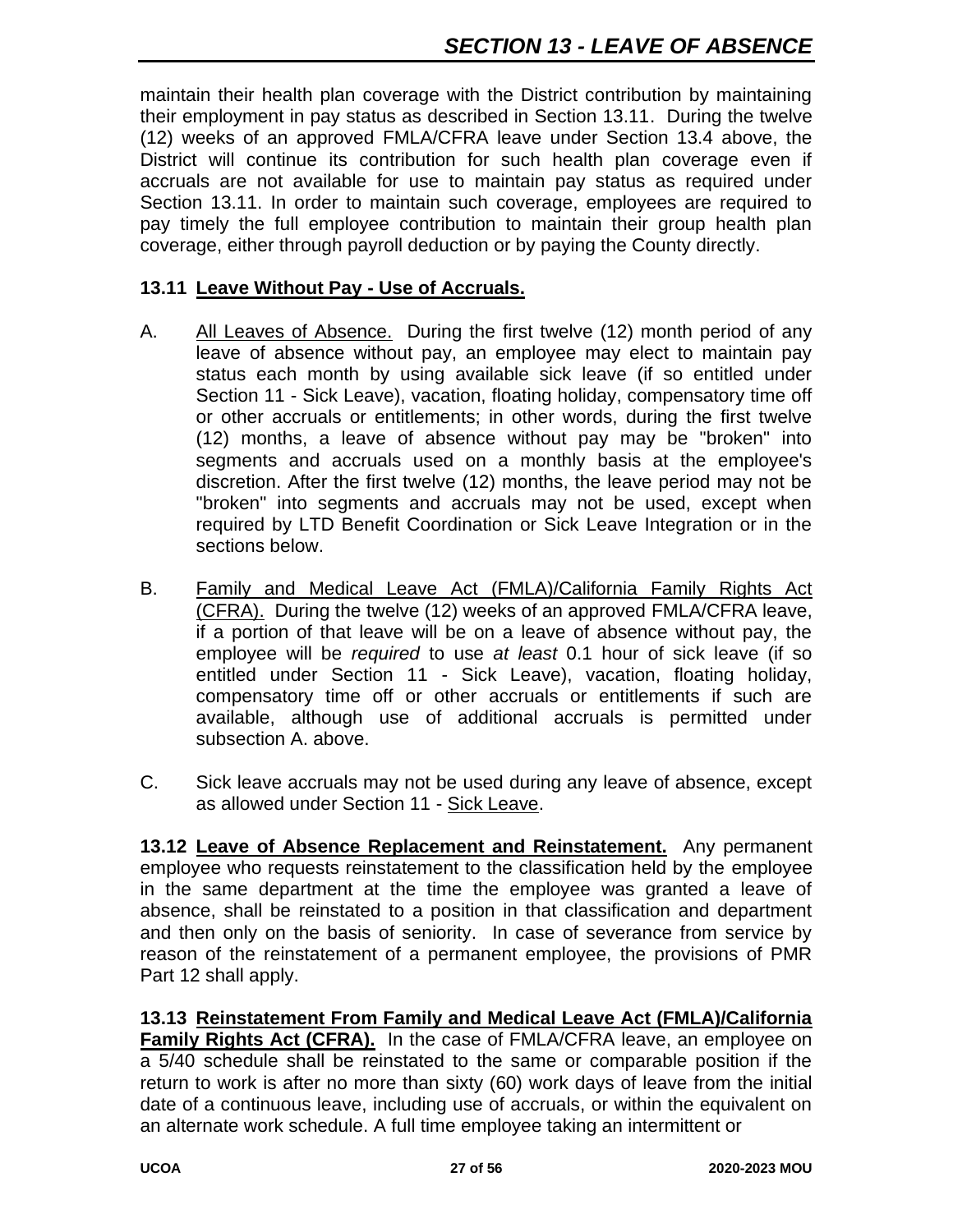maintain their health plan coverage with the District contribution by maintaining their employment in pay status as described in Section 13.11. During the twelve (12) weeks of an approved FMLA/CFRA leave under Section 13.4 above, the District will continue its contribution for such health plan coverage even if accruals are not available for use to maintain pay status as required under Section 13.11. In order to maintain such coverage, employees are required to pay timely the full employee contribution to maintain their group health plan coverage, either through payroll deduction or by paying the County directly.

#### **13.11 Leave Without Pay - Use of Accruals.**

- A. All Leaves of Absence. During the first twelve (12) month period of any leave of absence without pay, an employee may elect to maintain pay status each month by using available sick leave (if so entitled under Section 11 - Sick Leave), vacation, floating holiday, compensatory time off or other accruals or entitlements; in other words, during the first twelve (12) months, a leave of absence without pay may be "broken" into segments and accruals used on a monthly basis at the employee's discretion. After the first twelve (12) months, the leave period may not be "broken" into segments and accruals may not be used, except when required by LTD Benefit Coordination or Sick Leave Integration or in the sections below.
- B. Family and Medical Leave Act (FMLA)/California Family Rights Act (CFRA). During the twelve (12) weeks of an approved FMLA/CFRA leave, if a portion of that leave will be on a leave of absence without pay, the employee will be *required* to use *at least* 0.1 hour of sick leave (if so entitled under Section 11 - Sick Leave), vacation, floating holiday, compensatory time off or other accruals or entitlements if such are available, although use of additional accruals is permitted under subsection A. above.
- C. Sick leave accruals may not be used during any leave of absence, except as allowed under Section 11 - Sick Leave.

**13.12 Leave of Absence Replacement and Reinstatement.** Any permanent employee who requests reinstatement to the classification held by the employee in the same department at the time the employee was granted a leave of absence, shall be reinstated to a position in that classification and department and then only on the basis of seniority. In case of severance from service by reason of the reinstatement of a permanent employee, the provisions of PMR Part 12 shall apply.

**13.13 Reinstatement From Family and Medical Leave Act (FMLA)/California Family Rights Act (CFRA).** In the case of FMLA/CFRA leave, an employee on a 5/40 schedule shall be reinstated to the same or comparable position if the return to work is after no more than sixty (60) work days of leave from the initial date of a continuous leave, including use of accruals, or within the equivalent on an alternate work schedule. A full time employee taking an intermittent or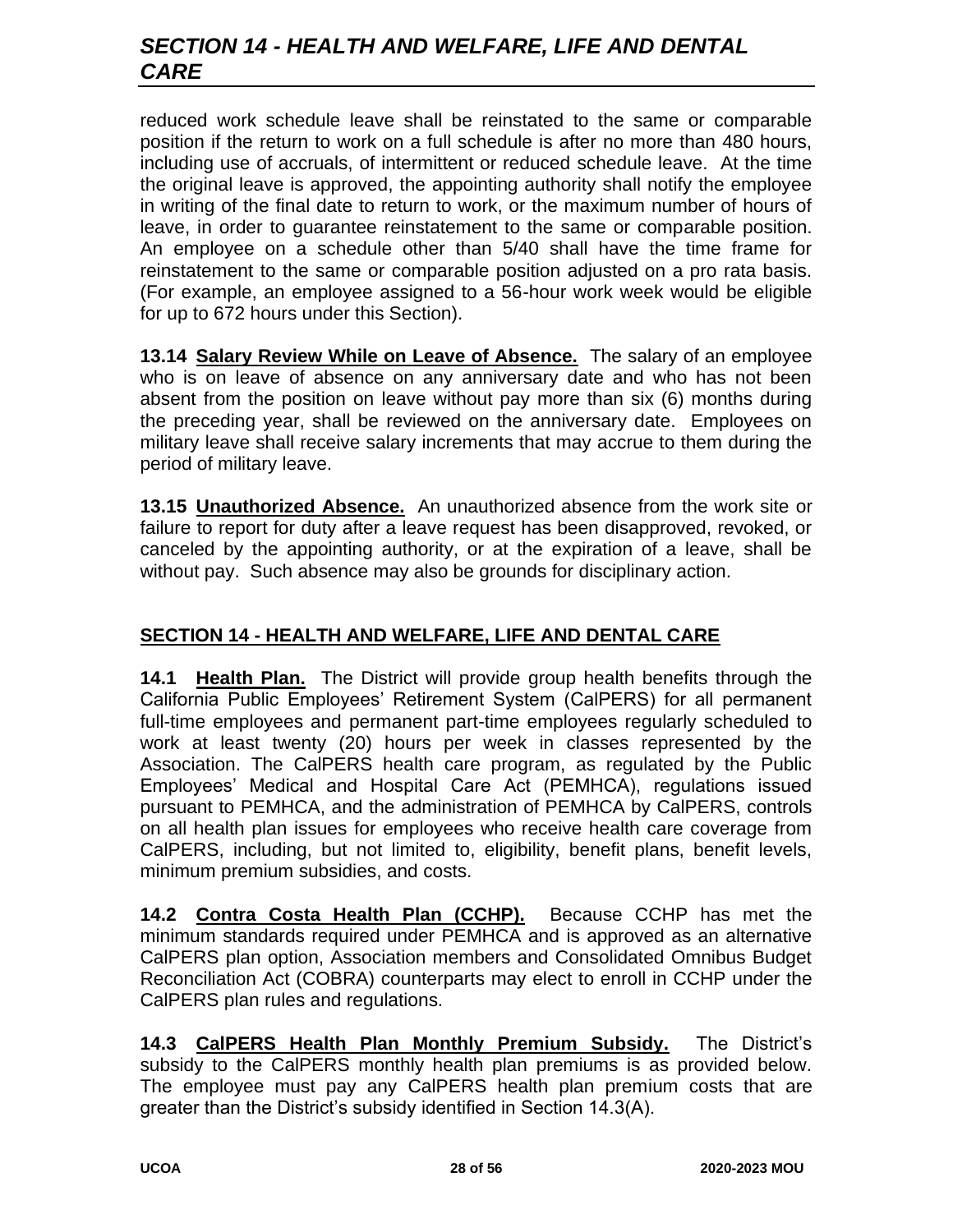# *SECTION 14 - HEALTH AND WELFARE, LIFE AND DENTAL CARE*

reduced work schedule leave shall be reinstated to the same or comparable position if the return to work on a full schedule is after no more than 480 hours, including use of accruals, of intermittent or reduced schedule leave. At the time the original leave is approved, the appointing authority shall notify the employee in writing of the final date to return to work, or the maximum number of hours of leave, in order to guarantee reinstatement to the same or comparable position. An employee on a schedule other than 5/40 shall have the time frame for reinstatement to the same or comparable position adjusted on a pro rata basis. (For example, an employee assigned to a 56-hour work week would be eligible for up to 672 hours under this Section).

**13.14 Salary Review While on Leave of Absence.** The salary of an employee who is on leave of absence on any anniversary date and who has not been absent from the position on leave without pay more than six (6) months during the preceding year, shall be reviewed on the anniversary date. Employees on military leave shall receive salary increments that may accrue to them during the period of military leave.

**13.15 Unauthorized Absence.** An unauthorized absence from the work site or failure to report for duty after a leave request has been disapproved, revoked, or canceled by the appointing authority, or at the expiration of a leave, shall be without pay. Such absence may also be grounds for disciplinary action.

# **SECTION 14 - HEALTH AND WELFARE, LIFE AND DENTAL CARE**

**14.1 Health Plan.** The District will provide group health benefits through the California Public Employees' Retirement System (CalPERS) for all permanent full-time employees and permanent part-time employees regularly scheduled to work at least twenty (20) hours per week in classes represented by the Association. The CalPERS health care program, as regulated by the Public Employees' Medical and Hospital Care Act (PEMHCA), regulations issued pursuant to PEMHCA, and the administration of PEMHCA by CalPERS, controls on all health plan issues for employees who receive health care coverage from CalPERS, including, but not limited to, eligibility, benefit plans, benefit levels, minimum premium subsidies, and costs.

**14.2 Contra Costa Health Plan (CCHP).** Because CCHP has met the minimum standards required under PEMHCA and is approved as an alternative CalPERS plan option, Association members and Consolidated Omnibus Budget Reconciliation Act (COBRA) counterparts may elect to enroll in CCHP under the CalPERS plan rules and regulations.

**14.3 CalPERS Health Plan Monthly Premium Subsidy.** The District's subsidy to the CalPERS monthly health plan premiums is as provided below. The employee must pay any CalPERS health plan premium costs that are greater than the District's subsidy identified in Section 14.3(A).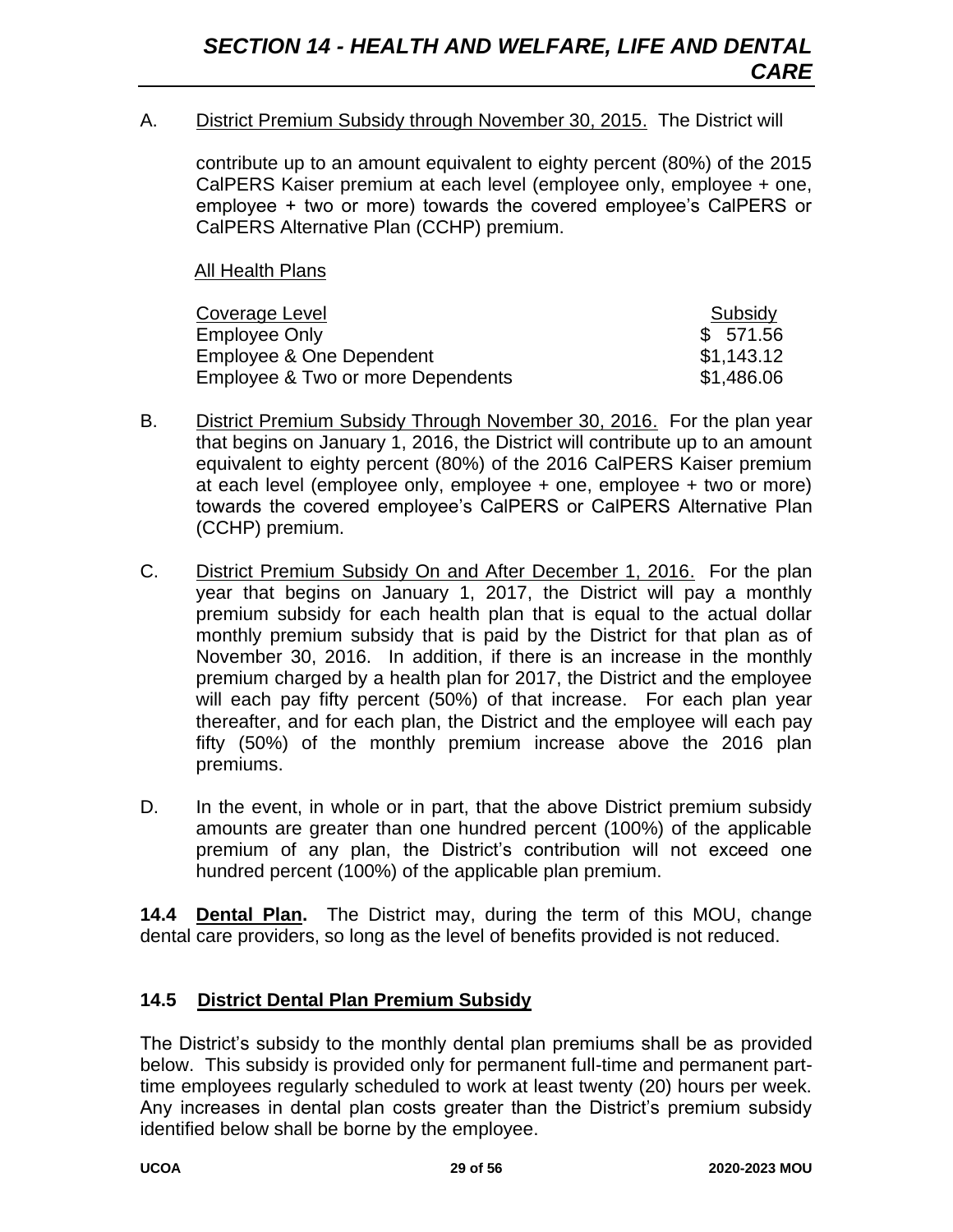A. District Premium Subsidy through November 30, 2015. The District will

contribute up to an amount equivalent to eighty percent (80%) of the 2015 CalPERS Kaiser premium at each level (employee only, employee + one, employee + two or more) towards the covered employee's CalPERS or CalPERS Alternative Plan (CCHP) premium.

All Health Plans

| Coverage Level                    | Subsidy    |
|-----------------------------------|------------|
| Employee Only                     | \$571.56   |
| Employee & One Dependent          | \$1,143.12 |
| Employee & Two or more Dependents | \$1,486.06 |

- B. District Premium Subsidy Through November 30, 2016. For the plan year that begins on January 1, 2016, the District will contribute up to an amount equivalent to eighty percent (80%) of the 2016 CalPERS Kaiser premium at each level (employee only, employee + one, employee + two or more) towards the covered employee's CalPERS or CalPERS Alternative Plan (CCHP) premium.
- C. District Premium Subsidy On and After December 1, 2016. For the plan year that begins on January 1, 2017, the District will pay a monthly premium subsidy for each health plan that is equal to the actual dollar monthly premium subsidy that is paid by the District for that plan as of November 30, 2016. In addition, if there is an increase in the monthly premium charged by a health plan for 2017, the District and the employee will each pay fifty percent (50%) of that increase. For each plan year thereafter, and for each plan, the District and the employee will each pay fifty (50%) of the monthly premium increase above the 2016 plan premiums.
- D. In the event, in whole or in part, that the above District premium subsidy amounts are greater than one hundred percent (100%) of the applicable premium of any plan, the District's contribution will not exceed one hundred percent (100%) of the applicable plan premium.

**14.4 Dental Plan.** The District may, during the term of this MOU, change dental care providers, so long as the level of benefits provided is not reduced.

#### **14.5 District Dental Plan Premium Subsidy**

The District's subsidy to the monthly dental plan premiums shall be as provided below. This subsidy is provided only for permanent full-time and permanent parttime employees regularly scheduled to work at least twenty (20) hours per week. Any increases in dental plan costs greater than the District's premium subsidy identified below shall be borne by the employee.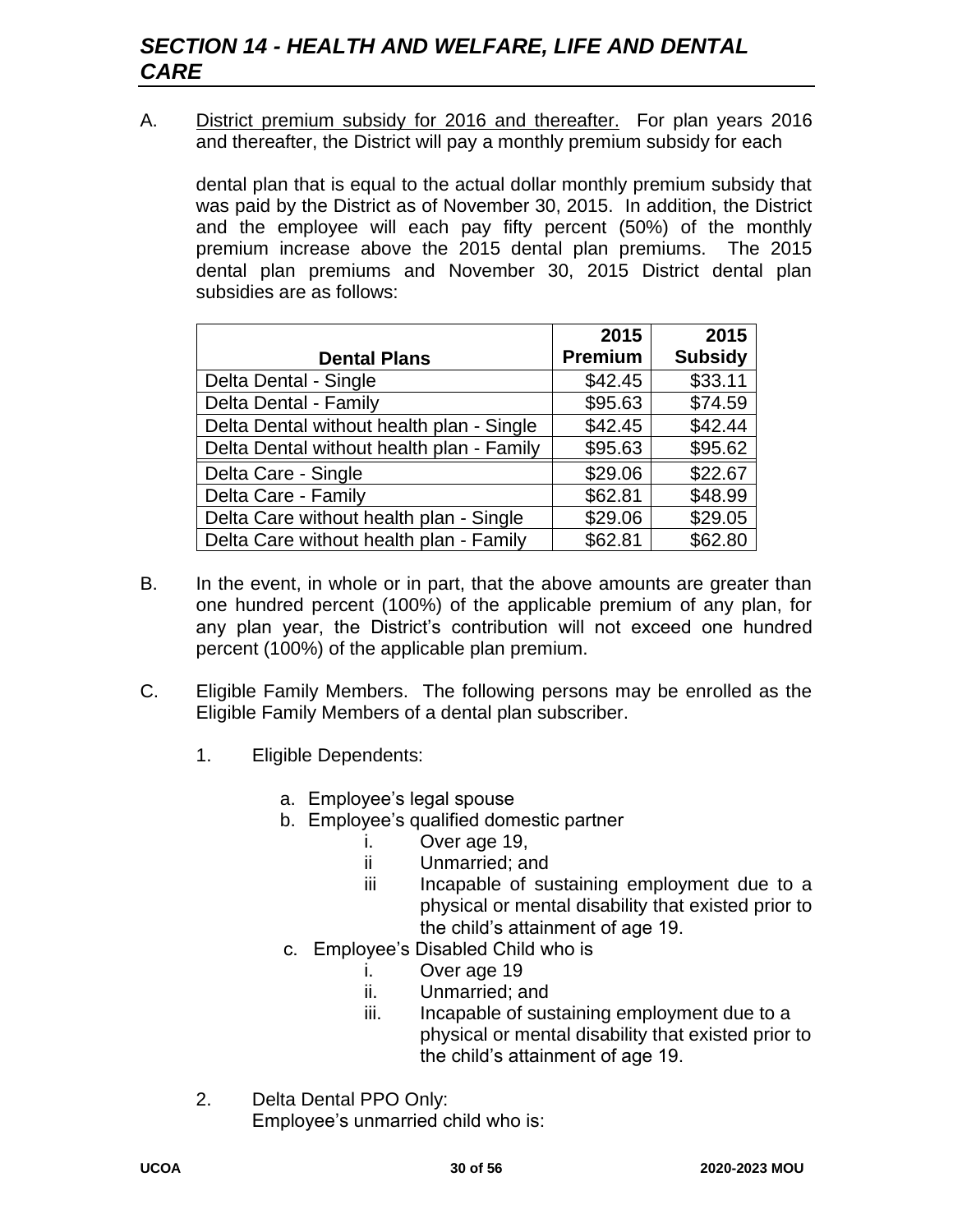A. District premium subsidy for 2016 and thereafter. For plan years 2016 and thereafter, the District will pay a monthly premium subsidy for each

dental plan that is equal to the actual dollar monthly premium subsidy that was paid by the District as of November 30, 2015. In addition, the District and the employee will each pay fifty percent (50%) of the monthly premium increase above the 2015 dental plan premiums. The 2015 dental plan premiums and November 30, 2015 District dental plan subsidies are as follows:

|                                           | 2015           | 2015           |
|-------------------------------------------|----------------|----------------|
| <b>Dental Plans</b>                       | <b>Premium</b> | <b>Subsidy</b> |
| Delta Dental - Single                     | \$42.45        | \$33.11        |
| Delta Dental - Family                     | \$95.63        | \$74.59        |
| Delta Dental without health plan - Single | \$42.45        | \$42.44        |
| Delta Dental without health plan - Family | \$95.63        | \$95.62        |
| Delta Care - Single                       | \$29.06        | \$22.67        |
| Delta Care - Family                       | \$62.81        | \$48.99        |
| Delta Care without health plan - Single   | \$29.06        | \$29.05        |
| Delta Care without health plan - Family   | \$62.81        | \$62.80        |

- B. In the event, in whole or in part, that the above amounts are greater than one hundred percent (100%) of the applicable premium of any plan, for any plan year, the District's contribution will not exceed one hundred percent (100%) of the applicable plan premium.
- C. Eligible Family Members. The following persons may be enrolled as the Eligible Family Members of a dental plan subscriber.
	- 1. Eligible Dependents:
		- a. Employee's legal spouse
		- b. Employee's qualified domestic partner
			- i. Over age 19,
			- ii Unmarried; and
			- iii Incapable of sustaining employment due to a physical or mental disability that existed prior to the child's attainment of age 19.
		- c. Employee's Disabled Child who is
			- i. Over age 19
			- ii. Unmarried; and
			- iii. Incapable of sustaining employment due to a physical or mental disability that existed prior to the child's attainment of age 19.
	- 2. Delta Dental PPO Only: Employee's unmarried child who is: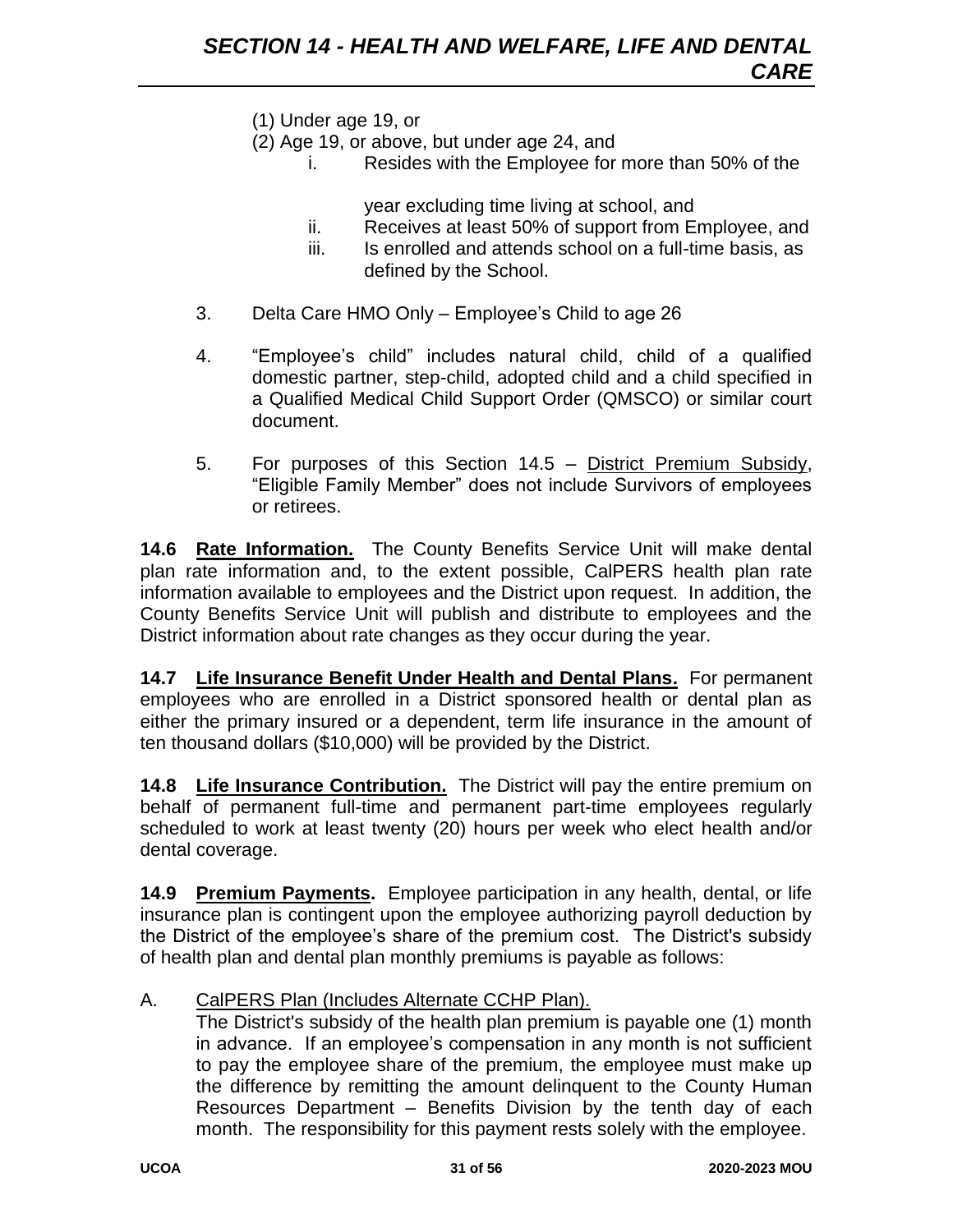- (1) Under age 19, or
- (2) Age 19, or above, but under age 24, and
	- i. Resides with the Employee for more than 50% of the

year excluding time living at school, and

- ii. Receives at least 50% of support from Employee, and
- iii. Is enrolled and attends school on a full-time basis, as defined by the School.
- 3. Delta Care HMO Only Employee's Child to age 26
- 4. "Employee's child" includes natural child, child of a qualified domestic partner, step-child, adopted child and a child specified in a Qualified Medical Child Support Order (QMSCO) or similar court document.
- 5. For purposes of this Section 14.5 District Premium Subsidy, "Eligible Family Member" does not include Survivors of employees or retirees.

**14.6 Rate Information.** The County Benefits Service Unit will make dental plan rate information and, to the extent possible, CalPERS health plan rate information available to employees and the District upon request. In addition, the County Benefits Service Unit will publish and distribute to employees and the District information about rate changes as they occur during the year.

**14.7 Life Insurance Benefit Under Health and Dental Plans.** For permanent employees who are enrolled in a District sponsored health or dental plan as either the primary insured or a dependent, term life insurance in the amount of ten thousand dollars (\$10,000) will be provided by the District.

**14.8 Life Insurance Contribution.** The District will pay the entire premium on behalf of permanent full-time and permanent part-time employees regularly scheduled to work at least twenty (20) hours per week who elect health and/or dental coverage.

**14.9 Premium Payments.** Employee participation in any health, dental, or life insurance plan is contingent upon the employee authorizing payroll deduction by the District of the employee's share of the premium cost. The District's subsidy of health plan and dental plan monthly premiums is payable as follows:

A. CalPERS Plan (Includes Alternate CCHP Plan).

The District's subsidy of the health plan premium is payable one (1) month in advance. If an employee's compensation in any month is not sufficient to pay the employee share of the premium, the employee must make up the difference by remitting the amount delinquent to the County Human Resources Department – Benefits Division by the tenth day of each month. The responsibility for this payment rests solely with the employee.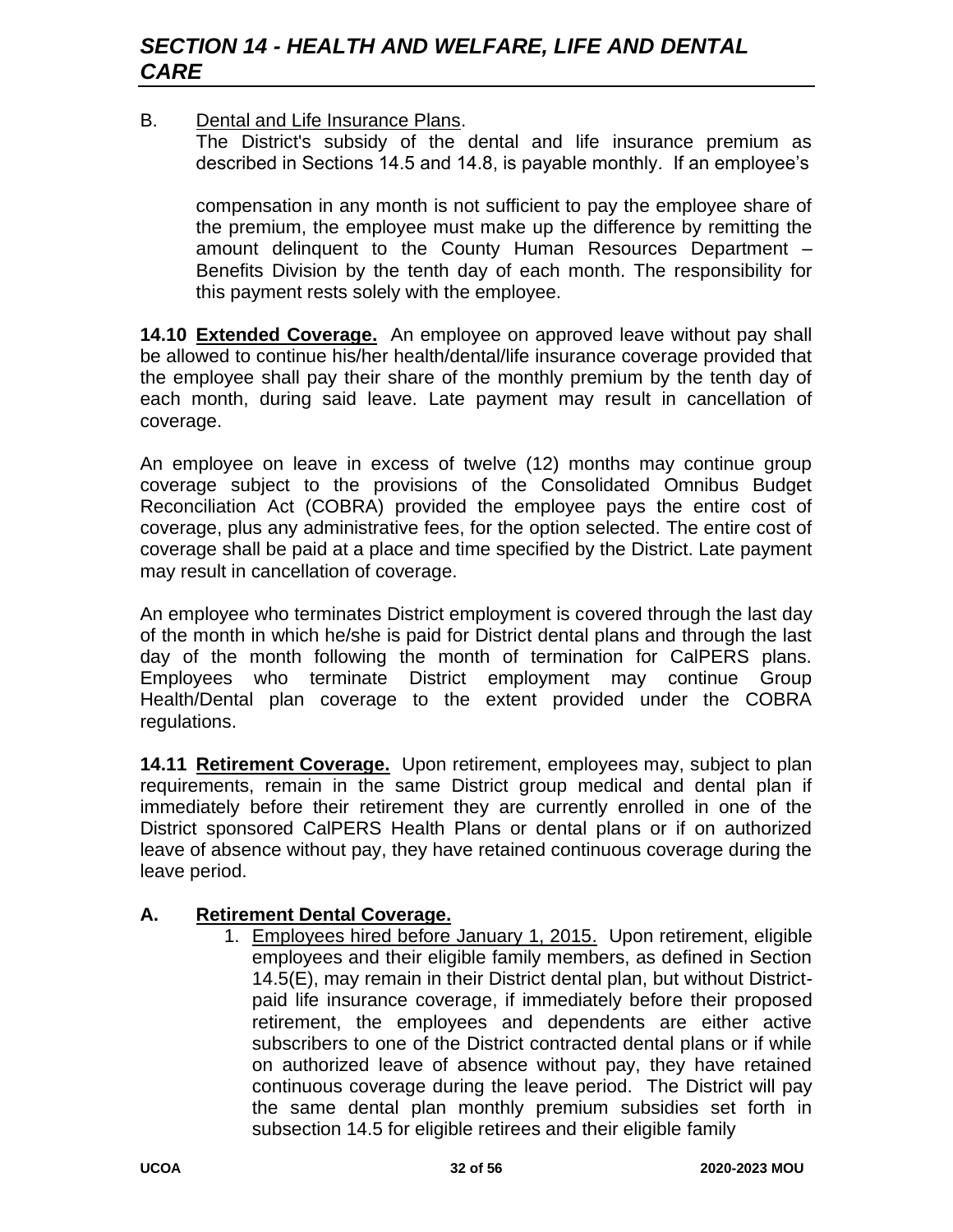#### B. Dental and Life Insurance Plans.

The District's subsidy of the dental and life insurance premium as described in Sections 14.5 and 14.8, is payable monthly. If an employee's

compensation in any month is not sufficient to pay the employee share of the premium, the employee must make up the difference by remitting the amount delinquent to the County Human Resources Department – Benefits Division by the tenth day of each month. The responsibility for this payment rests solely with the employee.

**14.10 Extended Coverage.** An employee on approved leave without pay shall be allowed to continue his/her health/dental/life insurance coverage provided that the employee shall pay their share of the monthly premium by the tenth day of each month, during said leave. Late payment may result in cancellation of coverage.

An employee on leave in excess of twelve (12) months may continue group coverage subject to the provisions of the Consolidated Omnibus Budget Reconciliation Act (COBRA) provided the employee pays the entire cost of coverage, plus any administrative fees, for the option selected. The entire cost of coverage shall be paid at a place and time specified by the District. Late payment may result in cancellation of coverage.

An employee who terminates District employment is covered through the last day of the month in which he/she is paid for District dental plans and through the last day of the month following the month of termination for CalPERS plans. Employees who terminate District employment may continue Group Health/Dental plan coverage to the extent provided under the COBRA regulations.

**14.11 Retirement Coverage.** Upon retirement, employees may, subject to plan requirements, remain in the same District group medical and dental plan if immediately before their retirement they are currently enrolled in one of the District sponsored CalPERS Health Plans or dental plans or if on authorized leave of absence without pay, they have retained continuous coverage during the leave period.

#### **A. Retirement Dental Coverage.**

1. Employees hired before January 1, 2015. Upon retirement, eligible employees and their eligible family members, as defined in Section 14.5(E), may remain in their District dental plan, but without Districtpaid life insurance coverage, if immediately before their proposed retirement, the employees and dependents are either active subscribers to one of the District contracted dental plans or if while on authorized leave of absence without pay, they have retained continuous coverage during the leave period. The District will pay the same dental plan monthly premium subsidies set forth in subsection 14.5 for eligible retirees and their eligible family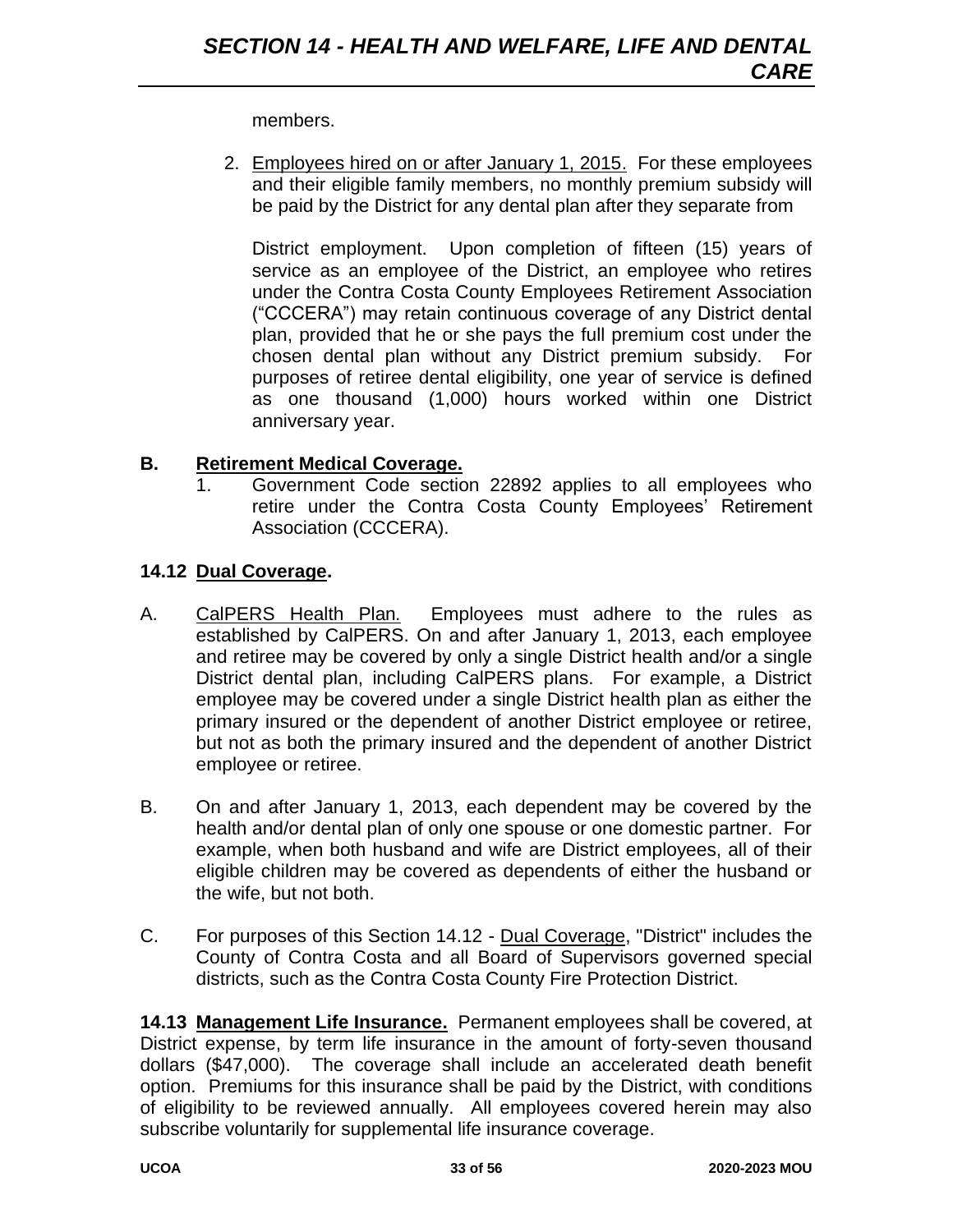#### members.

2. Employees hired on or after January 1, 2015. For these employees and their eligible family members, no monthly premium subsidy will be paid by the District for any dental plan after they separate from

District employment. Upon completion of fifteen (15) years of service as an employee of the District, an employee who retires under the Contra Costa County Employees Retirement Association ("CCCERA") may retain continuous coverage of any District dental plan, provided that he or she pays the full premium cost under the chosen dental plan without any District premium subsidy. For purposes of retiree dental eligibility, one year of service is defined as one thousand (1,000) hours worked within one District anniversary year.

#### **B. Retirement Medical Coverage.**

1. Government Code section 22892 applies to all employees who retire under the Contra Costa County Employees' Retirement Association (CCCERA).

#### **14.12 Dual Coverage.**

- A. CalPERS Health Plan*.* Employees must adhere to the rules as established by CalPERS. On and after January 1, 2013, each employee and retiree may be covered by only a single District health and/or a single District dental plan, including CalPERS plans. For example, a District employee may be covered under a single District health plan as either the primary insured or the dependent of another District employee or retiree, but not as both the primary insured and the dependent of another District employee or retiree.
- B. On and after January 1, 2013, each dependent may be covered by the health and/or dental plan of only one spouse or one domestic partner. For example, when both husband and wife are District employees, all of their eligible children may be covered as dependents of either the husband or the wife, but not both.
- C. For purposes of this Section 14.12 Dual Coverage, "District" includes the County of Contra Costa and all Board of Supervisors governed special districts, such as the Contra Costa County Fire Protection District.

**14.13 Management Life Insurance.** Permanent employees shall be covered, at District expense, by term life insurance in the amount of forty-seven thousand dollars (\$47,000). The coverage shall include an accelerated death benefit option. Premiums for this insurance shall be paid by the District, with conditions of eligibility to be reviewed annually. All employees covered herein may also subscribe voluntarily for supplemental life insurance coverage.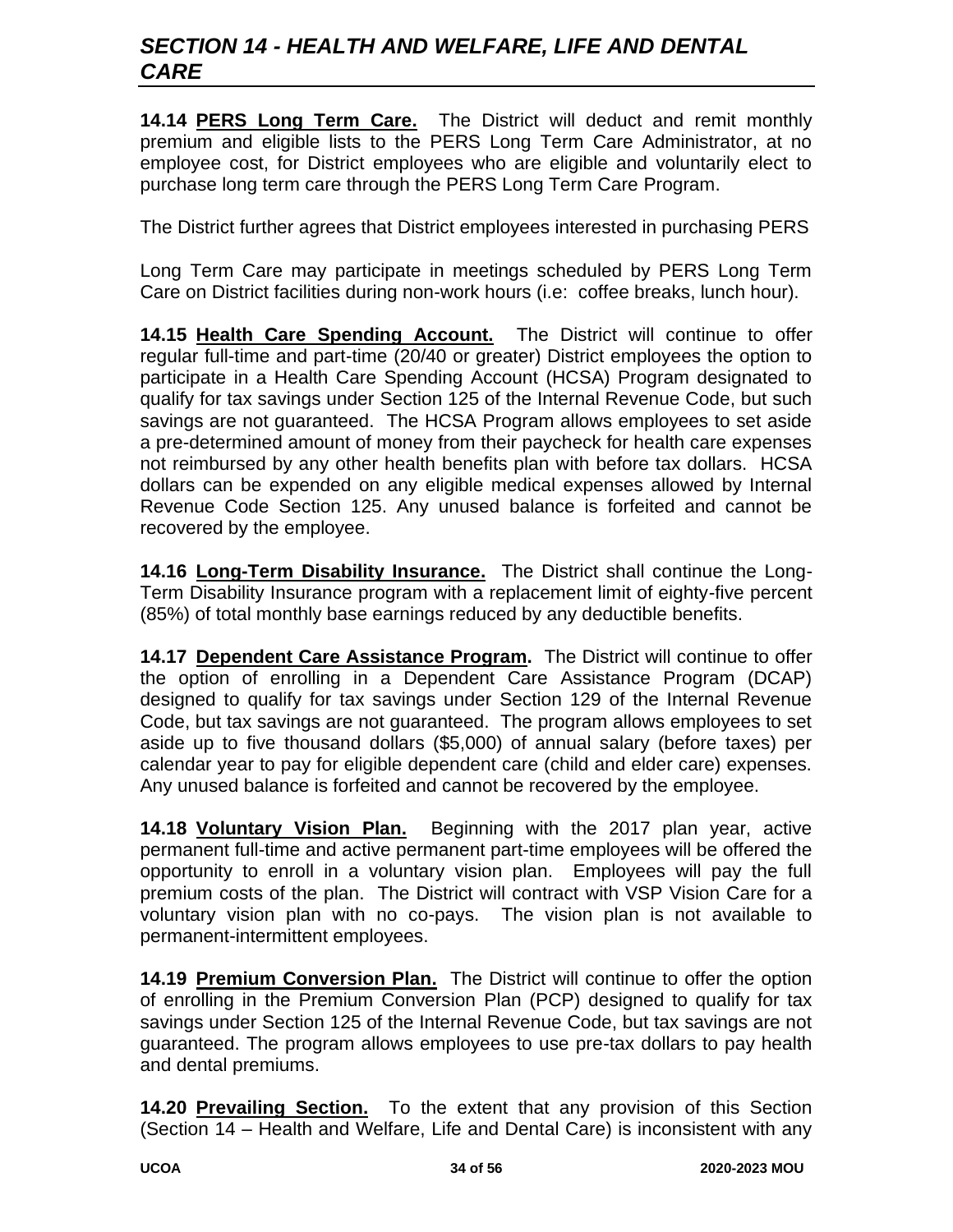# *SECTION 14 - HEALTH AND WELFARE, LIFE AND DENTAL CARE*

**14.14 PERS Long Term Care.** The District will deduct and remit monthly premium and eligible lists to the PERS Long Term Care Administrator, at no employee cost, for District employees who are eligible and voluntarily elect to purchase long term care through the PERS Long Term Care Program.

The District further agrees that District employees interested in purchasing PERS

Long Term Care may participate in meetings scheduled by PERS Long Term Care on District facilities during non-work hours (i.e: coffee breaks, lunch hour).

**14.15 Health Care Spending Account.** The District will continue to offer regular full-time and part-time (20/40 or greater) District employees the option to participate in a Health Care Spending Account (HCSA) Program designated to qualify for tax savings under Section 125 of the Internal Revenue Code, but such savings are not guaranteed. The HCSA Program allows employees to set aside a pre-determined amount of money from their paycheck for health care expenses not reimbursed by any other health benefits plan with before tax dollars. HCSA dollars can be expended on any eligible medical expenses allowed by Internal Revenue Code Section 125. Any unused balance is forfeited and cannot be recovered by the employee.

**14.16 Long-Term Disability Insurance.** The District shall continue the Long-Term Disability Insurance program with a replacement limit of eighty-five percent (85%) of total monthly base earnings reduced by any deductible benefits.

**14.17 Dependent Care Assistance Program.** The District will continue to offer the option of enrolling in a Dependent Care Assistance Program (DCAP) designed to qualify for tax savings under Section 129 of the Internal Revenue Code, but tax savings are not guaranteed. The program allows employees to set aside up to five thousand dollars (\$5,000) of annual salary (before taxes) per calendar year to pay for eligible dependent care (child and elder care) expenses. Any unused balance is forfeited and cannot be recovered by the employee.

**14.18 Voluntary Vision Plan.** Beginning with the 2017 plan year, active permanent full-time and active permanent part-time employees will be offered the opportunity to enroll in a voluntary vision plan. Employees will pay the full premium costs of the plan. The District will contract with VSP Vision Care for a voluntary vision plan with no co-pays. The vision plan is not available to permanent-intermittent employees.

**14.19 Premium Conversion Plan.** The District will continue to offer the option of enrolling in the Premium Conversion Plan (PCP) designed to qualify for tax savings under Section 125 of the Internal Revenue Code, but tax savings are not guaranteed. The program allows employees to use pre-tax dollars to pay health and dental premiums.

**14.20 Prevailing Section.** To the extent that any provision of this Section (Section 14 – Health and Welfare, Life and Dental Care) is inconsistent with any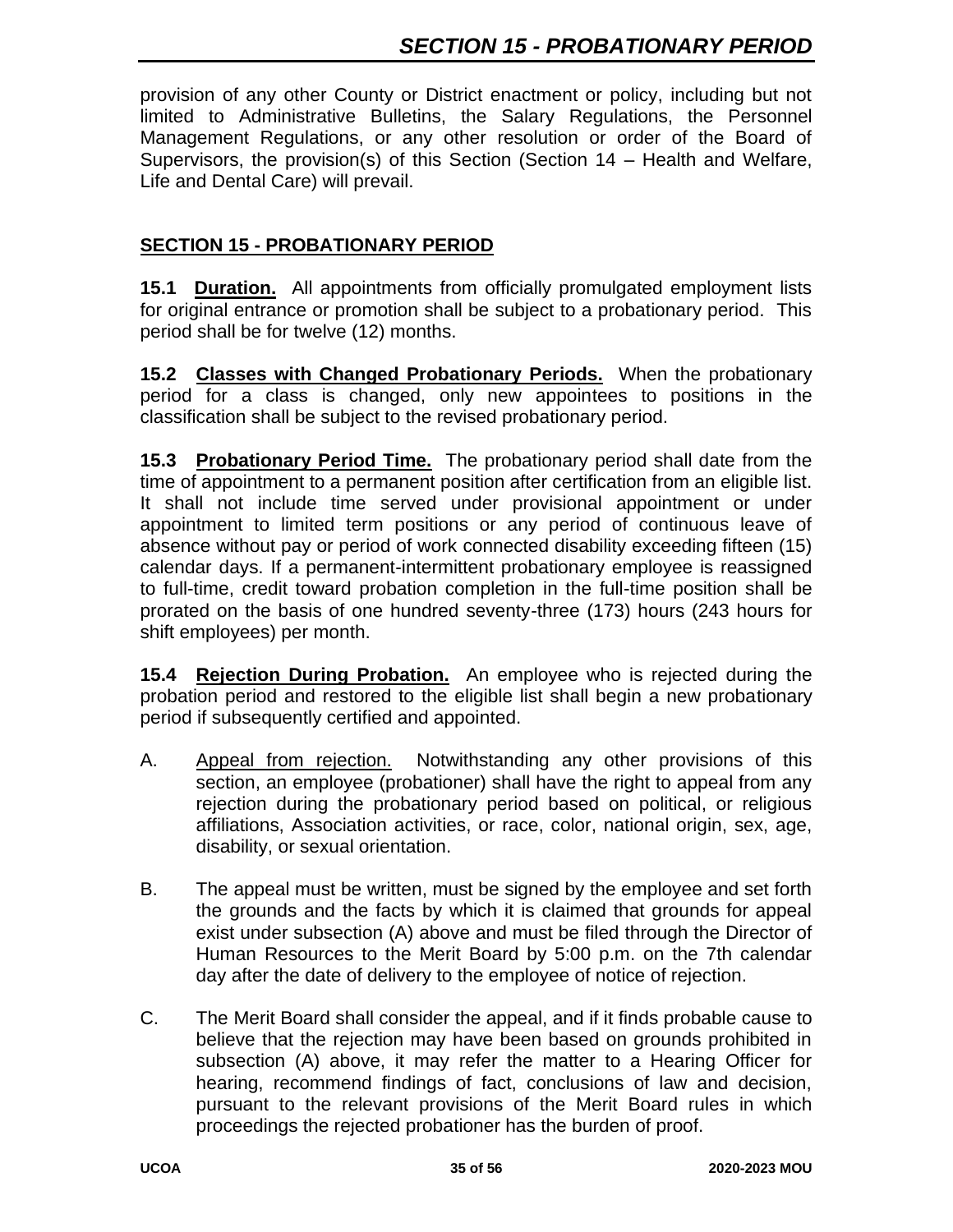provision of any other County or District enactment or policy, including but not limited to Administrative Bulletins, the Salary Regulations, the Personnel Management Regulations, or any other resolution or order of the Board of Supervisors, the provision(s) of this Section (Section 14 – Health and Welfare, Life and Dental Care) will prevail.

#### **SECTION 15 - PROBATIONARY PERIOD**

**15.1 Duration.** All appointments from officially promulgated employment lists for original entrance or promotion shall be subject to a probationary period. This period shall be for twelve (12) months.

**15.2 Classes with Changed Probationary Periods.** When the probationary period for a class is changed, only new appointees to positions in the classification shall be subject to the revised probationary period.

**15.3 Probationary Period Time.** The probationary period shall date from the time of appointment to a permanent position after certification from an eligible list. It shall not include time served under provisional appointment or under appointment to limited term positions or any period of continuous leave of absence without pay or period of work connected disability exceeding fifteen (15) calendar days. If a permanent-intermittent probationary employee is reassigned to full-time, credit toward probation completion in the full-time position shall be prorated on the basis of one hundred seventy-three (173) hours (243 hours for shift employees) per month.

**15.4 Rejection During Probation.** An employee who is rejected during the probation period and restored to the eligible list shall begin a new probationary period if subsequently certified and appointed.

- A. Appeal from rejection. Notwithstanding any other provisions of this section, an employee (probationer) shall have the right to appeal from any rejection during the probationary period based on political, or religious affiliations, Association activities, or race, color, national origin, sex, age, disability, or sexual orientation.
- B. The appeal must be written, must be signed by the employee and set forth the grounds and the facts by which it is claimed that grounds for appeal exist under subsection (A) above and must be filed through the Director of Human Resources to the Merit Board by 5:00 p.m. on the 7th calendar day after the date of delivery to the employee of notice of rejection.
- C. The Merit Board shall consider the appeal, and if it finds probable cause to believe that the rejection may have been based on grounds prohibited in subsection (A) above, it may refer the matter to a Hearing Officer for hearing, recommend findings of fact, conclusions of law and decision, pursuant to the relevant provisions of the Merit Board rules in which proceedings the rejected probationer has the burden of proof.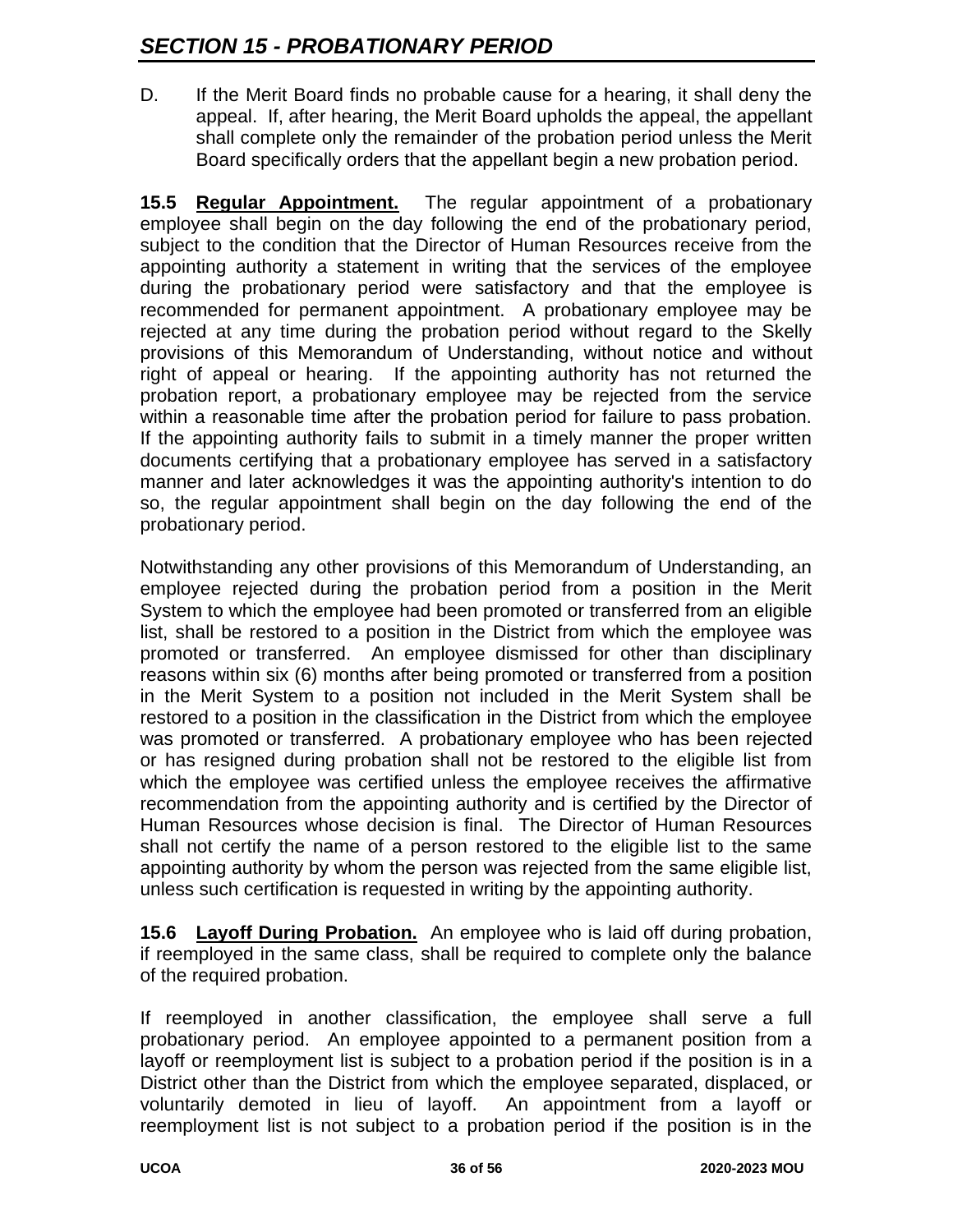D. If the Merit Board finds no probable cause for a hearing, it shall deny the appeal. If, after hearing, the Merit Board upholds the appeal, the appellant shall complete only the remainder of the probation period unless the Merit Board specifically orders that the appellant begin a new probation period.

**15.5 Regular Appointment.** The regular appointment of a probationary employee shall begin on the day following the end of the probationary period, subject to the condition that the Director of Human Resources receive from the appointing authority a statement in writing that the services of the employee during the probationary period were satisfactory and that the employee is recommended for permanent appointment. A probationary employee may be rejected at any time during the probation period without regard to the Skelly provisions of this Memorandum of Understanding, without notice and without right of appeal or hearing. If the appointing authority has not returned the probation report, a probationary employee may be rejected from the service within a reasonable time after the probation period for failure to pass probation. If the appointing authority fails to submit in a timely manner the proper written documents certifying that a probationary employee has served in a satisfactory manner and later acknowledges it was the appointing authority's intention to do so, the regular appointment shall begin on the day following the end of the probationary period.

Notwithstanding any other provisions of this Memorandum of Understanding, an employee rejected during the probation period from a position in the Merit System to which the employee had been promoted or transferred from an eligible list, shall be restored to a position in the District from which the employee was promoted or transferred. An employee dismissed for other than disciplinary reasons within six (6) months after being promoted or transferred from a position in the Merit System to a position not included in the Merit System shall be restored to a position in the classification in the District from which the employee was promoted or transferred. A probationary employee who has been rejected or has resigned during probation shall not be restored to the eligible list from which the employee was certified unless the employee receives the affirmative recommendation from the appointing authority and is certified by the Director of Human Resources whose decision is final. The Director of Human Resources shall not certify the name of a person restored to the eligible list to the same appointing authority by whom the person was rejected from the same eligible list, unless such certification is requested in writing by the appointing authority.

**15.6 Layoff During Probation.** An employee who is laid off during probation, if reemployed in the same class, shall be required to complete only the balance of the required probation.

If reemployed in another classification, the employee shall serve a full probationary period. An employee appointed to a permanent position from a layoff or reemployment list is subject to a probation period if the position is in a District other than the District from which the employee separated, displaced, or voluntarily demoted in lieu of layoff. An appointment from a layoff or reemployment list is not subject to a probation period if the position is in the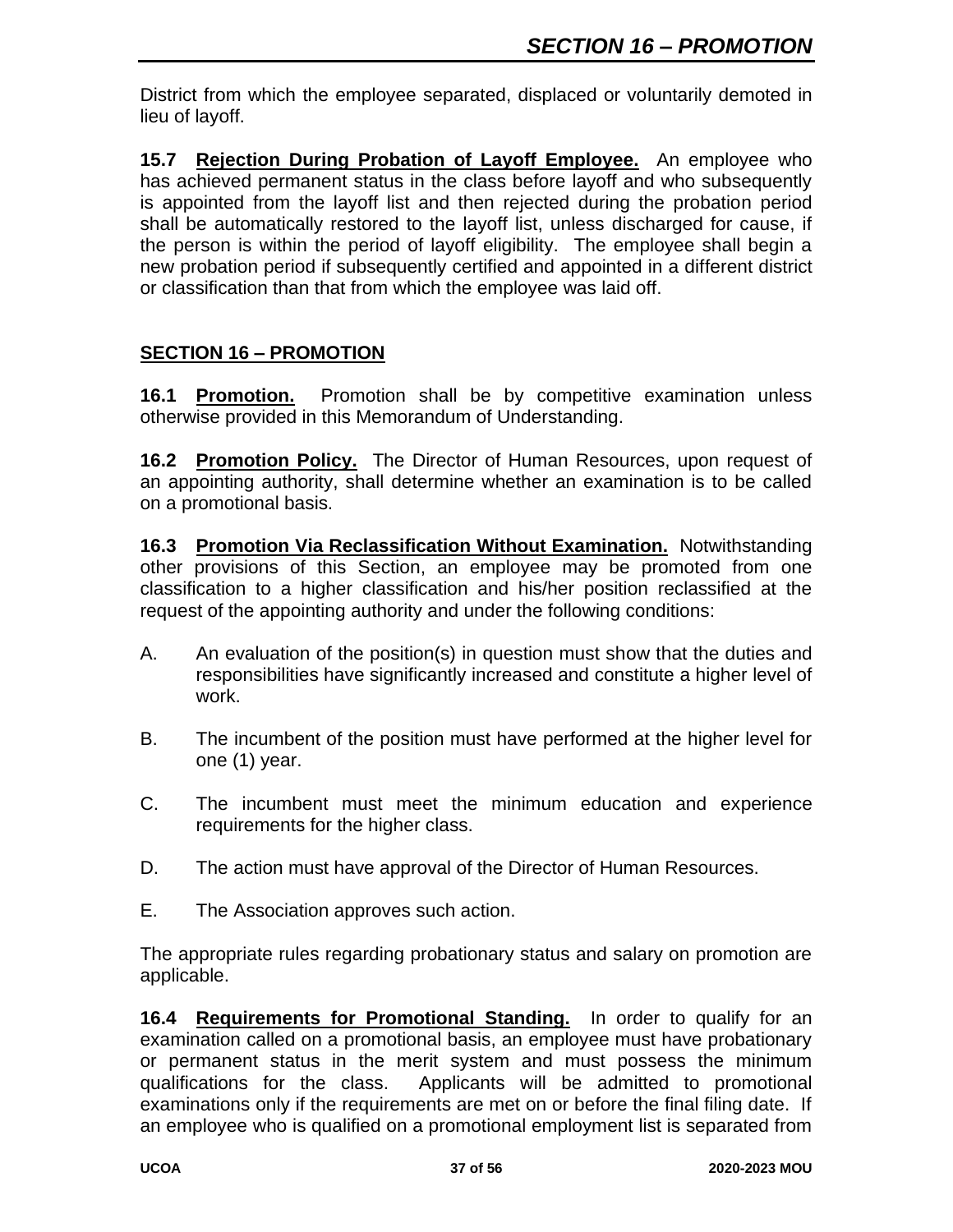District from which the employee separated, displaced or voluntarily demoted in lieu of layoff.

**15.7 Rejection During Probation of Layoff Employee.** An employee who has achieved permanent status in the class before layoff and who subsequently is appointed from the layoff list and then rejected during the probation period shall be automatically restored to the layoff list, unless discharged for cause, if the person is within the period of layoff eligibility. The employee shall begin a new probation period if subsequently certified and appointed in a different district or classification than that from which the employee was laid off.

## **SECTION 16 – PROMOTION**

**16.1 Promotion.** Promotion shall be by competitive examination unless otherwise provided in this Memorandum of Understanding.

**16.2 Promotion Policy.** The Director of Human Resources, upon request of an appointing authority, shall determine whether an examination is to be called on a promotional basis.

**16.3 Promotion Via Reclassification Without Examination.** Notwithstanding other provisions of this Section, an employee may be promoted from one classification to a higher classification and his/her position reclassified at the request of the appointing authority and under the following conditions:

- A. An evaluation of the position(s) in question must show that the duties and responsibilities have significantly increased and constitute a higher level of work.
- B. The incumbent of the position must have performed at the higher level for one (1) year.
- C. The incumbent must meet the minimum education and experience requirements for the higher class.
- D. The action must have approval of the Director of Human Resources.
- E. The Association approves such action.

The appropriate rules regarding probationary status and salary on promotion are applicable.

**16.4 Requirements for Promotional Standing.** In order to qualify for an examination called on a promotional basis, an employee must have probationary or permanent status in the merit system and must possess the minimum qualifications for the class. Applicants will be admitted to promotional examinations only if the requirements are met on or before the final filing date. If an employee who is qualified on a promotional employment list is separated from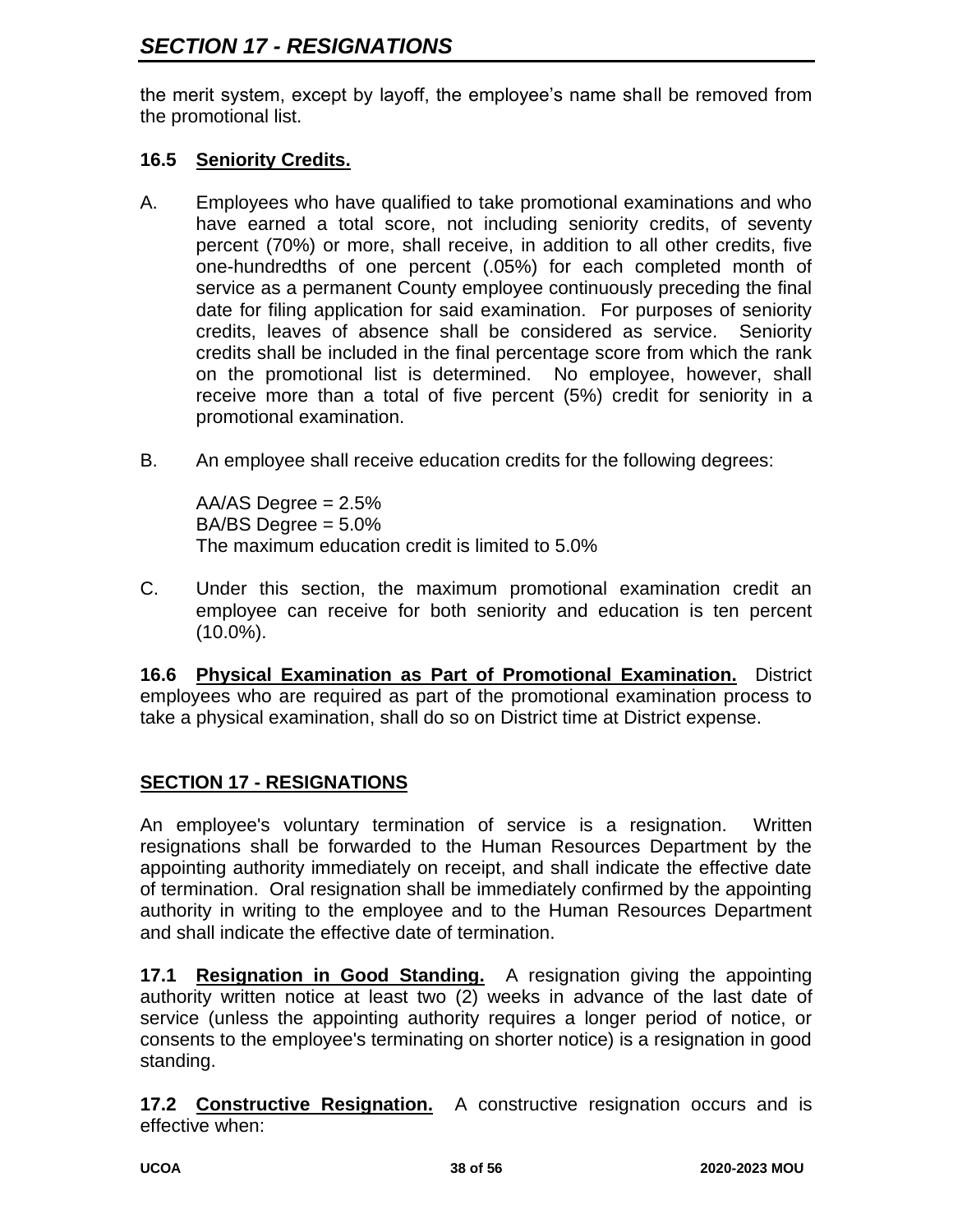the merit system, except by layoff, the employee's name shall be removed from the promotional list.

### **16.5 Seniority Credits.**

- A. Employees who have qualified to take promotional examinations and who have earned a total score, not including seniority credits, of seventy percent (70%) or more, shall receive, in addition to all other credits, five one-hundredths of one percent (.05%) for each completed month of service as a permanent County employee continuously preceding the final date for filing application for said examination. For purposes of seniority credits, leaves of absence shall be considered as service. Seniority credits shall be included in the final percentage score from which the rank on the promotional list is determined. No employee, however, shall receive more than a total of five percent (5%) credit for seniority in a promotional examination.
- B. An employee shall receive education credits for the following degrees:

AA/AS Degree  $= 2.5\%$  $BA/BS$  Degree =  $5.0\%$ The maximum education credit is limited to 5.0%

C. Under this section, the maximum promotional examination credit an employee can receive for both seniority and education is ten percent (10.0%).

**16.6 Physical Examination as Part of Promotional Examination.** District employees who are required as part of the promotional examination process to take a physical examination, shall do so on District time at District expense.

# **SECTION 17 - RESIGNATIONS**

An employee's voluntary termination of service is a resignation. Written resignations shall be forwarded to the Human Resources Department by the appointing authority immediately on receipt, and shall indicate the effective date of termination. Oral resignation shall be immediately confirmed by the appointing authority in writing to the employee and to the Human Resources Department and shall indicate the effective date of termination.

**17.1 Resignation in Good Standing.** A resignation giving the appointing authority written notice at least two (2) weeks in advance of the last date of service (unless the appointing authority requires a longer period of notice, or consents to the employee's terminating on shorter notice) is a resignation in good standing.

**17.2 Constructive Resignation.** A constructive resignation occurs and is effective when: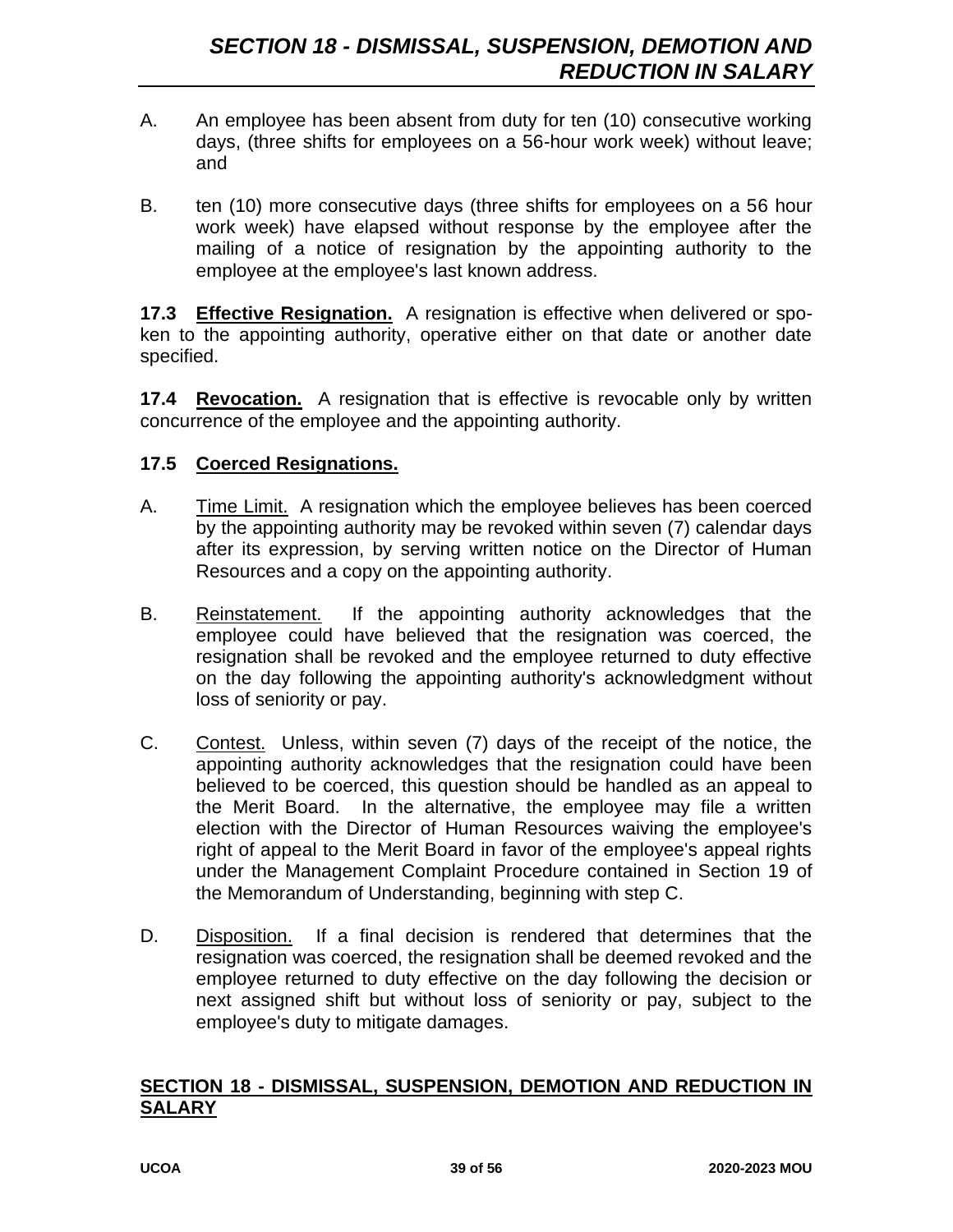- A. An employee has been absent from duty for ten (10) consecutive working days, (three shifts for employees on a 56-hour work week) without leave; and
- B. ten (10) more consecutive days (three shifts for employees on a 56 hour work week) have elapsed without response by the employee after the mailing of a notice of resignation by the appointing authority to the employee at the employee's last known address.

**17.3 Effective Resignation.** A resignation is effective when delivered or spoken to the appointing authority, operative either on that date or another date specified.

**17.4 Revocation.** A resignation that is effective is revocable only by written concurrence of the employee and the appointing authority.

#### **17.5 Coerced Resignations.**

- A. Time Limit. A resignation which the employee believes has been coerced by the appointing authority may be revoked within seven (7) calendar days after its expression, by serving written notice on the Director of Human Resources and a copy on the appointing authority.
- B. Reinstatement. If the appointing authority acknowledges that the employee could have believed that the resignation was coerced, the resignation shall be revoked and the employee returned to duty effective on the day following the appointing authority's acknowledgment without loss of seniority or pay.
- C. Contest. Unless, within seven (7) days of the receipt of the notice, the appointing authority acknowledges that the resignation could have been believed to be coerced, this question should be handled as an appeal to the Merit Board. In the alternative, the employee may file a written election with the Director of Human Resources waiving the employee's right of appeal to the Merit Board in favor of the employee's appeal rights under the Management Complaint Procedure contained in Section 19 of the Memorandum of Understanding, beginning with step C.
- D. Disposition. If a final decision is rendered that determines that the resignation was coerced, the resignation shall be deemed revoked and the employee returned to duty effective on the day following the decision or next assigned shift but without loss of seniority or pay, subject to the employee's duty to mitigate damages.

#### **SECTION 18 - DISMISSAL, SUSPENSION, DEMOTION AND REDUCTION IN SALARY**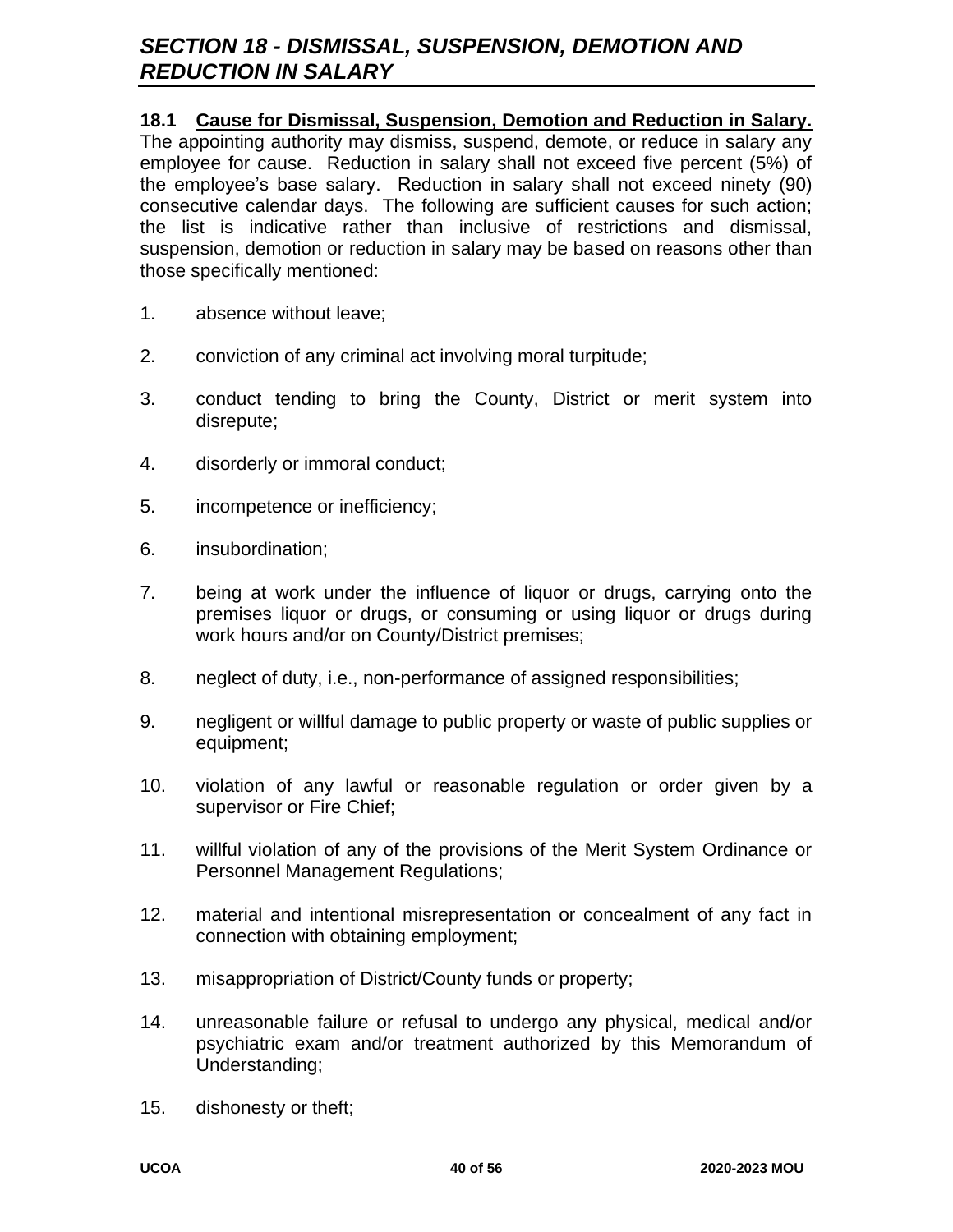# *SECTION 18 - DISMISSAL, SUSPENSION, DEMOTION AND REDUCTION IN SALARY*

#### **18.1 Cause for Dismissal, Suspension, Demotion and Reduction in Salary.**

The appointing authority may dismiss, suspend, demote, or reduce in salary any employee for cause. Reduction in salary shall not exceed five percent (5%) of the employee's base salary. Reduction in salary shall not exceed ninety (90) consecutive calendar days. The following are sufficient causes for such action; the list is indicative rather than inclusive of restrictions and dismissal, suspension, demotion or reduction in salary may be based on reasons other than those specifically mentioned:

- 1. absence without leave;
- 2. conviction of any criminal act involving moral turpitude;
- 3. conduct tending to bring the County, District or merit system into disrepute;
- 4. disorderly or immoral conduct;
- 5. incompetence or inefficiency;
- 6. insubordination;
- 7. being at work under the influence of liquor or drugs, carrying onto the premises liquor or drugs, or consuming or using liquor or drugs during work hours and/or on County/District premises;
- 8. neglect of duty, i.e., non-performance of assigned responsibilities;
- 9. negligent or willful damage to public property or waste of public supplies or equipment;
- 10. violation of any lawful or reasonable regulation or order given by a supervisor or Fire Chief;
- 11. willful violation of any of the provisions of the Merit System Ordinance or Personnel Management Regulations;
- 12. material and intentional misrepresentation or concealment of any fact in connection with obtaining employment;
- 13. misappropriation of District/County funds or property;
- 14. unreasonable failure or refusal to undergo any physical, medical and/or psychiatric exam and/or treatment authorized by this Memorandum of Understanding;
- 15. dishonesty or theft;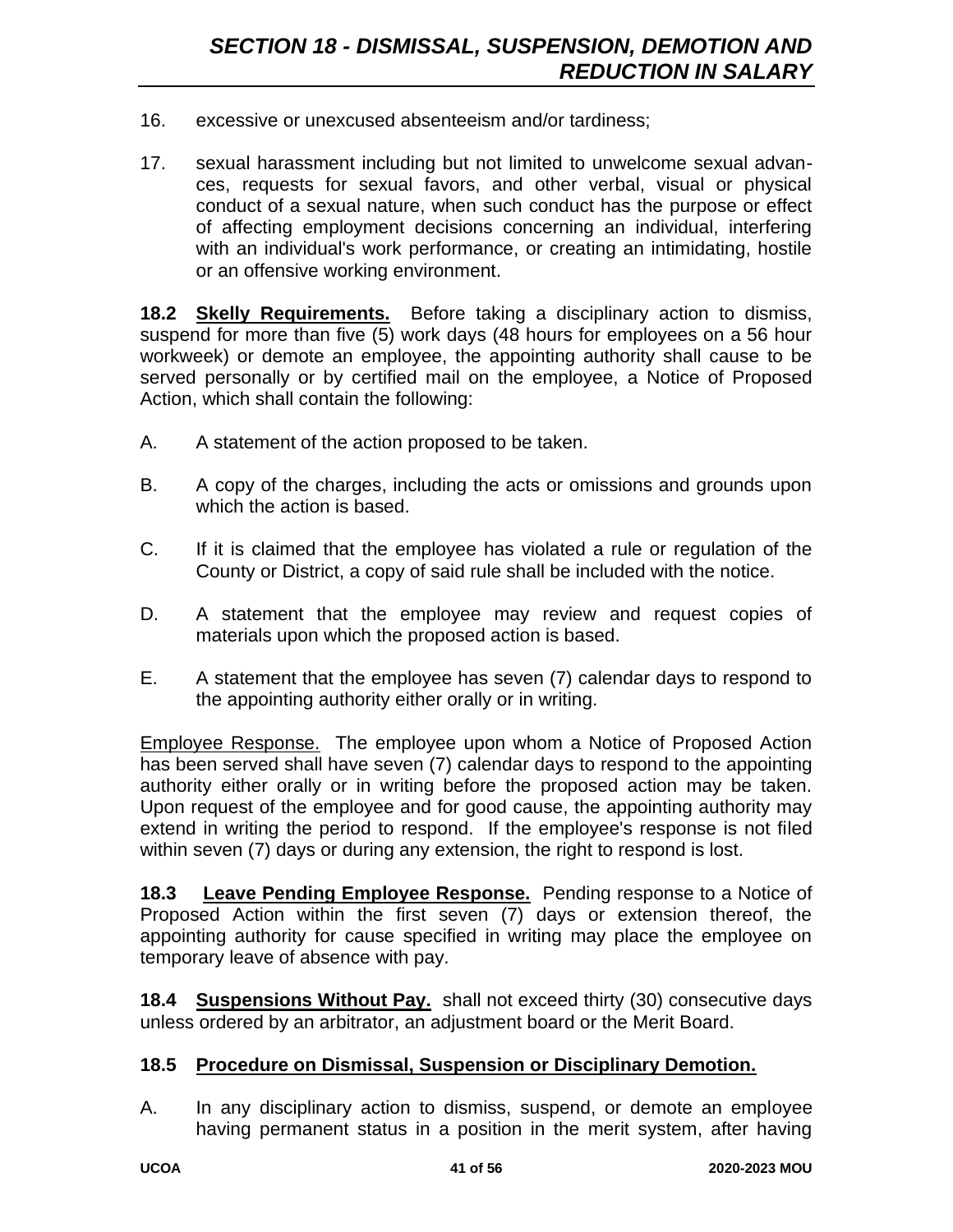- 16. excessive or unexcused absenteeism and/or tardiness;
- 17. sexual harassment including but not limited to unwelcome sexual advances, requests for sexual favors, and other verbal, visual or physical conduct of a sexual nature, when such conduct has the purpose or effect of affecting employment decisions concerning an individual, interfering with an individual's work performance, or creating an intimidating, hostile or an offensive working environment.

**18.2 Skelly Requirements.** Before taking a disciplinary action to dismiss, suspend for more than five (5) work days (48 hours for employees on a 56 hour workweek) or demote an employee, the appointing authority shall cause to be served personally or by certified mail on the employee, a Notice of Proposed Action, which shall contain the following:

- A. A statement of the action proposed to be taken.
- B. A copy of the charges, including the acts or omissions and grounds upon which the action is based.
- C. If it is claimed that the employee has violated a rule or regulation of the County or District, a copy of said rule shall be included with the notice.
- D. A statement that the employee may review and request copies of materials upon which the proposed action is based.
- E. A statement that the employee has seven (7) calendar days to respond to the appointing authority either orally or in writing.

Employee Response. The employee upon whom a Notice of Proposed Action has been served shall have seven (7) calendar days to respond to the appointing authority either orally or in writing before the proposed action may be taken. Upon request of the employee and for good cause, the appointing authority may extend in writing the period to respond. If the employee's response is not filed within seven (7) days or during any extension, the right to respond is lost.

**18.3 Leave Pending Employee Response.** Pending response to a Notice of Proposed Action within the first seven (7) days or extension thereof, the appointing authority for cause specified in writing may place the employee on temporary leave of absence with pay.

**18.4 Suspensions Without Pay.** shall not exceed thirty (30) consecutive days unless ordered by an arbitrator, an adjustment board or the Merit Board.

#### **18.5 Procedure on Dismissal, Suspension or Disciplinary Demotion.**

A. In any disciplinary action to dismiss, suspend, or demote an employee having permanent status in a position in the merit system, after having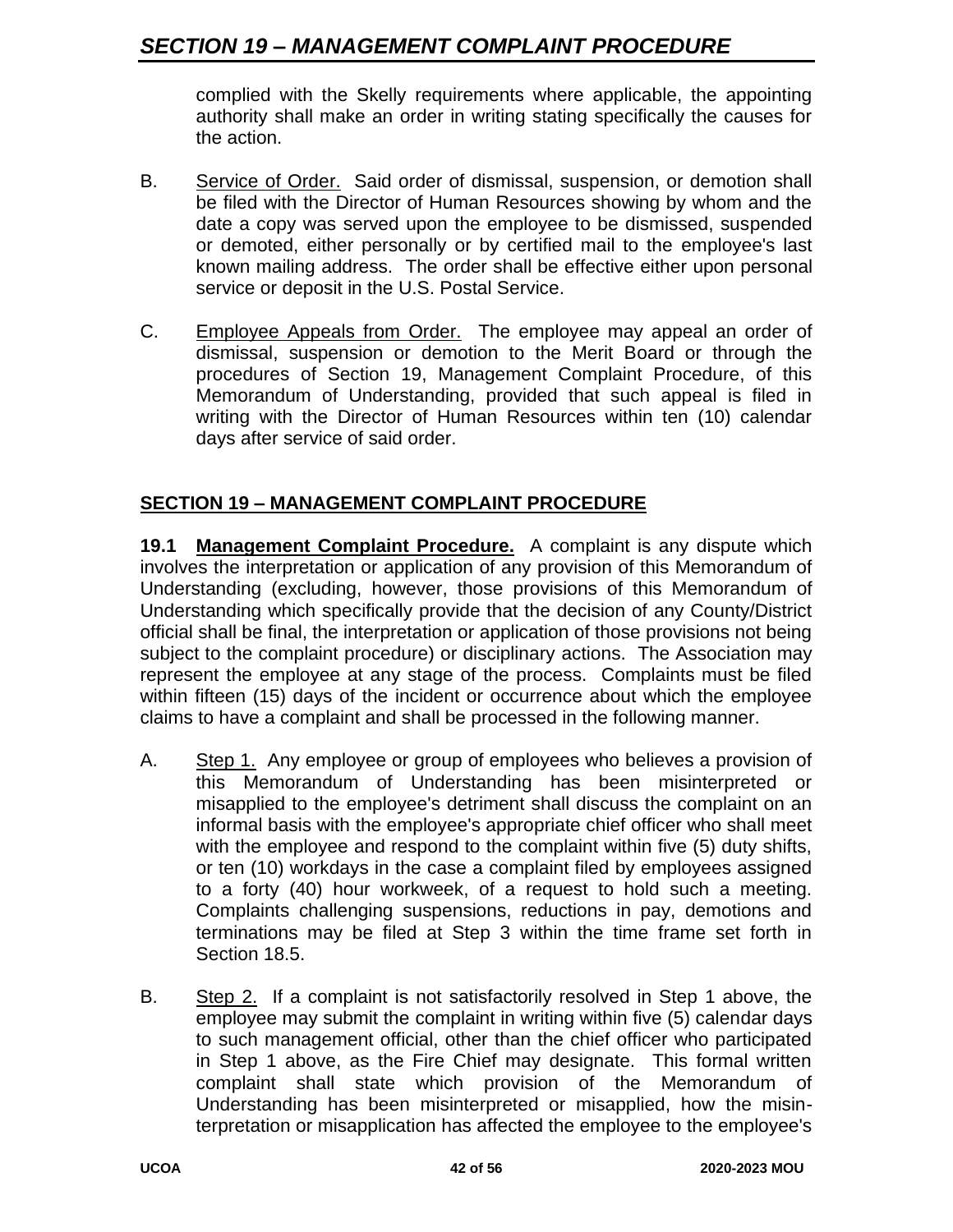complied with the Skelly requirements where applicable, the appointing authority shall make an order in writing stating specifically the causes for the action.

- B. Service of Order. Said order of dismissal, suspension, or demotion shall be filed with the Director of Human Resources showing by whom and the date a copy was served upon the employee to be dismissed, suspended or demoted, either personally or by certified mail to the employee's last known mailing address. The order shall be effective either upon personal service or deposit in the U.S. Postal Service.
- C. Employee Appeals from Order. The employee may appeal an order of dismissal, suspension or demotion to the Merit Board or through the procedures of Section 19, Management Complaint Procedure, of this Memorandum of Understanding, provided that such appeal is filed in writing with the Director of Human Resources within ten (10) calendar days after service of said order.

# **SECTION 19 – MANAGEMENT COMPLAINT PROCEDURE**

**19.1 Management Complaint Procedure.** A complaint is any dispute which involves the interpretation or application of any provision of this Memorandum of Understanding (excluding, however, those provisions of this Memorandum of Understanding which specifically provide that the decision of any County/District official shall be final, the interpretation or application of those provisions not being subject to the complaint procedure) or disciplinary actions. The Association may represent the employee at any stage of the process. Complaints must be filed within fifteen (15) days of the incident or occurrence about which the employee claims to have a complaint and shall be processed in the following manner.

- A. Step 1. Any employee or group of employees who believes a provision of this Memorandum of Understanding has been misinterpreted or misapplied to the employee's detriment shall discuss the complaint on an informal basis with the employee's appropriate chief officer who shall meet with the employee and respond to the complaint within five (5) duty shifts, or ten (10) workdays in the case a complaint filed by employees assigned to a forty (40) hour workweek, of a request to hold such a meeting. Complaints challenging suspensions, reductions in pay, demotions and terminations may be filed at Step 3 within the time frame set forth in Section 18.5.
- B. Step 2. If a complaint is not satisfactorily resolved in Step 1 above, the employee may submit the complaint in writing within five (5) calendar days to such management official, other than the chief officer who participated in Step 1 above, as the Fire Chief may designate. This formal written complaint shall state which provision of the Memorandum of Understanding has been misinterpreted or misapplied, how the misinterpretation or misapplication has affected the employee to the employee's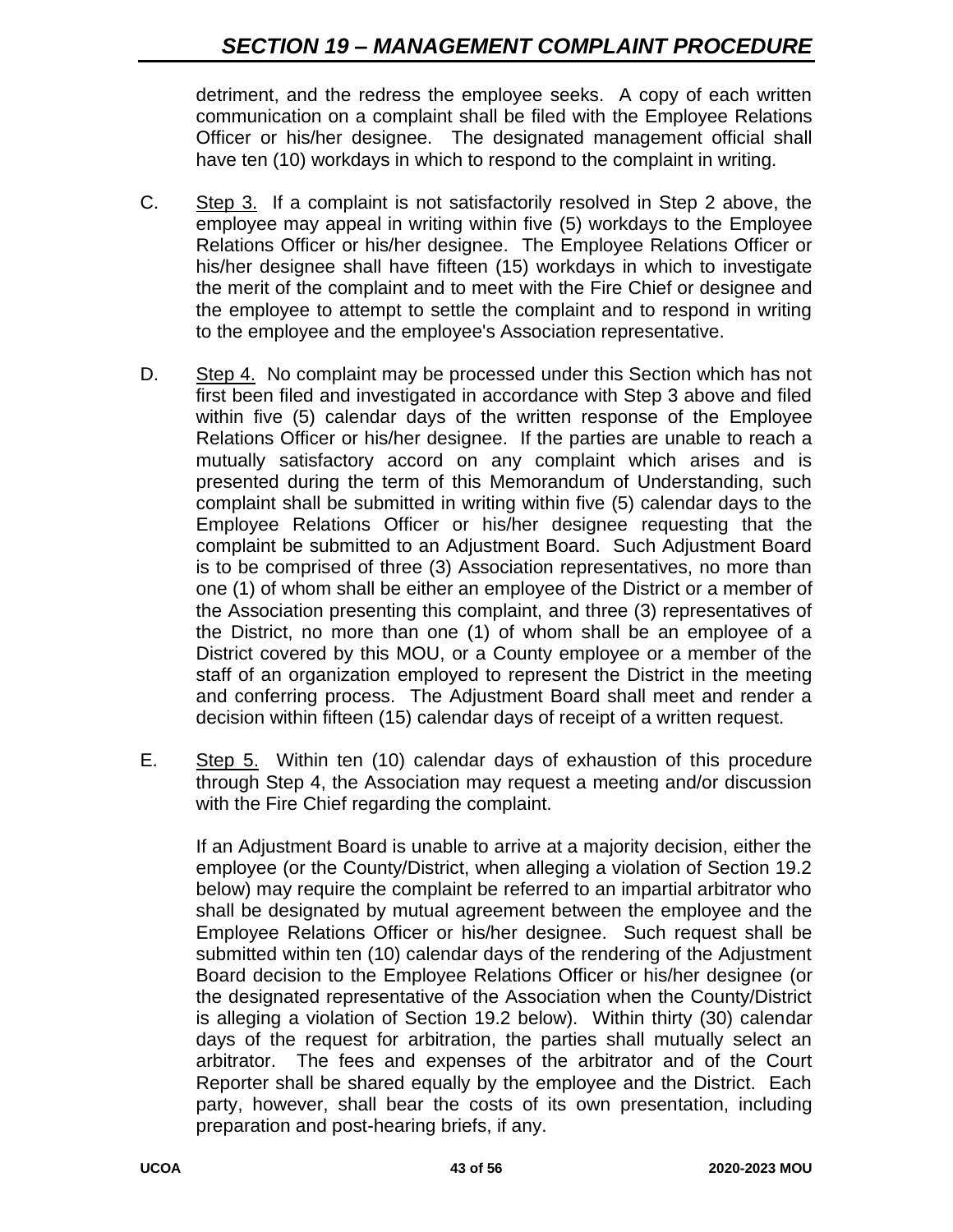detriment, and the redress the employee seeks. A copy of each written communication on a complaint shall be filed with the Employee Relations Officer or his/her designee. The designated management official shall have ten (10) workdays in which to respond to the complaint in writing.

- C. Step 3. If a complaint is not satisfactorily resolved in Step 2 above, the employee may appeal in writing within five (5) workdays to the Employee Relations Officer or his/her designee. The Employee Relations Officer or his/her designee shall have fifteen (15) workdays in which to investigate the merit of the complaint and to meet with the Fire Chief or designee and the employee to attempt to settle the complaint and to respond in writing to the employee and the employee's Association representative.
- D. Step 4. No complaint may be processed under this Section which has not first been filed and investigated in accordance with Step 3 above and filed within five (5) calendar days of the written response of the Employee Relations Officer or his/her designee. If the parties are unable to reach a mutually satisfactory accord on any complaint which arises and is presented during the term of this Memorandum of Understanding, such complaint shall be submitted in writing within five (5) calendar days to the Employee Relations Officer or his/her designee requesting that the complaint be submitted to an Adjustment Board. Such Adjustment Board is to be comprised of three (3) Association representatives, no more than one (1) of whom shall be either an employee of the District or a member of the Association presenting this complaint, and three (3) representatives of the District, no more than one (1) of whom shall be an employee of a District covered by this MOU, or a County employee or a member of the staff of an organization employed to represent the District in the meeting and conferring process. The Adjustment Board shall meet and render a decision within fifteen (15) calendar days of receipt of a written request.
- E. Step 5. Within ten (10) calendar days of exhaustion of this procedure through Step 4, the Association may request a meeting and/or discussion with the Fire Chief regarding the complaint.

If an Adjustment Board is unable to arrive at a majority decision, either the employee (or the County/District, when alleging a violation of Section 19.2 below) may require the complaint be referred to an impartial arbitrator who shall be designated by mutual agreement between the employee and the Employee Relations Officer or his/her designee. Such request shall be submitted within ten (10) calendar days of the rendering of the Adjustment Board decision to the Employee Relations Officer or his/her designee (or the designated representative of the Association when the County/District is alleging a violation of Section 19.2 below). Within thirty (30) calendar days of the request for arbitration, the parties shall mutually select an arbitrator. The fees and expenses of the arbitrator and of the Court Reporter shall be shared equally by the employee and the District. Each party, however, shall bear the costs of its own presentation, including preparation and post-hearing briefs, if any.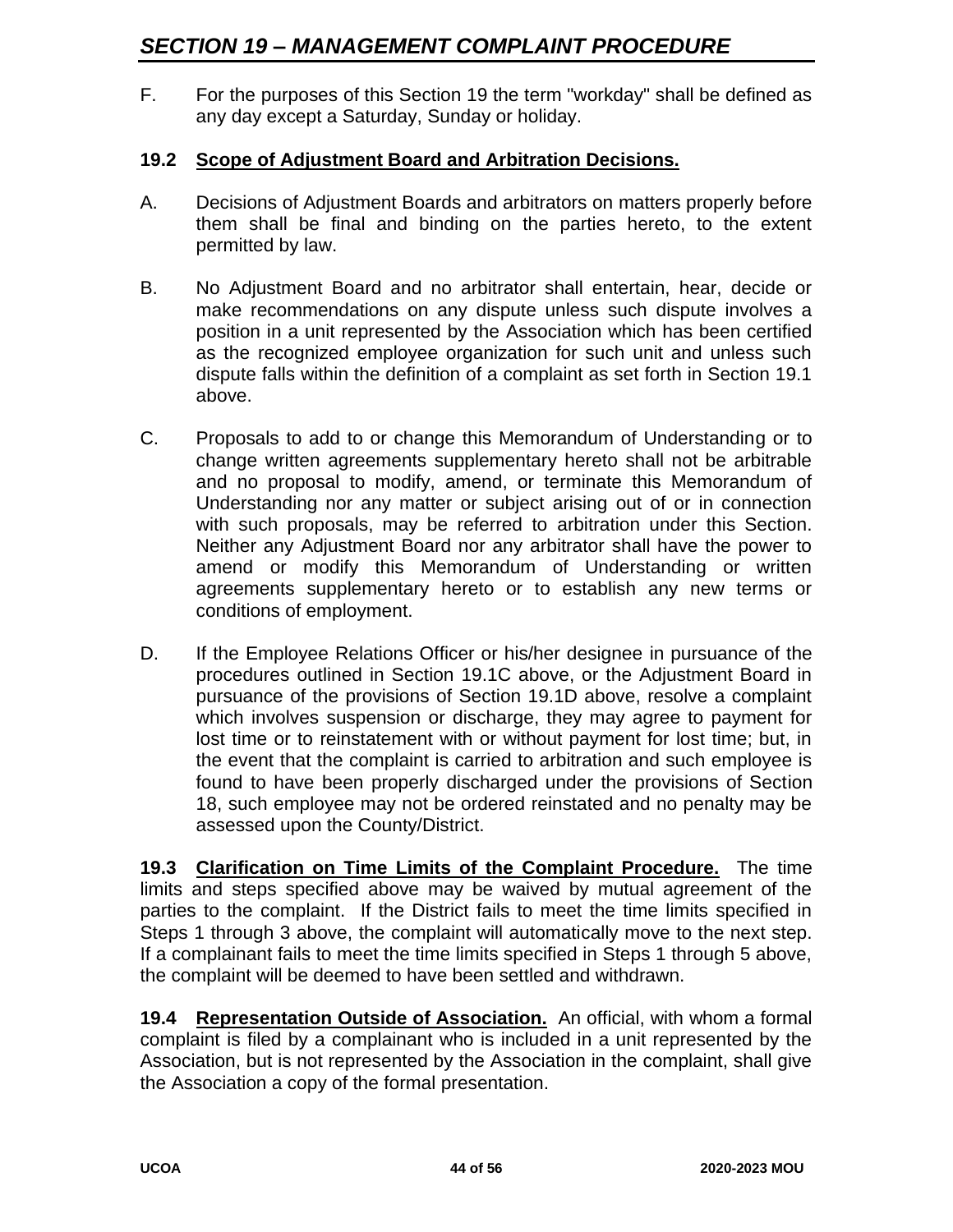F. For the purposes of this Section 19 the term "workday" shall be defined as any day except a Saturday, Sunday or holiday.

#### **19.2 Scope of Adjustment Board and Arbitration Decisions.**

- A. Decisions of Adjustment Boards and arbitrators on matters properly before them shall be final and binding on the parties hereto, to the extent permitted by law.
- B. No Adjustment Board and no arbitrator shall entertain, hear, decide or make recommendations on any dispute unless such dispute involves a position in a unit represented by the Association which has been certified as the recognized employee organization for such unit and unless such dispute falls within the definition of a complaint as set forth in Section 19.1 above.
- C. Proposals to add to or change this Memorandum of Understanding or to change written agreements supplementary hereto shall not be arbitrable and no proposal to modify, amend, or terminate this Memorandum of Understanding nor any matter or subject arising out of or in connection with such proposals, may be referred to arbitration under this Section. Neither any Adjustment Board nor any arbitrator shall have the power to amend or modify this Memorandum of Understanding or written agreements supplementary hereto or to establish any new terms or conditions of employment.
- D. If the Employee Relations Officer or his/her designee in pursuance of the procedures outlined in Section 19.1C above, or the Adjustment Board in pursuance of the provisions of Section 19.1D above, resolve a complaint which involves suspension or discharge, they may agree to payment for lost time or to reinstatement with or without payment for lost time; but, in the event that the complaint is carried to arbitration and such employee is found to have been properly discharged under the provisions of Section 18, such employee may not be ordered reinstated and no penalty may be assessed upon the County/District.

**19.3 Clarification on Time Limits of the Complaint Procedure.** The time limits and steps specified above may be waived by mutual agreement of the parties to the complaint. If the District fails to meet the time limits specified in Steps 1 through 3 above, the complaint will automatically move to the next step. If a complainant fails to meet the time limits specified in Steps 1 through 5 above, the complaint will be deemed to have been settled and withdrawn.

**19.4 Representation Outside of Association.** An official, with whom a formal complaint is filed by a complainant who is included in a unit represented by the Association, but is not represented by the Association in the complaint, shall give the Association a copy of the formal presentation.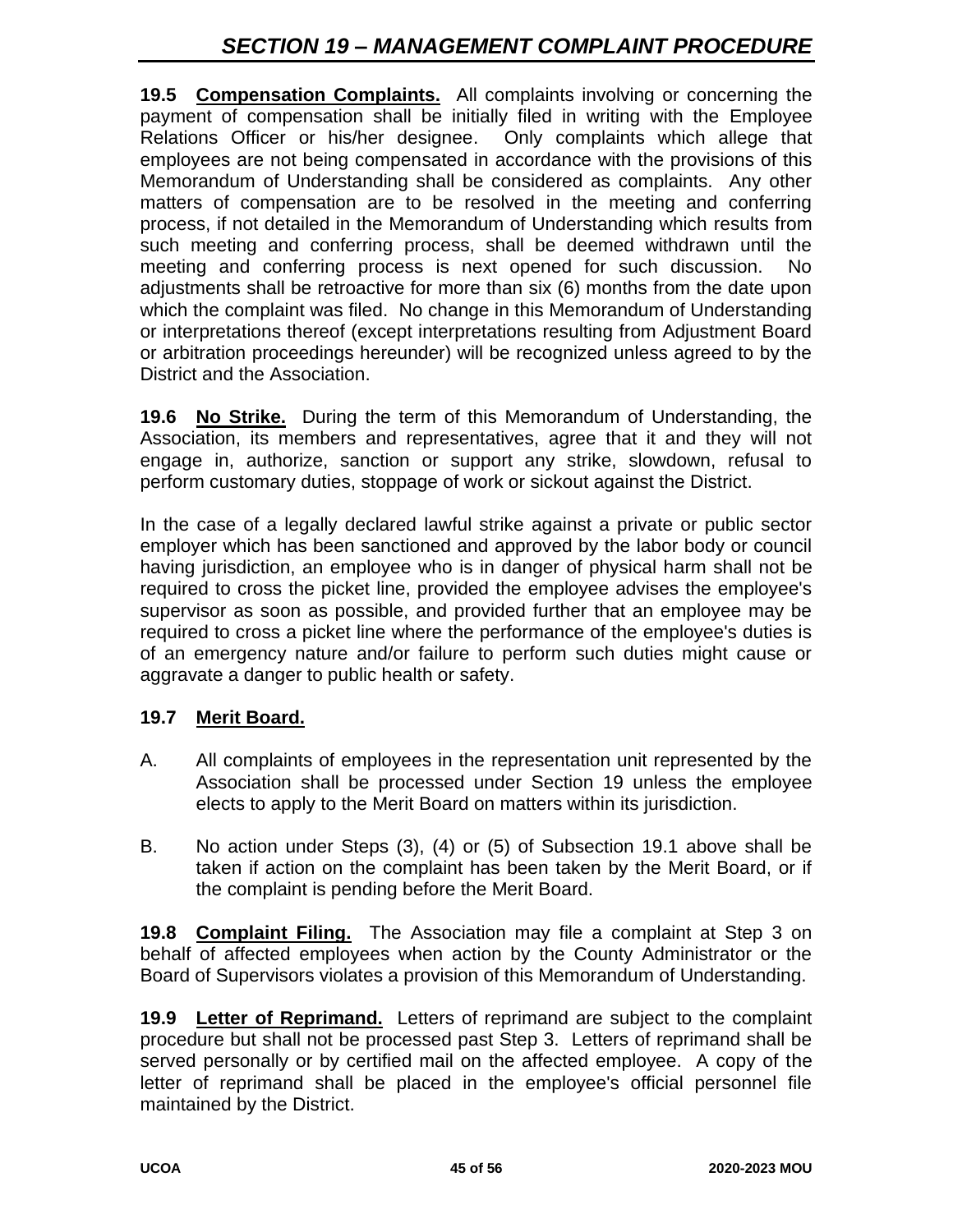**19.5 Compensation Complaints.** All complaints involving or concerning the payment of compensation shall be initially filed in writing with the Employee Relations Officer or his/her designee. Only complaints which allege that employees are not being compensated in accordance with the provisions of this Memorandum of Understanding shall be considered as complaints. Any other matters of compensation are to be resolved in the meeting and conferring process, if not detailed in the Memorandum of Understanding which results from such meeting and conferring process, shall be deemed withdrawn until the meeting and conferring process is next opened for such discussion. No adjustments shall be retroactive for more than six (6) months from the date upon which the complaint was filed. No change in this Memorandum of Understanding or interpretations thereof (except interpretations resulting from Adjustment Board or arbitration proceedings hereunder) will be recognized unless agreed to by the District and the Association.

**19.6 No Strike.** During the term of this Memorandum of Understanding, the Association, its members and representatives, agree that it and they will not engage in, authorize, sanction or support any strike, slowdown, refusal to perform customary duties, stoppage of work or sickout against the District.

In the case of a legally declared lawful strike against a private or public sector employer which has been sanctioned and approved by the labor body or council having jurisdiction, an employee who is in danger of physical harm shall not be required to cross the picket line, provided the employee advises the employee's supervisor as soon as possible, and provided further that an employee may be required to cross a picket line where the performance of the employee's duties is of an emergency nature and/or failure to perform such duties might cause or aggravate a danger to public health or safety.

#### **19.7 Merit Board.**

- A. All complaints of employees in the representation unit represented by the Association shall be processed under Section 19 unless the employee elects to apply to the Merit Board on matters within its jurisdiction.
- B. No action under Steps (3), (4) or (5) of Subsection 19.1 above shall be taken if action on the complaint has been taken by the Merit Board, or if the complaint is pending before the Merit Board.

**19.8 Complaint Filing.** The Association may file a complaint at Step 3 on behalf of affected employees when action by the County Administrator or the Board of Supervisors violates a provision of this Memorandum of Understanding.

**19.9 Letter of Reprimand.** Letters of reprimand are subject to the complaint procedure but shall not be processed past Step 3. Letters of reprimand shall be served personally or by certified mail on the affected employee. A copy of the letter of reprimand shall be placed in the employee's official personnel file maintained by the District.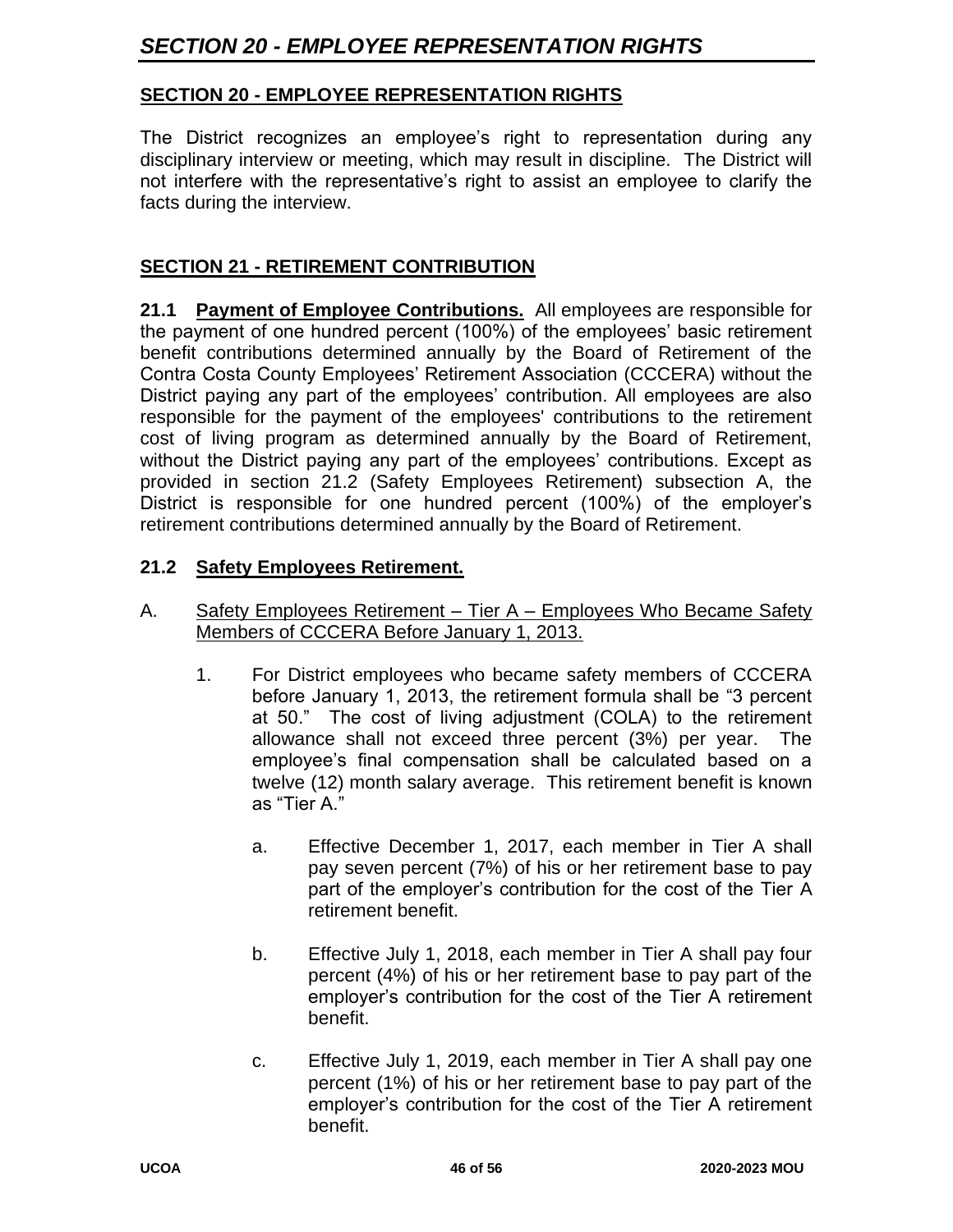## **SECTION 20 - EMPLOYEE REPRESENTATION RIGHTS**

The District recognizes an employee's right to representation during any disciplinary interview or meeting, which may result in discipline. The District will not interfere with the representative's right to assist an employee to clarify the facts during the interview.

### **SECTION 21 - RETIREMENT CONTRIBUTION**

**21.1 Payment of Employee Contributions.** All employees are responsible for the payment of one hundred percent (100%) of the employees' basic retirement benefit contributions determined annually by the Board of Retirement of the Contra Costa County Employees' Retirement Association (CCCERA) without the District paying any part of the employees' contribution. All employees are also responsible for the payment of the employees' contributions to the retirement cost of living program as determined annually by the Board of Retirement, without the District paying any part of the employees' contributions. Except as provided in section 21.2 (Safety Employees Retirement) subsection A, the District is responsible for one hundred percent (100%) of the employer's retirement contributions determined annually by the Board of Retirement.

#### **21.2 Safety Employees Retirement.**

#### A. Safety Employees Retirement – Tier A – Employees Who Became Safety Members of CCCERA Before January 1, 2013.

- 1. For District employees who became safety members of CCCERA before January 1, 2013, the retirement formula shall be "3 percent at 50." The cost of living adjustment (COLA) to the retirement allowance shall not exceed three percent (3%) per year. The employee's final compensation shall be calculated based on a twelve (12) month salary average. This retirement benefit is known as "Tier A."
	- a. Effective December 1, 2017, each member in Tier A shall pay seven percent (7%) of his or her retirement base to pay part of the employer's contribution for the cost of the Tier A retirement benefit.
	- b. Effective July 1, 2018, each member in Tier A shall pay four percent (4%) of his or her retirement base to pay part of the employer's contribution for the cost of the Tier A retirement benefit.
	- c. Effective July 1, 2019, each member in Tier A shall pay one percent (1%) of his or her retirement base to pay part of the employer's contribution for the cost of the Tier A retirement benefit.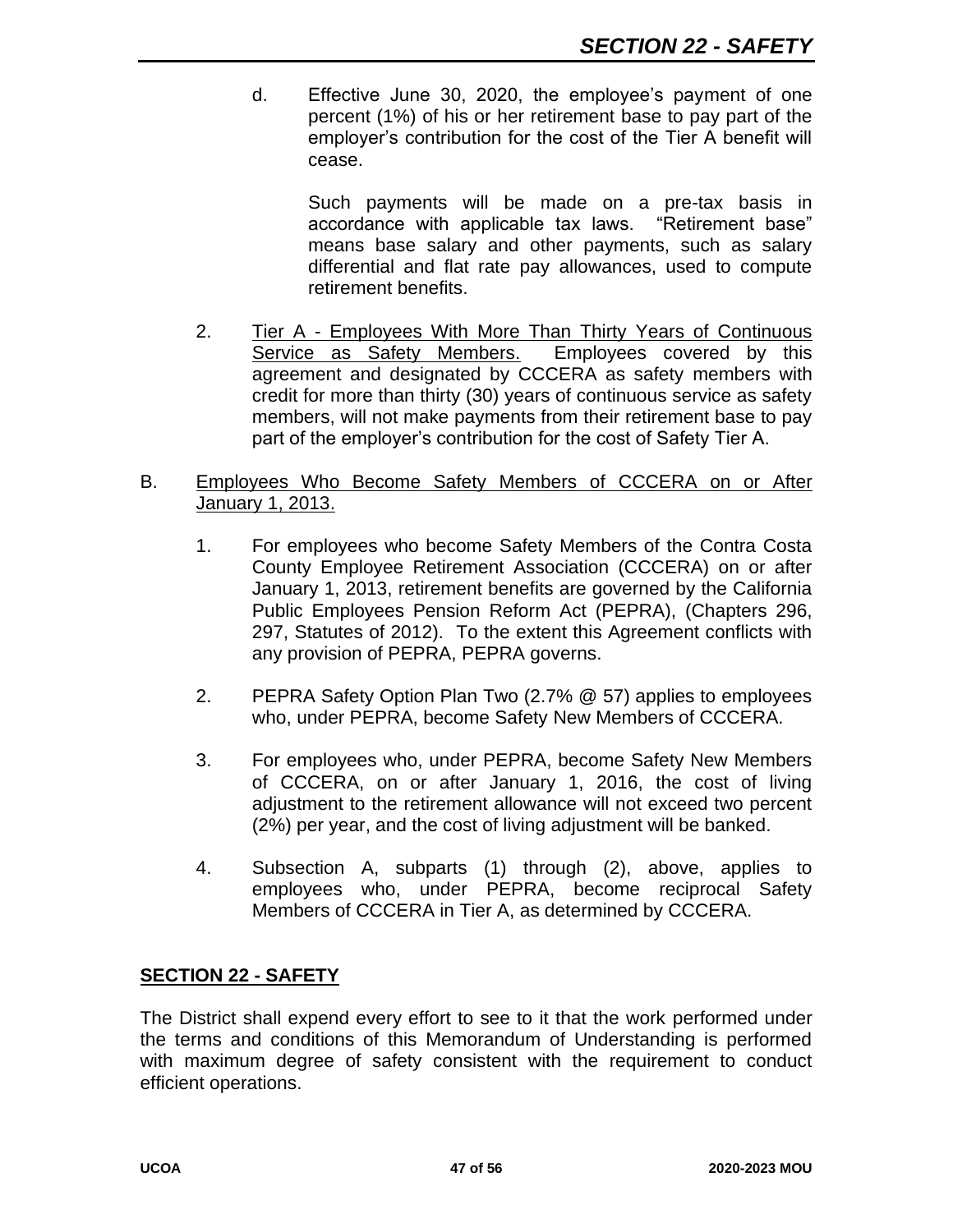d. Effective June 30, 2020, the employee's payment of one percent (1%) of his or her retirement base to pay part of the employer's contribution for the cost of the Tier A benefit will cease.

> Such payments will be made on a pre-tax basis in accordance with applicable tax laws. "Retirement base" means base salary and other payments, such as salary differential and flat rate pay allowances, used to compute retirement benefits.

2. Tier A - Employees With More Than Thirty Years of Continuous Service as Safety Members. Employees covered by this agreement and designated by CCCERA as safety members with credit for more than thirty (30) years of continuous service as safety members, will not make payments from their retirement base to pay part of the employer's contribution for the cost of Safety Tier A.

#### B. Employees Who Become Safety Members of CCCERA on or After January 1, 2013.

- 1. For employees who become Safety Members of the Contra Costa County Employee Retirement Association (CCCERA) on or after January 1, 2013, retirement benefits are governed by the California Public Employees Pension Reform Act (PEPRA), (Chapters 296, 297, Statutes of 2012). To the extent this Agreement conflicts with any provision of PEPRA, PEPRA governs.
- 2. PEPRA Safety Option Plan Two (2.7% @ 57) applies to employees who, under PEPRA, become Safety New Members of CCCERA.
- 3. For employees who, under PEPRA, become Safety New Members of CCCERA, on or after January 1, 2016, the cost of living adjustment to the retirement allowance will not exceed two percent (2%) per year, and the cost of living adjustment will be banked.
- 4. Subsection A, subparts (1) through (2), above, applies to employees who, under PEPRA, become reciprocal Safety Members of CCCERA in Tier A, as determined by CCCERA.

#### **SECTION 22 - SAFETY**

The District shall expend every effort to see to it that the work performed under the terms and conditions of this Memorandum of Understanding is performed with maximum degree of safety consistent with the requirement to conduct efficient operations.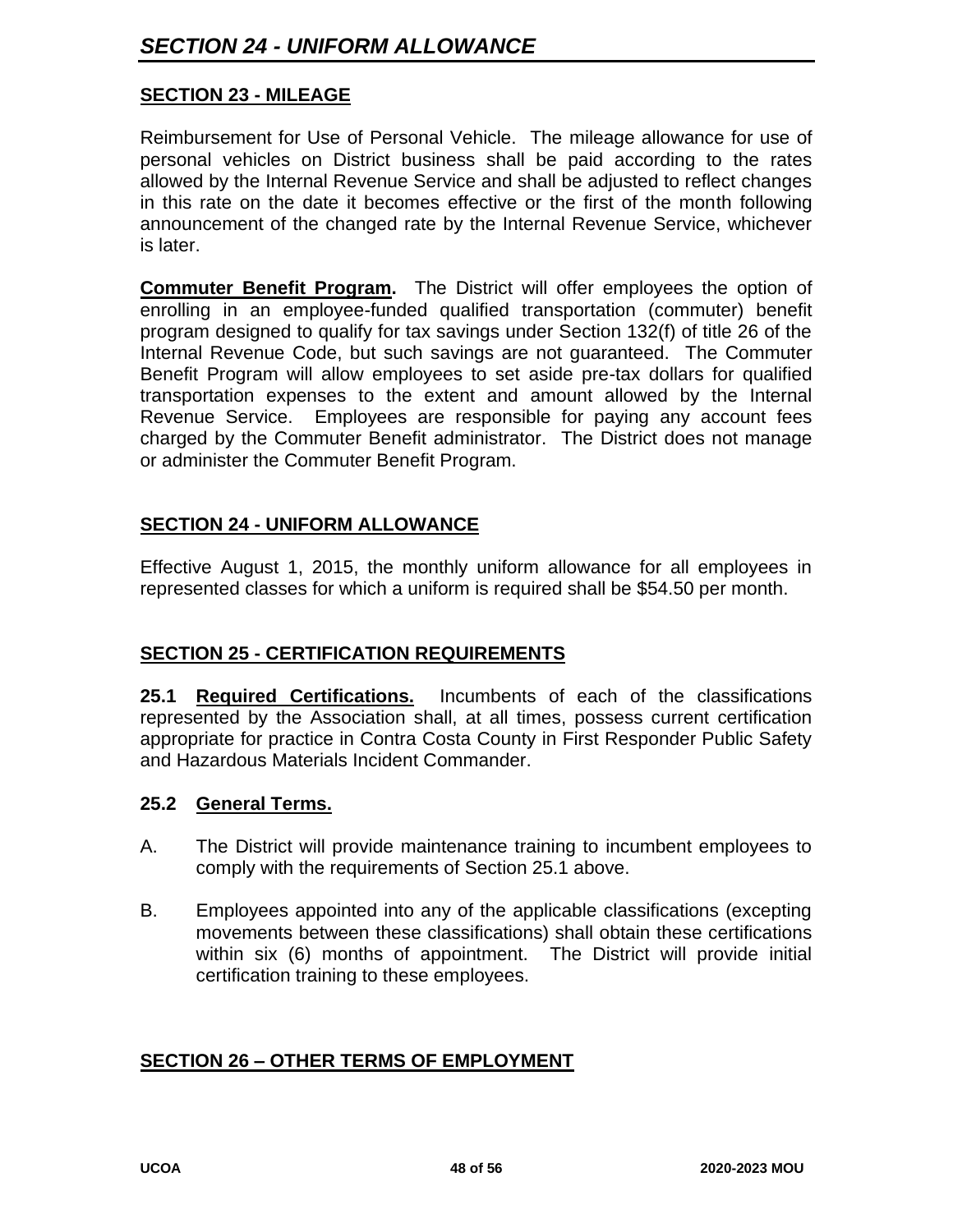#### **SECTION 23 - MILEAGE**

Reimbursement for Use of Personal Vehicle. The mileage allowance for use of personal vehicles on District business shall be paid according to the rates allowed by the Internal Revenue Service and shall be adjusted to reflect changes in this rate on the date it becomes effective or the first of the month following announcement of the changed rate by the Internal Revenue Service, whichever is later.

**Commuter Benefit Program.** The District will offer employees the option of enrolling in an employee-funded qualified transportation (commuter) benefit program designed to qualify for tax savings under Section 132(f) of title 26 of the Internal Revenue Code, but such savings are not guaranteed. The Commuter Benefit Program will allow employees to set aside pre-tax dollars for qualified transportation expenses to the extent and amount allowed by the Internal Revenue Service. Employees are responsible for paying any account fees charged by the Commuter Benefit administrator. The District does not manage or administer the Commuter Benefit Program.

#### **SECTION 24 - UNIFORM ALLOWANCE**

Effective August 1, 2015, the monthly uniform allowance for all employees in represented classes for which a uniform is required shall be \$54.50 per month.

#### **SECTION 25 - CERTIFICATION REQUIREMENTS**

**25.1 Required Certifications.** Incumbents of each of the classifications represented by the Association shall, at all times, possess current certification appropriate for practice in Contra Costa County in First Responder Public Safety and Hazardous Materials Incident Commander.

#### **25.2 General Terms.**

- A. The District will provide maintenance training to incumbent employees to comply with the requirements of Section 25.1 above.
- B. Employees appointed into any of the applicable classifications (excepting movements between these classifications) shall obtain these certifications within six (6) months of appointment. The District will provide initial certification training to these employees.

#### **SECTION 26 – OTHER TERMS OF EMPLOYMENT**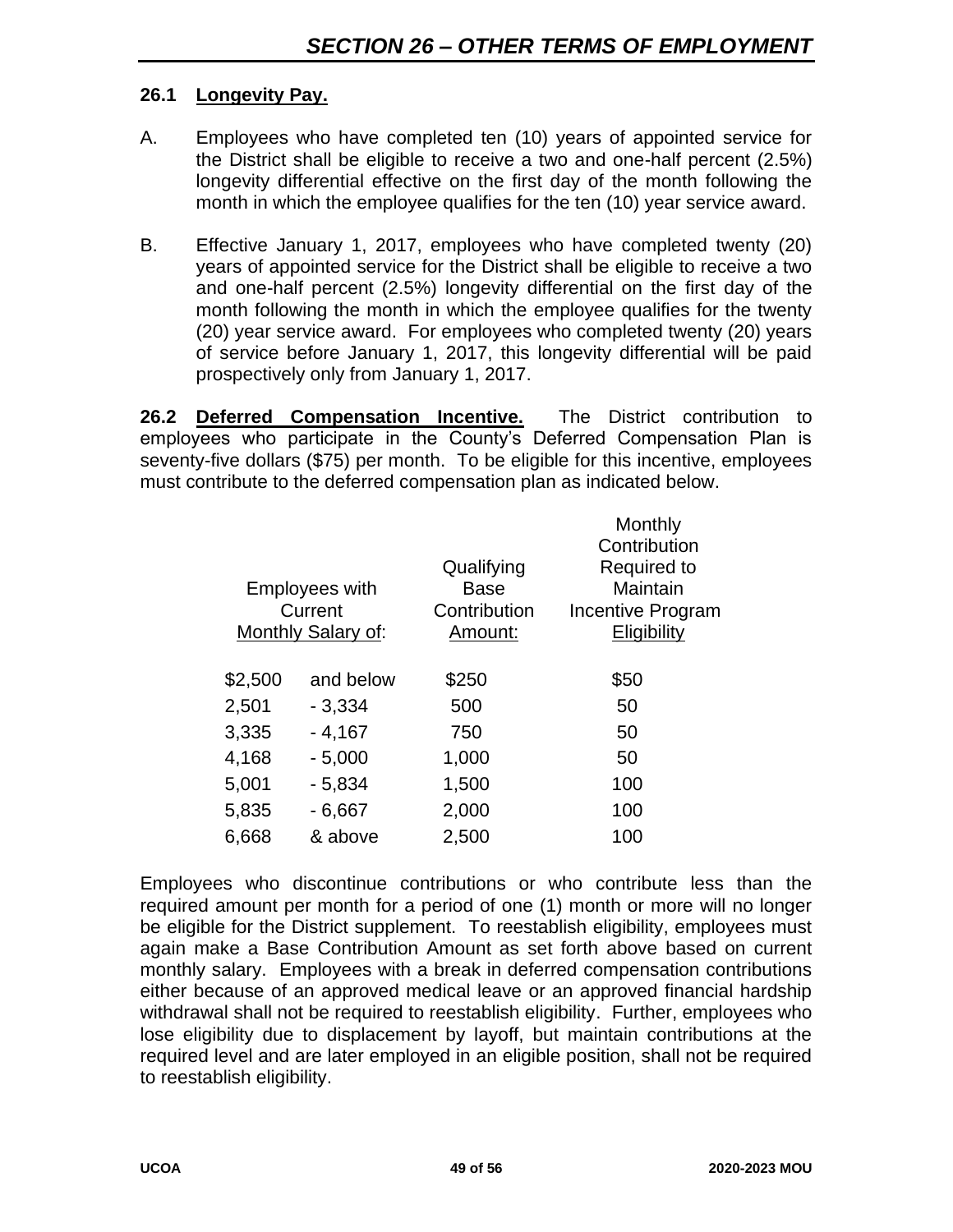#### **26.1 Longevity Pay.**

- A. Employees who have completed ten (10) years of appointed service for the District shall be eligible to receive a two and one-half percent (2.5%) longevity differential effective on the first day of the month following the month in which the employee qualifies for the ten (10) year service award.
- B. Effective January 1, 2017, employees who have completed twenty (20) years of appointed service for the District shall be eligible to receive a two and one-half percent (2.5%) longevity differential on the first day of the month following the month in which the employee qualifies for the twenty (20) year service award. For employees who completed twenty (20) years of service before January 1, 2017, this longevity differential will be paid prospectively only from January 1, 2017.

**26.2 Deferred Compensation Incentive.** The District contribution to employees who participate in the County's Deferred Compensation Plan is seventy-five dollars (\$75) per month. To be eligible for this incentive, employees must contribute to the deferred compensation plan as indicated below.

|           | Qualifying<br><b>Base</b><br>Contribution<br>Amount:   | Monthly<br>Contribution<br>Required to<br>Maintain<br>Incentive Program<br>Eligibility |
|-----------|--------------------------------------------------------|----------------------------------------------------------------------------------------|
| and below | \$250                                                  | \$50                                                                                   |
| $-3,334$  | 500                                                    | 50                                                                                     |
| $-4,167$  | 750                                                    | 50                                                                                     |
| $-5,000$  | 1,000                                                  | 50                                                                                     |
| $-5,834$  | 1,500                                                  | 100                                                                                    |
| $-6,667$  | 2,000                                                  | 100                                                                                    |
| & above   | 2,500                                                  | 100                                                                                    |
|           | <b>Employees with</b><br>Current<br>Monthly Salary of: |                                                                                        |

Employees who discontinue contributions or who contribute less than the required amount per month for a period of one (1) month or more will no longer be eligible for the District supplement. To reestablish eligibility, employees must again make a Base Contribution Amount as set forth above based on current monthly salary. Employees with a break in deferred compensation contributions either because of an approved medical leave or an approved financial hardship withdrawal shall not be required to reestablish eligibility. Further, employees who lose eligibility due to displacement by layoff, but maintain contributions at the required level and are later employed in an eligible position, shall not be required to reestablish eligibility.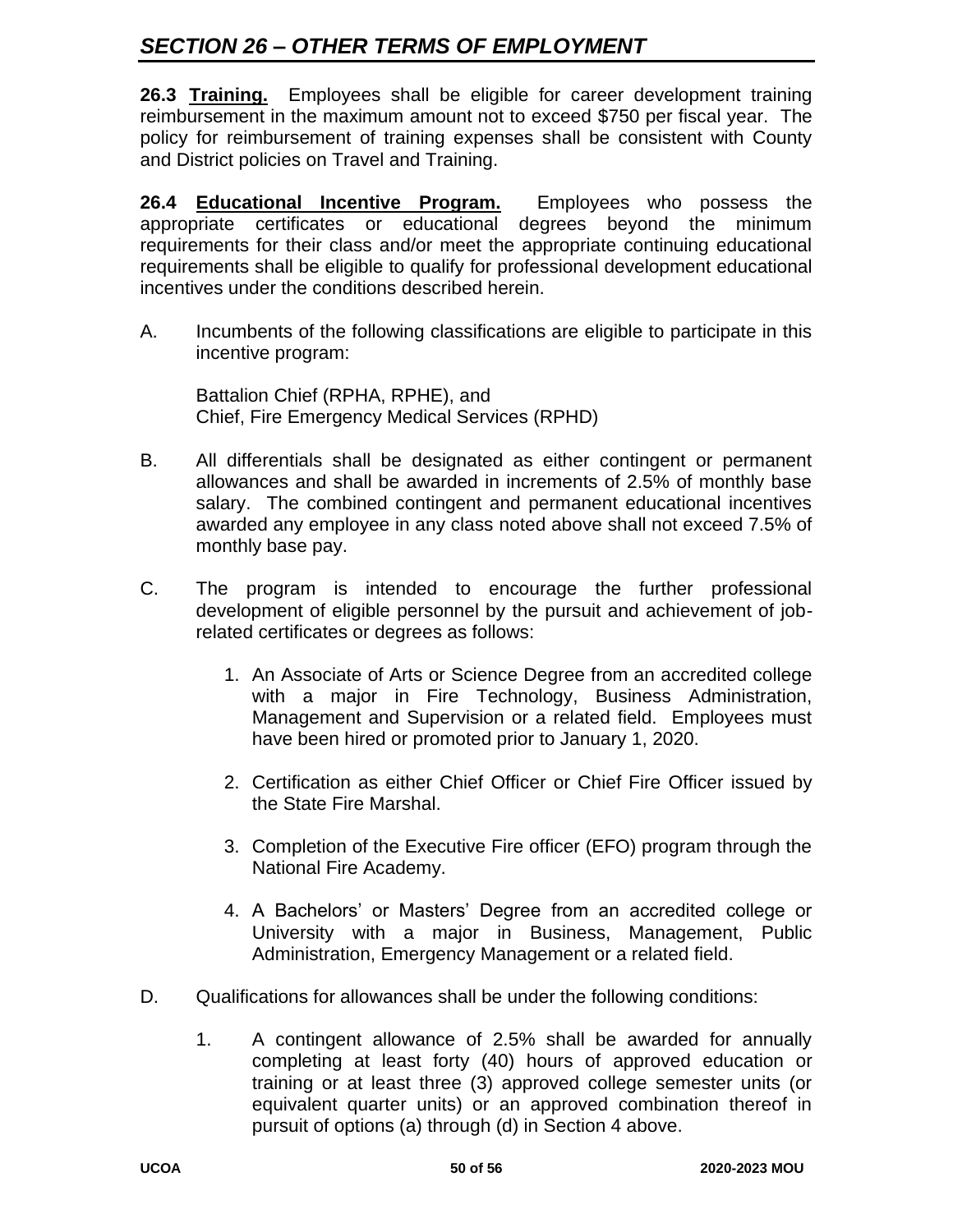# *SECTION 26 – OTHER TERMS OF EMPLOYMENT*

**26.3 Training.** Employees shall be eligible for career development training reimbursement in the maximum amount not to exceed \$750 per fiscal year. The policy for reimbursement of training expenses shall be consistent with County and District policies on Travel and Training.

**26.4 Educational Incentive Program.** Employees who possess the appropriate certificates or educational degrees beyond the minimum requirements for their class and/or meet the appropriate continuing educational requirements shall be eligible to qualify for professional development educational incentives under the conditions described herein.

A. Incumbents of the following classifications are eligible to participate in this incentive program:

Battalion Chief (RPHA, RPHE), and Chief, Fire Emergency Medical Services (RPHD)

- B. All differentials shall be designated as either contingent or permanent allowances and shall be awarded in increments of 2.5% of monthly base salary. The combined contingent and permanent educational incentives awarded any employee in any class noted above shall not exceed 7.5% of monthly base pay.
- C. The program is intended to encourage the further professional development of eligible personnel by the pursuit and achievement of jobrelated certificates or degrees as follows:
	- 1. An Associate of Arts or Science Degree from an accredited college with a major in Fire Technology, Business Administration, Management and Supervision or a related field. Employees must have been hired or promoted prior to January 1, 2020.
	- 2. Certification as either Chief Officer or Chief Fire Officer issued by the State Fire Marshal.
	- 3. Completion of the Executive Fire officer (EFO) program through the National Fire Academy.
	- 4. A Bachelors' or Masters' Degree from an accredited college or University with a major in Business, Management, Public Administration, Emergency Management or a related field.
- D. Qualifications for allowances shall be under the following conditions:
	- 1. A contingent allowance of 2.5% shall be awarded for annually completing at least forty (40) hours of approved education or training or at least three (3) approved college semester units (or equivalent quarter units) or an approved combination thereof in pursuit of options (a) through (d) in Section 4 above.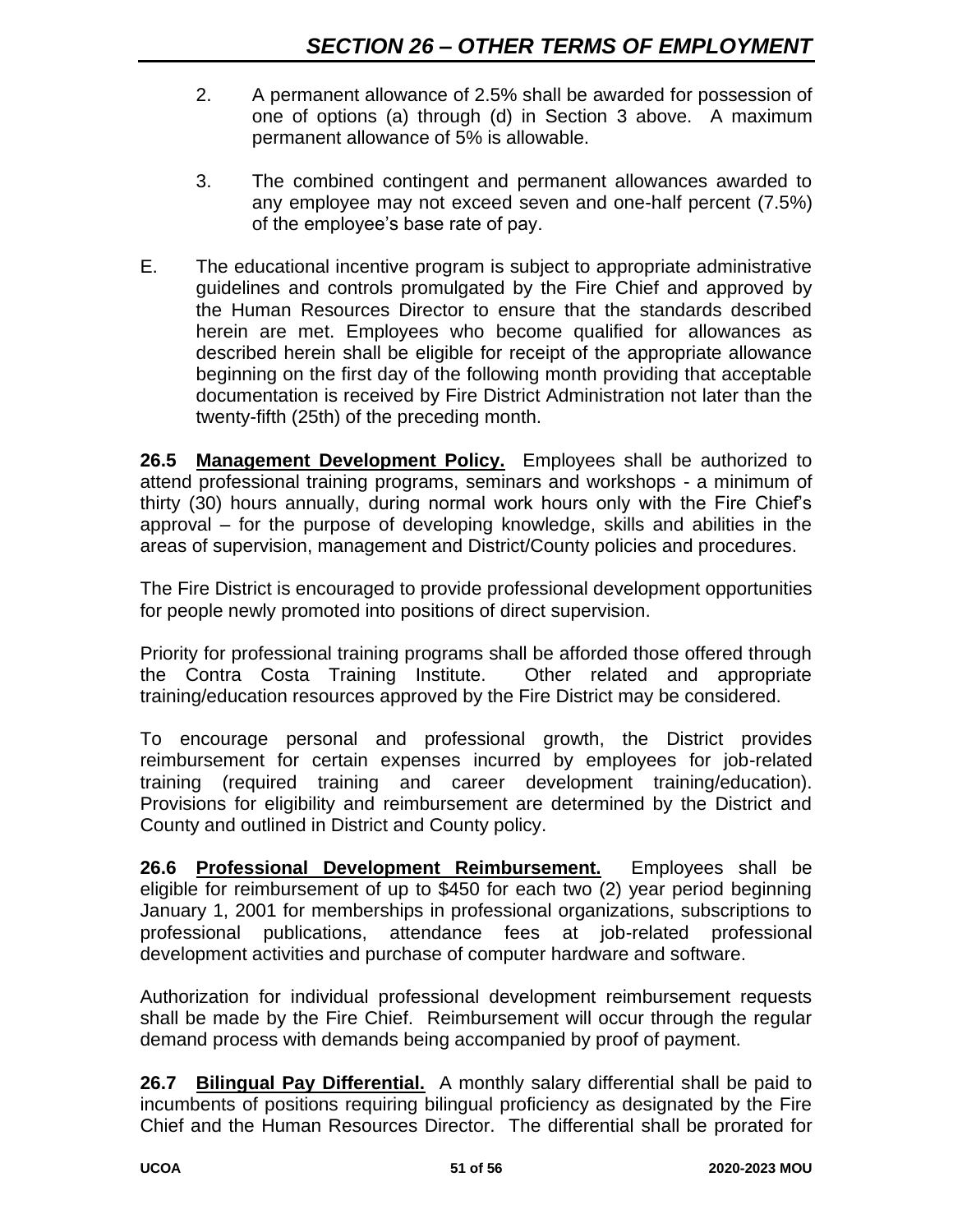- 2. A permanent allowance of 2.5% shall be awarded for possession of one of options (a) through (d) in Section 3 above. A maximum permanent allowance of 5% is allowable.
- 3. The combined contingent and permanent allowances awarded to any employee may not exceed seven and one-half percent (7.5%) of the employee's base rate of pay.
- E. The educational incentive program is subject to appropriate administrative guidelines and controls promulgated by the Fire Chief and approved by the Human Resources Director to ensure that the standards described herein are met. Employees who become qualified for allowances as described herein shall be eligible for receipt of the appropriate allowance beginning on the first day of the following month providing that acceptable documentation is received by Fire District Administration not later than the twenty-fifth (25th) of the preceding month.

**26.5 Management Development Policy.** Employees shall be authorized to attend professional training programs, seminars and workshops - a minimum of thirty (30) hours annually, during normal work hours only with the Fire Chief's approval – for the purpose of developing knowledge, skills and abilities in the areas of supervision, management and District/County policies and procedures.

The Fire District is encouraged to provide professional development opportunities for people newly promoted into positions of direct supervision.

Priority for professional training programs shall be afforded those offered through the Contra Costa Training Institute. Other related and appropriate training/education resources approved by the Fire District may be considered.

To encourage personal and professional growth, the District provides reimbursement for certain expenses incurred by employees for job-related training (required training and career development training/education). Provisions for eligibility and reimbursement are determined by the District and County and outlined in District and County policy.

**26.6 Professional Development Reimbursement.** Employees shall be eligible for reimbursement of up to \$450 for each two (2) year period beginning January 1, 2001 for memberships in professional organizations, subscriptions to professional publications, attendance fees at job-related professional development activities and purchase of computer hardware and software.

Authorization for individual professional development reimbursement requests shall be made by the Fire Chief. Reimbursement will occur through the regular demand process with demands being accompanied by proof of payment.

**26.7 Bilingual Pay Differential.** A monthly salary differential shall be paid to incumbents of positions requiring bilingual proficiency as designated by the Fire Chief and the Human Resources Director. The differential shall be prorated for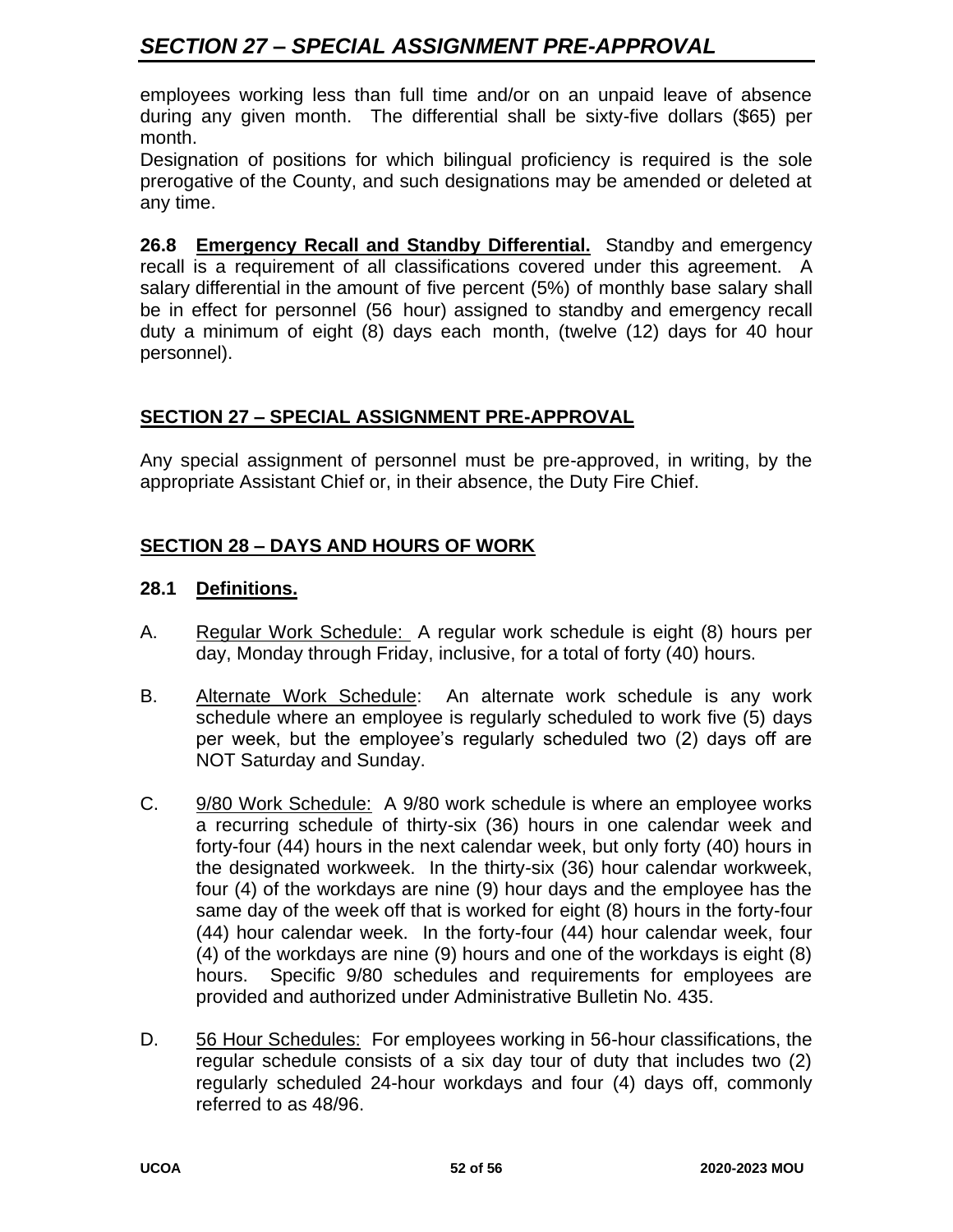# *SECTION 27 – SPECIAL ASSIGNMENT PRE-APPROVAL*

employees working less than full time and/or on an unpaid leave of absence during any given month. The differential shall be sixty-five dollars (\$65) per month.

Designation of positions for which bilingual proficiency is required is the sole prerogative of the County, and such designations may be amended or deleted at any time.

26.8 Emergency Recall and Standby Differential. Standby and emergency recall is a requirement of all classifications covered under this agreement. A salary differential in the amount of five percent (5%) of monthly base salary shall be in effect for personnel (56 hour) assigned to standby and emergency recall duty a minimum of eight (8) days each month, (twelve (12) days for 40 hour personnel).

## **SECTION 27 – SPECIAL ASSIGNMENT PRE-APPROVAL**

Any special assignment of personnel must be pre-approved, in writing, by the appropriate Assistant Chief or, in their absence, the Duty Fire Chief.

## **SECTION 28 – DAYS AND HOURS OF WORK**

#### **28.1 Definitions.**

- A. Regular Work Schedule: A regular work schedule is eight (8) hours per day, Monday through Friday, inclusive, for a total of forty (40) hours.
- B. Alternate Work Schedule: An alternate work schedule is any work schedule where an employee is regularly scheduled to work five (5) days per week, but the employee's regularly scheduled two (2) days off are NOT Saturday and Sunday.
- C. 9/80 Work Schedule: A 9/80 work schedule is where an employee works a recurring schedule of thirty-six (36) hours in one calendar week and forty-four (44) hours in the next calendar week, but only forty (40) hours in the designated workweek. In the thirty-six (36) hour calendar workweek, four (4) of the workdays are nine (9) hour days and the employee has the same day of the week off that is worked for eight (8) hours in the forty-four (44) hour calendar week. In the forty-four (44) hour calendar week, four (4) of the workdays are nine (9) hours and one of the workdays is eight (8) hours. Specific 9/80 schedules and requirements for employees are provided and authorized under Administrative Bulletin No. 435.
- D. 56 Hour Schedules: For employees working in 56-hour classifications, the regular schedule consists of a six day tour of duty that includes two (2) regularly scheduled 24-hour workdays and four (4) days off, commonly referred to as 48/96.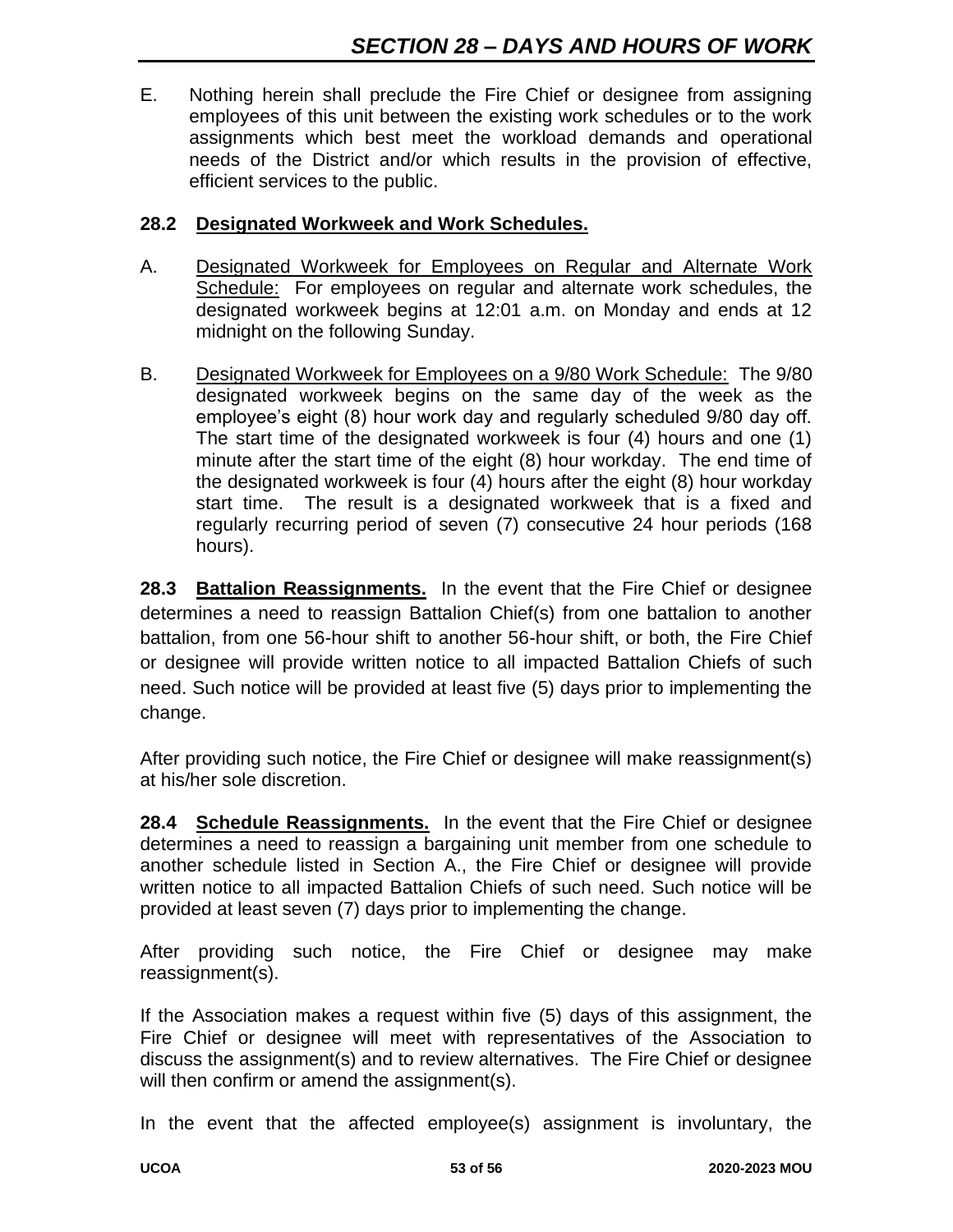E. Nothing herein shall preclude the Fire Chief or designee from assigning employees of this unit between the existing work schedules or to the work assignments which best meet the workload demands and operational needs of the District and/or which results in the provision of effective, efficient services to the public.

#### **28.2 Designated Workweek and Work Schedules.**

- A. Designated Workweek for Employees on Regular and Alternate Work Schedule: For employees on regular and alternate work schedules, the designated workweek begins at 12:01 a.m. on Monday and ends at 12 midnight on the following Sunday.
- B. Designated Workweek for Employees on a 9/80 Work Schedule: The 9/80 designated workweek begins on the same day of the week as the employee's eight (8) hour work day and regularly scheduled 9/80 day off. The start time of the designated workweek is four (4) hours and one (1) minute after the start time of the eight (8) hour workday. The end time of the designated workweek is four (4) hours after the eight (8) hour workday start time. The result is a designated workweek that is a fixed and regularly recurring period of seven (7) consecutive 24 hour periods (168 hours).

**28.3 Battalion Reassignments.** In the event that the Fire Chief or designee determines a need to reassign Battalion Chief(s) from one battalion to another battalion, from one 56-hour shift to another 56-hour shift, or both, the Fire Chief or designee will provide written notice to all impacted Battalion Chiefs of such need. Such notice will be provided at least five (5) days prior to implementing the change.

After providing such notice, the Fire Chief or designee will make reassignment(s) at his/her sole discretion.

**28.4 Schedule Reassignments.** In the event that the Fire Chief or designee determines a need to reassign a bargaining unit member from one schedule to another schedule listed in Section A., the Fire Chief or designee will provide written notice to all impacted Battalion Chiefs of such need. Such notice will be provided at least seven (7) days prior to implementing the change.

After providing such notice, the Fire Chief or designee may make reassignment(s).

If the Association makes a request within five (5) days of this assignment, the Fire Chief or designee will meet with representatives of the Association to discuss the assignment(s) and to review alternatives. The Fire Chief or designee will then confirm or amend the assignment(s).

In the event that the affected employee(s) assignment is involuntary, the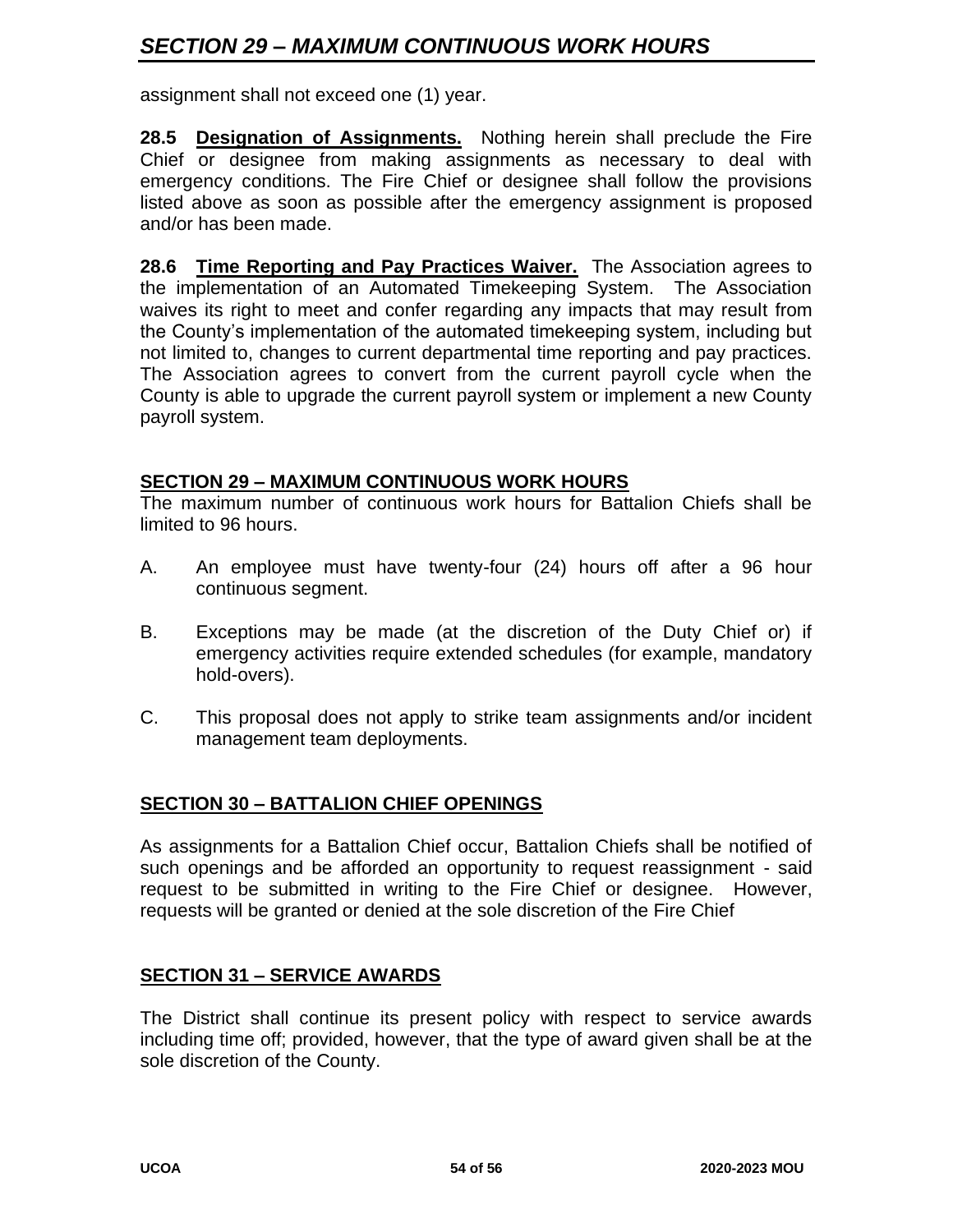# *SECTION 29 – MAXIMUM CONTINUOUS WORK HOURS*

assignment shall not exceed one (1) year.

**28.5 Designation of Assignments.** Nothing herein shall preclude the Fire Chief or designee from making assignments as necessary to deal with emergency conditions. The Fire Chief or designee shall follow the provisions listed above as soon as possible after the emergency assignment is proposed and/or has been made.

**28.6 Time Reporting and Pay Practices Waiver.** The Association agrees to the implementation of an Automated Timekeeping System. The Association waives its right to meet and confer regarding any impacts that may result from the County's implementation of the automated timekeeping system, including but not limited to, changes to current departmental time reporting and pay practices. The Association agrees to convert from the current payroll cycle when the County is able to upgrade the current payroll system or implement a new County payroll system.

#### **SECTION 29 – MAXIMUM CONTINUOUS WORK HOURS**

The maximum number of continuous work hours for Battalion Chiefs shall be limited to 96 hours.

- A. An employee must have twenty-four (24) hours off after a 96 hour continuous segment.
- B. Exceptions may be made (at the discretion of the Duty Chief or) if emergency activities require extended schedules (for example, mandatory hold-overs).
- C. This proposal does not apply to strike team assignments and/or incident management team deployments.

#### **SECTION 30 – BATTALION CHIEF OPENINGS**

As assignments for a Battalion Chief occur, Battalion Chiefs shall be notified of such openings and be afforded an opportunity to request reassignment - said request to be submitted in writing to the Fire Chief or designee. However, requests will be granted or denied at the sole discretion of the Fire Chief

#### **SECTION 31 – SERVICE AWARDS**

The District shall continue its present policy with respect to service awards including time off; provided, however, that the type of award given shall be at the sole discretion of the County.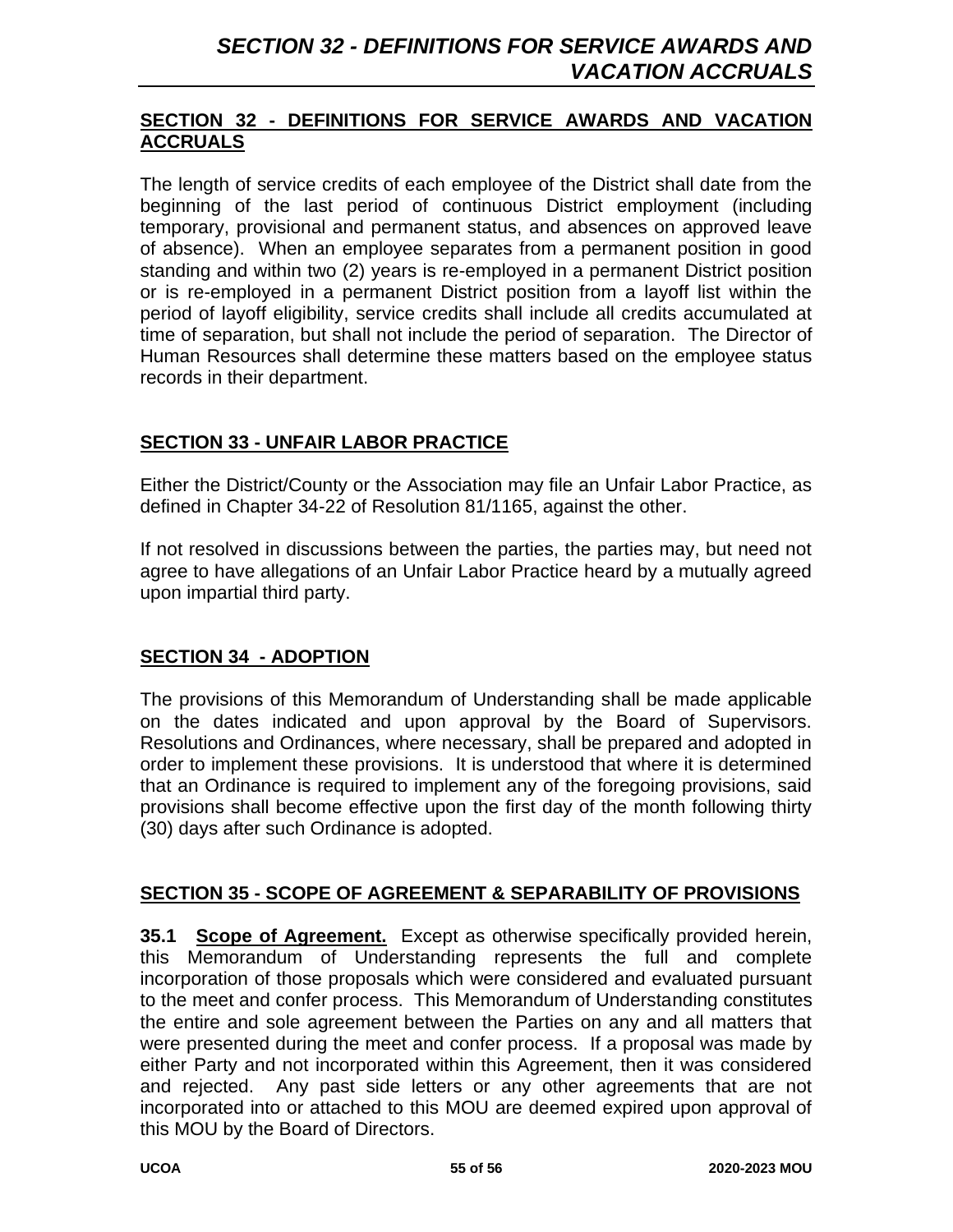#### **SECTION 32 - DEFINITIONS FOR SERVICE AWARDS AND VACATION ACCRUALS**

The length of service credits of each employee of the District shall date from the beginning of the last period of continuous District employment (including temporary, provisional and permanent status, and absences on approved leave of absence). When an employee separates from a permanent position in good standing and within two (2) years is re-employed in a permanent District position or is re-employed in a permanent District position from a layoff list within the period of layoff eligibility, service credits shall include all credits accumulated at time of separation, but shall not include the period of separation. The Director of Human Resources shall determine these matters based on the employee status records in their department.

# **SECTION 33 - UNFAIR LABOR PRACTICE**

Either the District/County or the Association may file an Unfair Labor Practice, as defined in Chapter 34-22 of Resolution 81/1165, against the other.

If not resolved in discussions between the parties, the parties may, but need not agree to have allegations of an Unfair Labor Practice heard by a mutually agreed upon impartial third party.

# **SECTION 34 - ADOPTION**

The provisions of this Memorandum of Understanding shall be made applicable on the dates indicated and upon approval by the Board of Supervisors. Resolutions and Ordinances, where necessary, shall be prepared and adopted in order to implement these provisions. It is understood that where it is determined that an Ordinance is required to implement any of the foregoing provisions, said provisions shall become effective upon the first day of the month following thirty (30) days after such Ordinance is adopted.

#### **SECTION 35 - SCOPE OF AGREEMENT & SEPARABILITY OF PROVISIONS**

**35.1 Scope of Agreement.** Except as otherwise specifically provided herein, this Memorandum of Understanding represents the full and complete incorporation of those proposals which were considered and evaluated pursuant to the meet and confer process. This Memorandum of Understanding constitutes the entire and sole agreement between the Parties on any and all matters that were presented during the meet and confer process. If a proposal was made by either Party and not incorporated within this Agreement, then it was considered and rejected. Any past side letters or any other agreements that are not incorporated into or attached to this MOU are deemed expired upon approval of this MOU by the Board of Directors.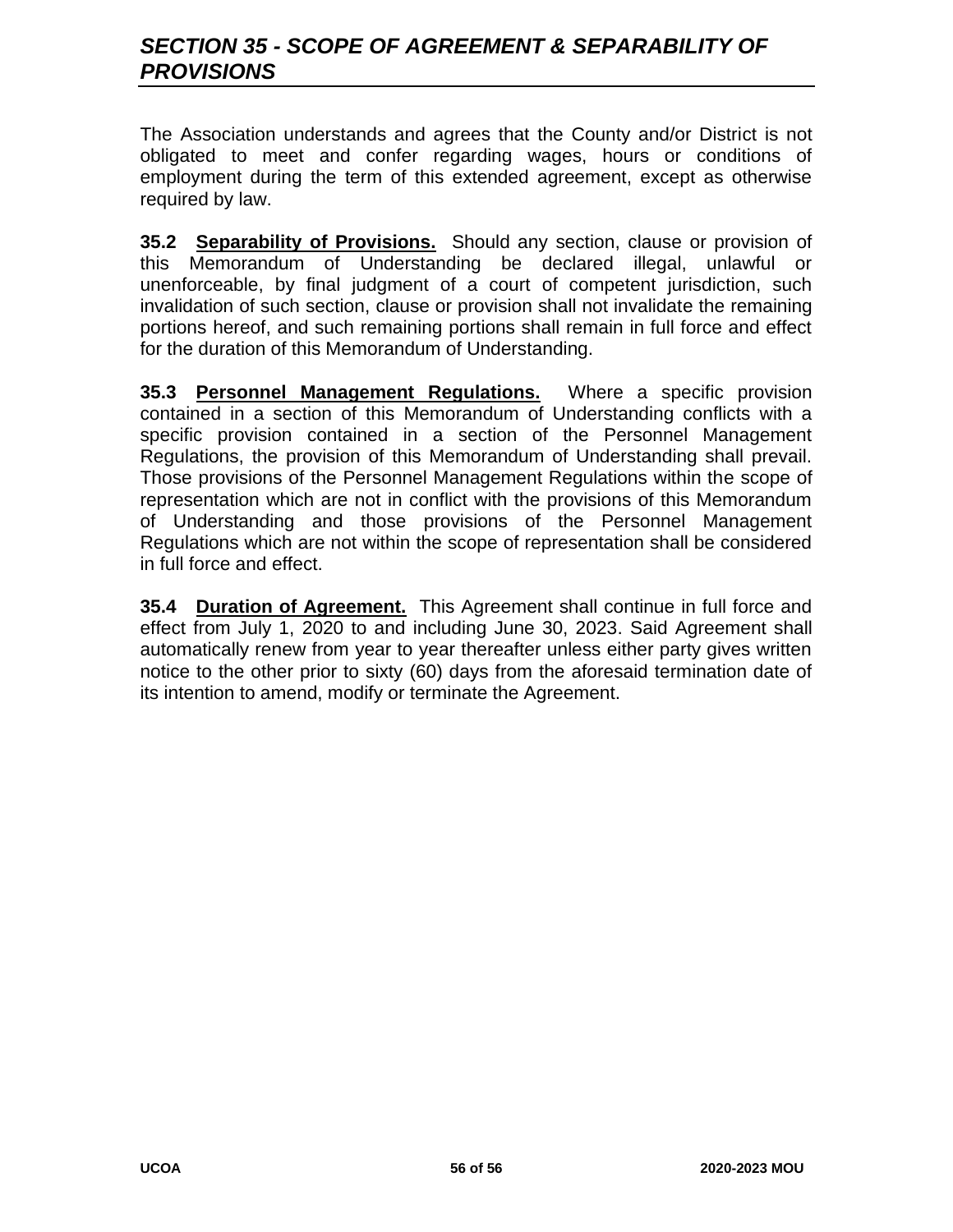# *SECTION 35 - SCOPE OF AGREEMENT & SEPARABILITY OF PROVISIONS*

The Association understands and agrees that the County and/or District is not obligated to meet and confer regarding wages, hours or conditions of employment during the term of this extended agreement, except as otherwise required by law.

**35.2 Separability of Provisions.** Should any section, clause or provision of this Memorandum of Understanding be declared illegal, unlawful or unenforceable, by final judgment of a court of competent jurisdiction, such invalidation of such section, clause or provision shall not invalidate the remaining portions hereof, and such remaining portions shall remain in full force and effect for the duration of this Memorandum of Understanding.

**35.3 Personnel Management Regulations.** Where a specific provision contained in a section of this Memorandum of Understanding conflicts with a specific provision contained in a section of the Personnel Management Regulations, the provision of this Memorandum of Understanding shall prevail. Those provisions of the Personnel Management Regulations within the scope of representation which are not in conflict with the provisions of this Memorandum of Understanding and those provisions of the Personnel Management Regulations which are not within the scope of representation shall be considered in full force and effect.

**35.4 Duration of Agreement.** This Agreement shall continue in full force and effect from July 1, 2020 to and including June 30, 2023. Said Agreement shall automatically renew from year to year thereafter unless either party gives written notice to the other prior to sixty (60) days from the aforesaid termination date of its intention to amend, modify or terminate the Agreement.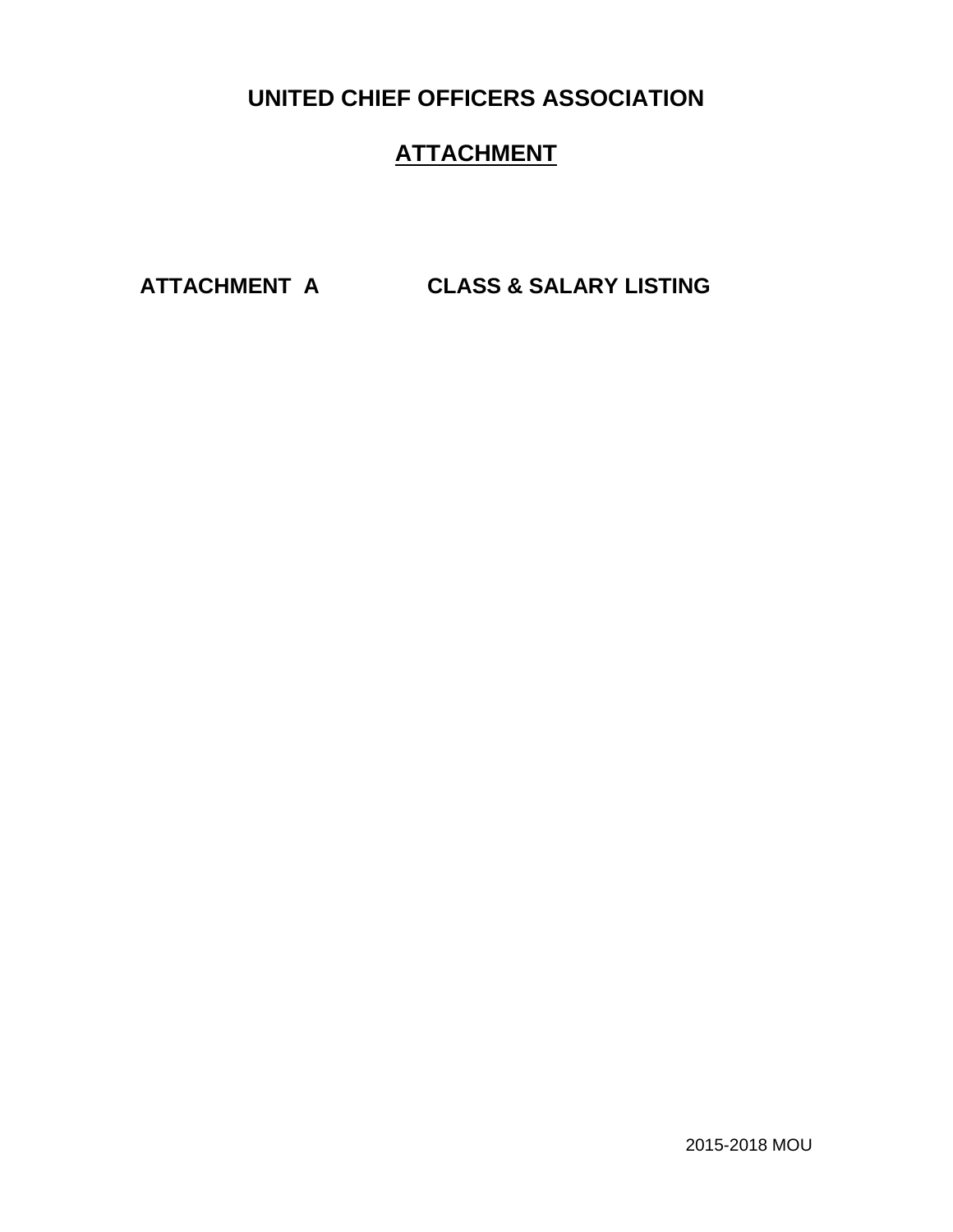**UNITED CHIEF OFFICERS ASSOCIATION**

# **ATTACHMENT**

**ATTACHMENT A CLASS & SALARY LISTING**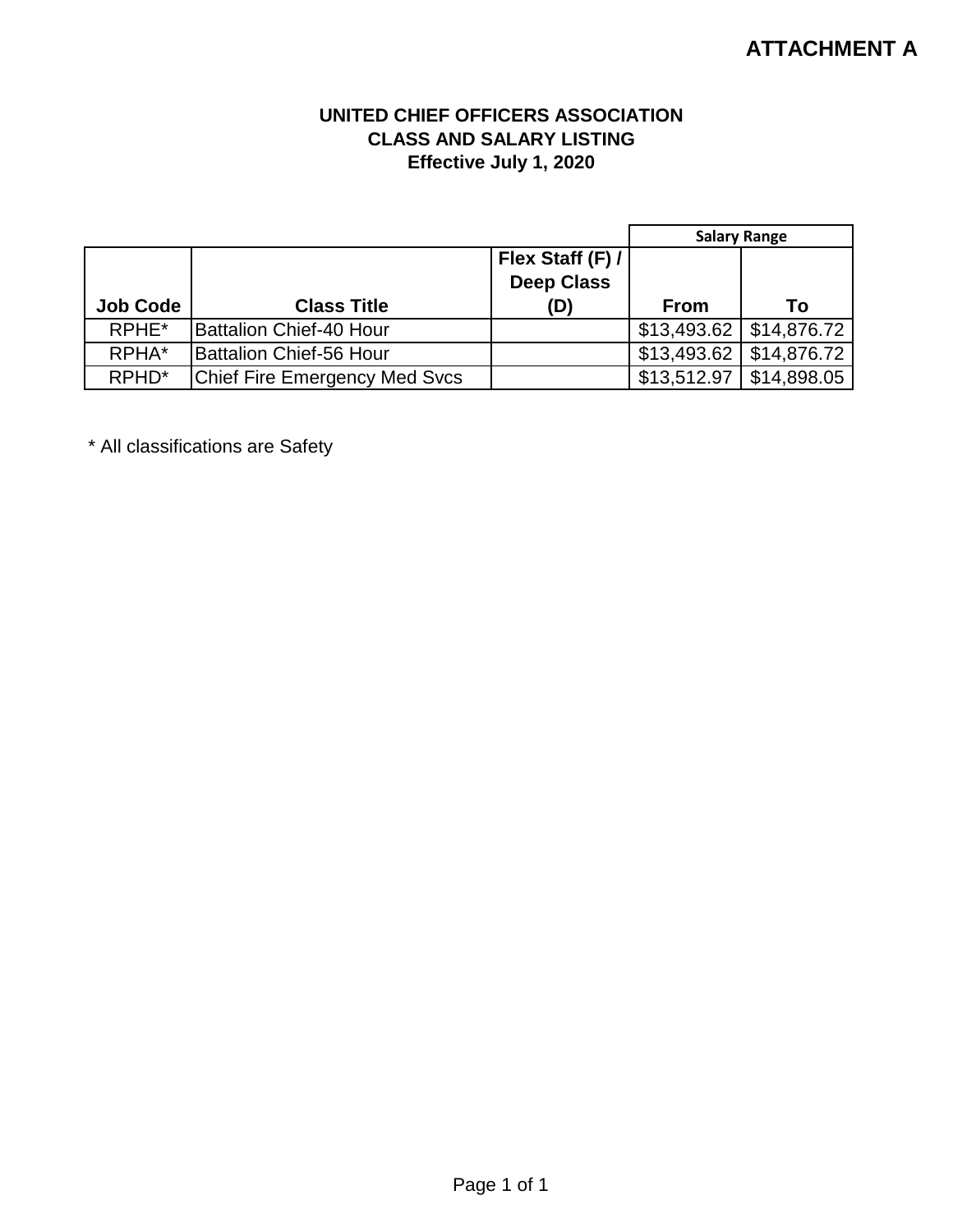# **ATTACHMENT A**

## **UNITED CHIEF OFFICERS ASSOCIATION CLASS AND SALARY LISTING Effective July 1, 2020**

|                   |                                      |                   | <b>Salary Range</b> |             |
|-------------------|--------------------------------------|-------------------|---------------------|-------------|
|                   |                                      | Flex Staff (F) /  |                     |             |
|                   |                                      | <b>Deep Class</b> |                     |             |
| <b>Job Code</b>   | <b>Class Title</b>                   | (D)               | <b>From</b>         | Т٥          |
| RPHE <sup>*</sup> | <b>Battalion Chief-40 Hour</b>       |                   | \$13,493.62         | \$14,876.72 |
| RPHA*             | <b>Battalion Chief-56 Hour</b>       |                   | \$13,493.62         | \$14,876.72 |
| RPHD <sup>*</sup> | <b>Chief Fire Emergency Med Svcs</b> |                   | \$13,512.97         | \$14,898.05 |

\* All classifications are Safety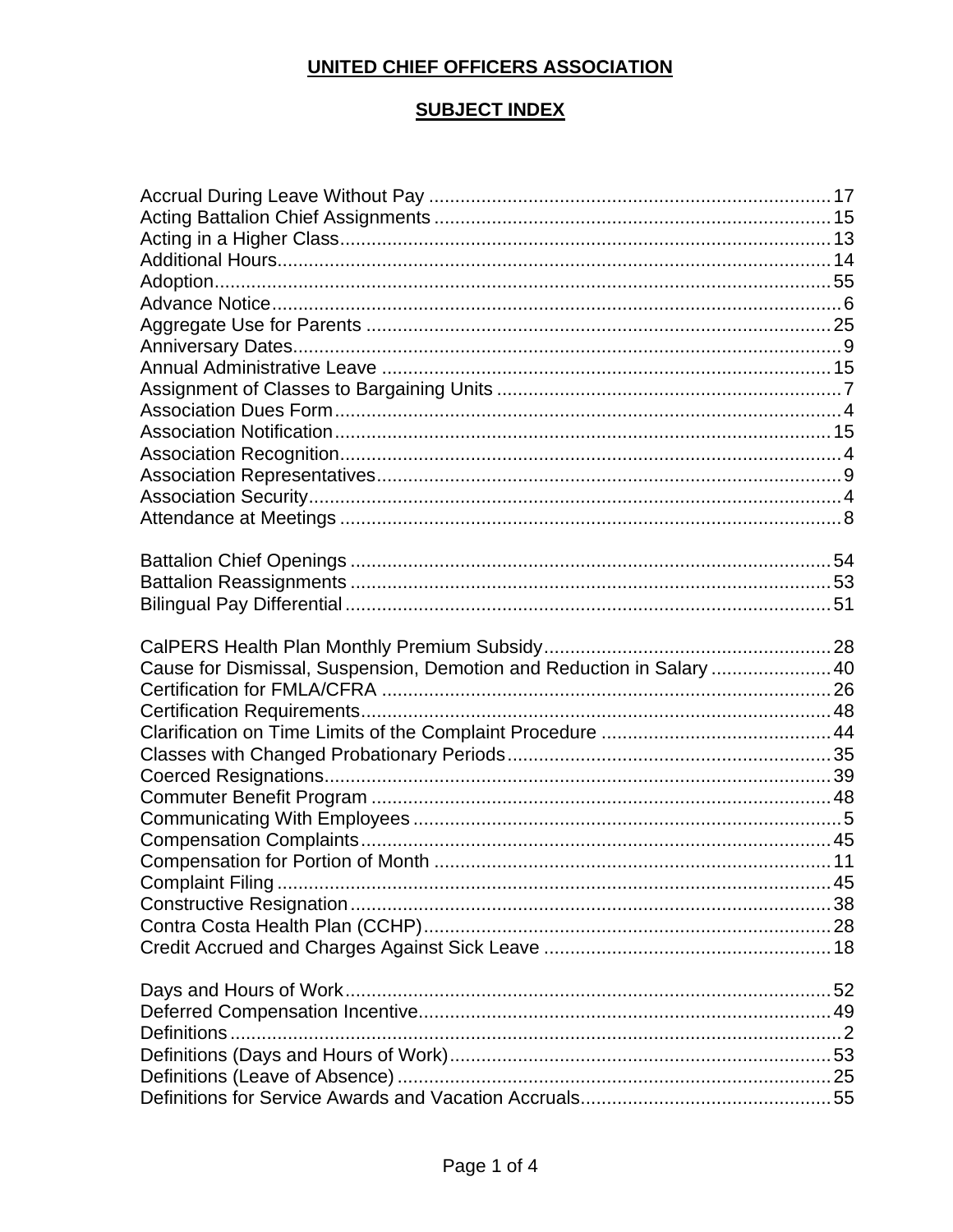# UNITED CHIEF OFFICERS ASSOCIATION

## **SUBJECT INDEX**

| Cause for Dismissal, Suspension, Demotion and Reduction in Salary  40 |  |
|-----------------------------------------------------------------------|--|
|                                                                       |  |
|                                                                       |  |
|                                                                       |  |
|                                                                       |  |
|                                                                       |  |
|                                                                       |  |
|                                                                       |  |
|                                                                       |  |
|                                                                       |  |
|                                                                       |  |
|                                                                       |  |
|                                                                       |  |
|                                                                       |  |
|                                                                       |  |
|                                                                       |  |
|                                                                       |  |
|                                                                       |  |
|                                                                       |  |
|                                                                       |  |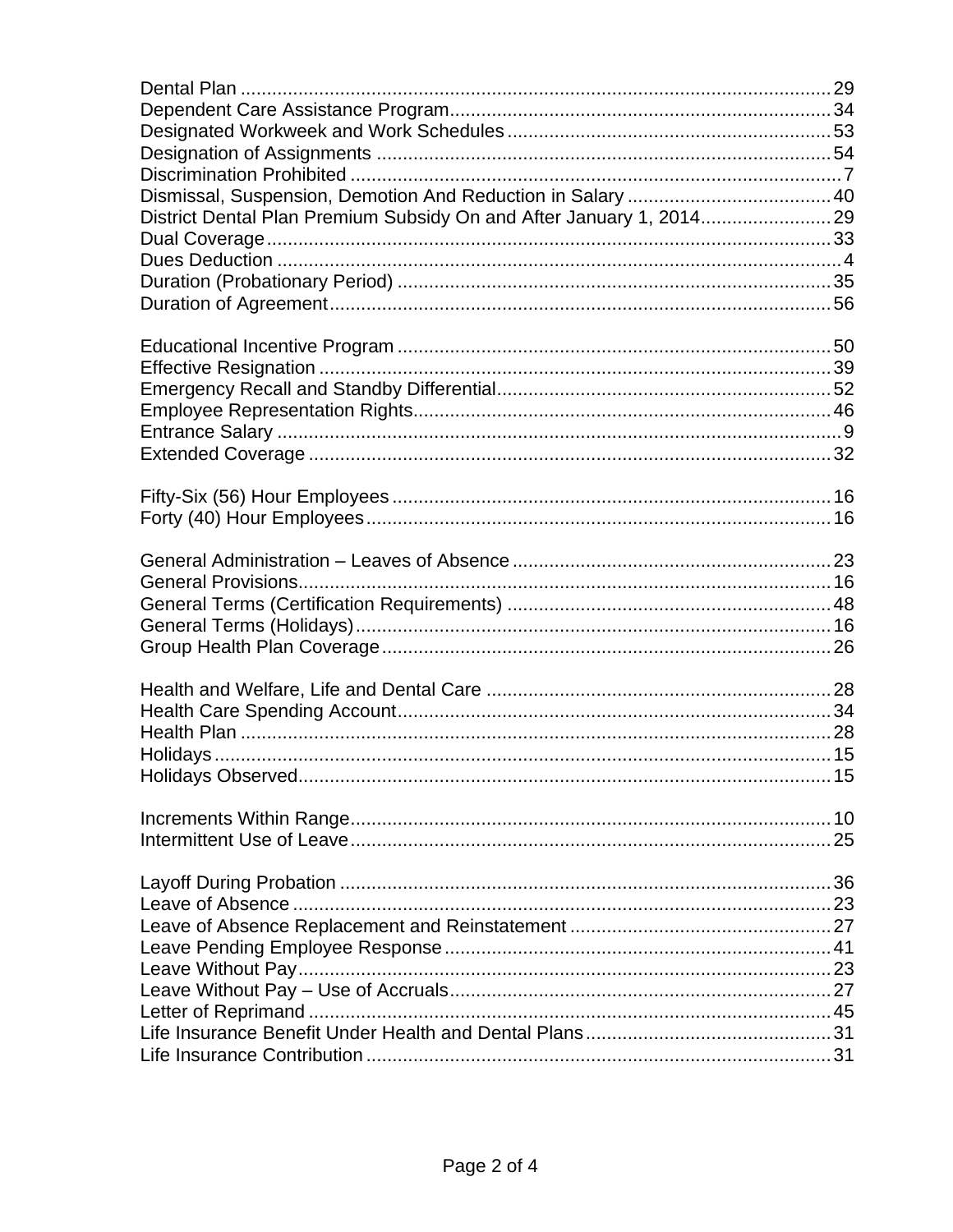| District Dental Plan Premium Subsidy On and After January 1, 2014 29 |  |
|----------------------------------------------------------------------|--|
|                                                                      |  |
|                                                                      |  |
|                                                                      |  |
|                                                                      |  |
|                                                                      |  |
|                                                                      |  |
|                                                                      |  |
|                                                                      |  |
|                                                                      |  |
|                                                                      |  |
|                                                                      |  |
|                                                                      |  |
|                                                                      |  |
|                                                                      |  |
|                                                                      |  |
|                                                                      |  |
|                                                                      |  |
|                                                                      |  |
|                                                                      |  |
|                                                                      |  |
|                                                                      |  |
|                                                                      |  |
|                                                                      |  |
|                                                                      |  |
|                                                                      |  |
|                                                                      |  |
|                                                                      |  |
|                                                                      |  |
|                                                                      |  |
|                                                                      |  |
|                                                                      |  |
|                                                                      |  |
|                                                                      |  |
|                                                                      |  |
|                                                                      |  |
|                                                                      |  |